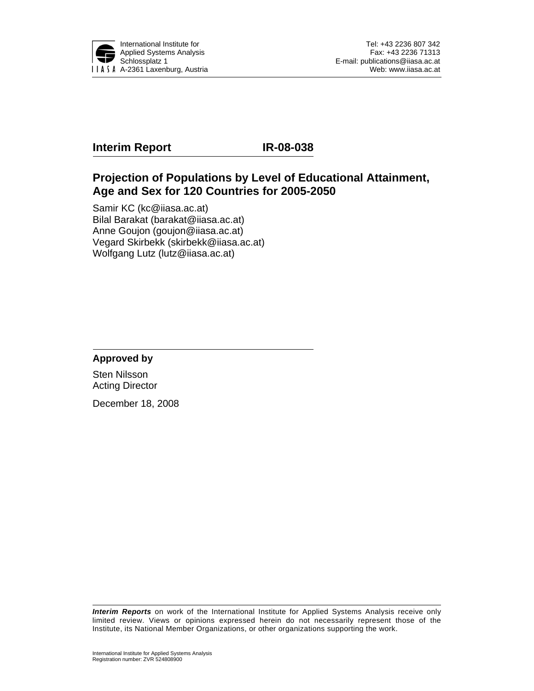

# **Interim Report IR-08-038**

# **Projection of Populations by Level of Educational Attainment, Age and Sex for 120 Countries for 2005-2050**

Samir KC (kc@iiasa.ac.at) Bilal Barakat (barakat@iiasa.ac.at) Anne Goujon (goujon@iiasa.ac.at) Vegard Skirbekk (skirbekk@iiasa.ac.at) Wolfgang Lutz (lutz@iiasa.ac.at)

# **Approved by**

Sten Nilsson Acting Director

December 18, 2008

*Interim Reports* on work of the International Institute for Applied Systems Analysis receive only limited review. Views or opinions expressed herein do not necessarily represent those of the Institute, its National Member Organizations, or other organizations supporting the work.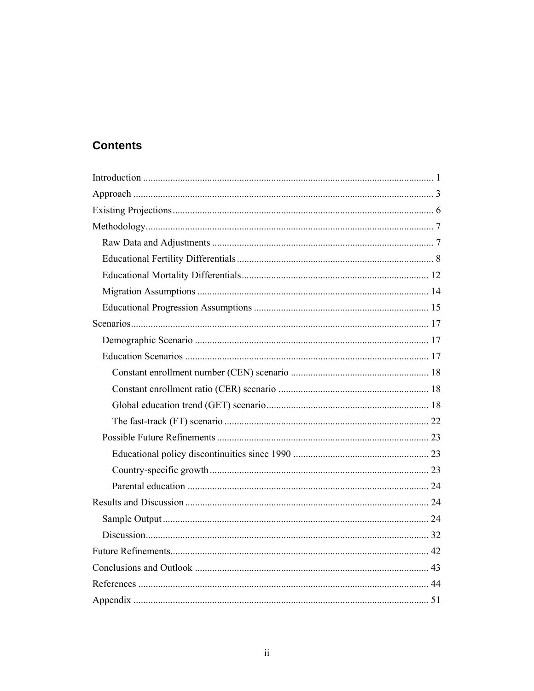# **Contents**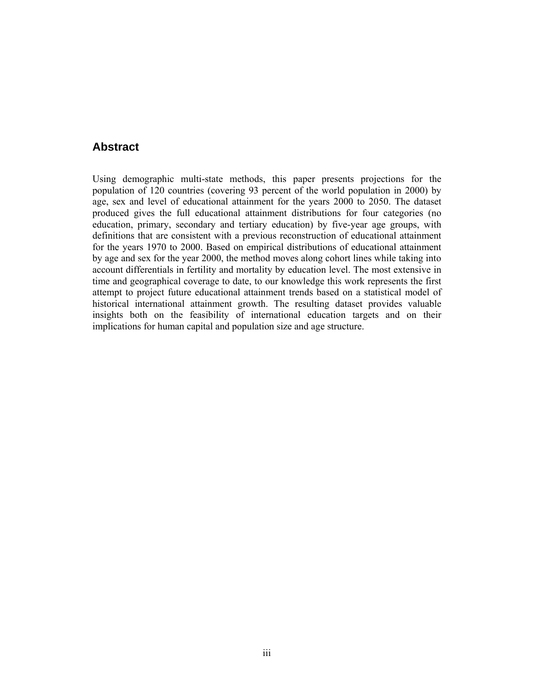### **Abstract**

Using demographic multi-state methods, this paper presents projections for the population of 120 countries (covering 93 percent of the world population in 2000) by age, sex and level of educational attainment for the years 2000 to 2050. The dataset produced gives the full educational attainment distributions for four categories (no education, primary, secondary and tertiary education) by five-year age groups, with definitions that are consistent with a previous reconstruction of educational attainment for the years 1970 to 2000. Based on empirical distributions of educational attainment by age and sex for the year 2000, the method moves along cohort lines while taking into account differentials in fertility and mortality by education level. The most extensive in time and geographical coverage to date, to our knowledge this work represents the first attempt to project future educational attainment trends based on a statistical model of historical international attainment growth. The resulting dataset provides valuable insights both on the feasibility of international education targets and on their implications for human capital and population size and age structure.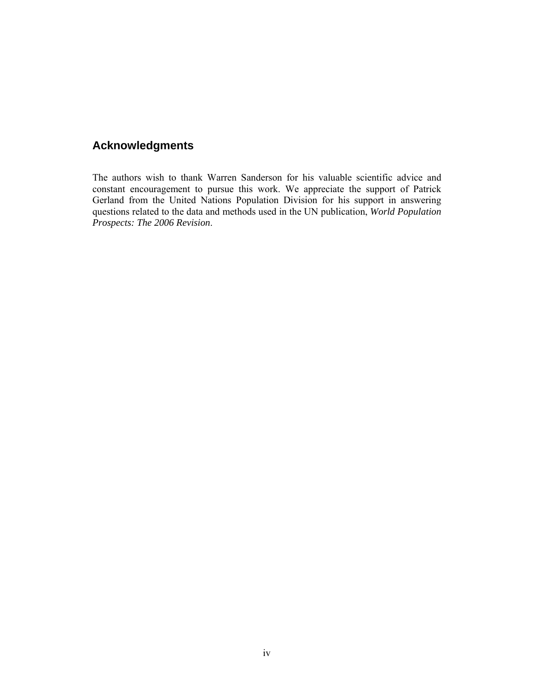# **Acknowledgments**

The authors wish to thank Warren Sanderson for his valuable scientific advice and constant encouragement to pursue this work. We appreciate the support of Patrick Gerland from the United Nations Population Division for his support in answering questions related to the data and methods used in the UN publication, *World Population Prospects: The 2006 Revision*.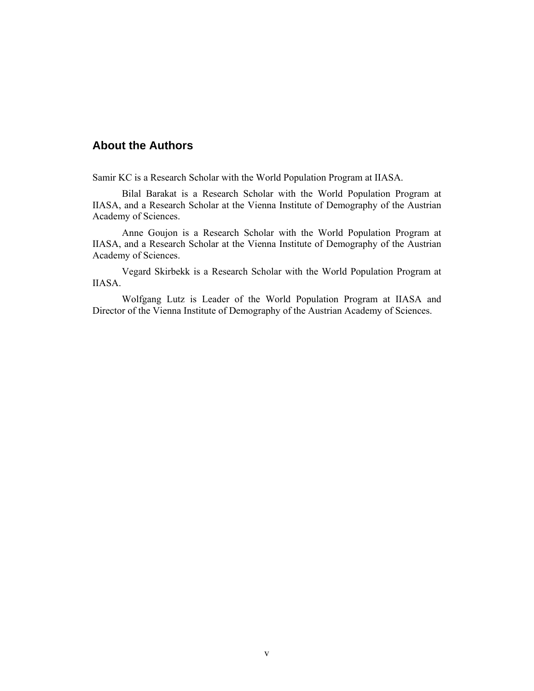# **About the Authors**

Samir KC is a Research Scholar with the World Population Program at IIASA.

Bilal Barakat is a Research Scholar with the World Population Program at IIASA, and a Research Scholar at the Vienna Institute of Demography of the Austrian Academy of Sciences.

Anne Goujon is a Research Scholar with the World Population Program at IIASA, and a Research Scholar at the Vienna Institute of Demography of the Austrian Academy of Sciences.

Vegard Skirbekk is a Research Scholar with the World Population Program at IIASA.

Wolfgang Lutz is Leader of the World Population Program at IIASA and Director of the Vienna Institute of Demography of the Austrian Academy of Sciences.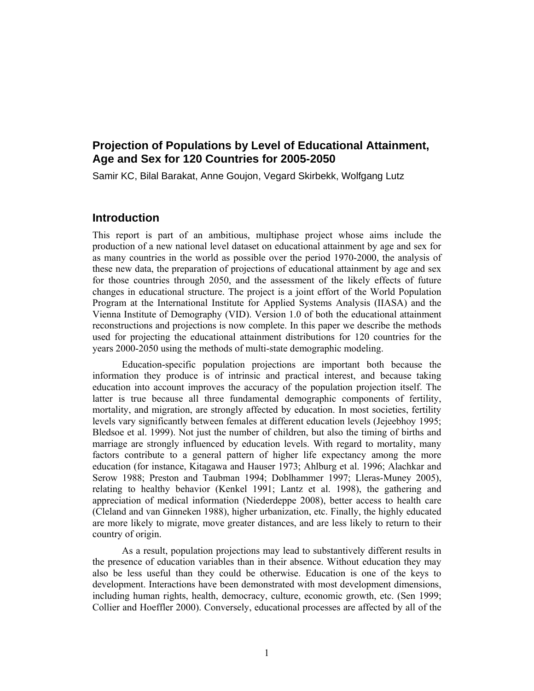# **Projection of Populations by Level of Educational Attainment, Age and Sex for 120 Countries for 2005-2050**

Samir KC, Bilal Barakat, Anne Goujon, Vegard Skirbekk, Wolfgang Lutz

# **Introduction**

This report is part of an ambitious, multiphase project whose aims include the production of a new national level dataset on educational attainment by age and sex for as many countries in the world as possible over the period 1970-2000, the analysis of these new data, the preparation of projections of educational attainment by age and sex for those countries through 2050, and the assessment of the likely effects of future changes in educational structure. The project is a joint effort of the World Population Program at the International Institute for Applied Systems Analysis (IIASA) and the Vienna Institute of Demography (VID). Version 1.0 of both the educational attainment reconstructions and projections is now complete. In this paper we describe the methods used for projecting the educational attainment distributions for 120 countries for the years 2000-2050 using the methods of multi-state demographic modeling.

Education-specific population projections are important both because the information they produce is of intrinsic and practical interest, and because taking education into account improves the accuracy of the population projection itself. The latter is true because all three fundamental demographic components of fertility, mortality, and migration, are strongly affected by education. In most societies, fertility levels vary significantly between females at different education levels (Jejeebhoy 1995; Bledsoe et al. 1999). Not just the number of children, but also the timing of births and marriage are strongly influenced by education levels. With regard to mortality, many factors contribute to a general pattern of higher life expectancy among the more education (for instance, Kitagawa and Hauser 1973; Ahlburg et al. 1996; Alachkar and Serow 1988; Preston and Taubman 1994; Doblhammer 1997; Lleras-Muney 2005), relating to healthy behavior (Kenkel 1991; Lantz et al. 1998), the gathering and appreciation of medical information (Niederdeppe 2008), better access to health care (Cleland and van Ginneken 1988), higher urbanization, etc. Finally, the highly educated are more likely to migrate, move greater distances, and are less likely to return to their country of origin.

As a result, population projections may lead to substantively different results in the presence of education variables than in their absence. Without education they may also be less useful than they could be otherwise. Education is one of the keys to development. Interactions have been demonstrated with most development dimensions, including human rights, health, democracy, culture, economic growth, etc. (Sen 1999; Collier and Hoeffler 2000). Conversely, educational processes are affected by all of the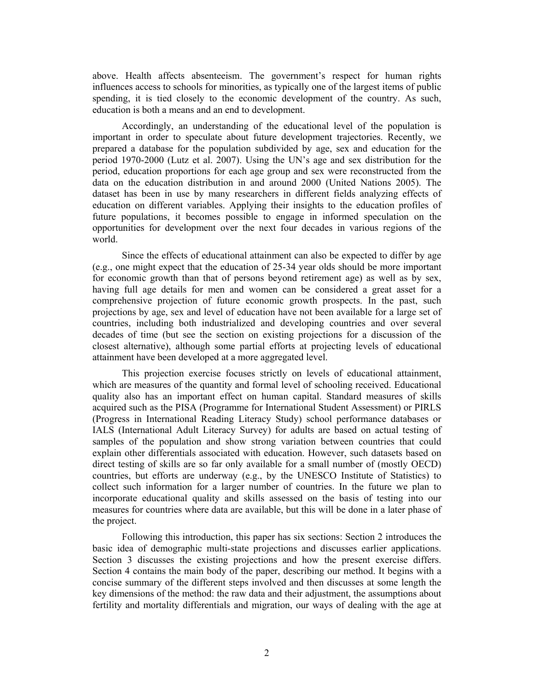above. Health affects absenteeism. The government's respect for human rights influences access to schools for minorities, as typically one of the largest items of public spending, it is tied closely to the economic development of the country. As such, education is both a means and an end to development.

Accordingly, an understanding of the educational level of the population is important in order to speculate about future development trajectories. Recently, we prepared a database for the population subdivided by age, sex and education for the period 1970-2000 (Lutz et al. 2007). Using the UN's age and sex distribution for the period, education proportions for each age group and sex were reconstructed from the data on the education distribution in and around 2000 (United Nations 2005). The dataset has been in use by many researchers in different fields analyzing effects of education on different variables. Applying their insights to the education profiles of future populations, it becomes possible to engage in informed speculation on the opportunities for development over the next four decades in various regions of the world.

Since the effects of educational attainment can also be expected to differ by age (e.g., one might expect that the education of 25-34 year olds should be more important for economic growth than that of persons beyond retirement age) as well as by sex, having full age details for men and women can be considered a great asset for a comprehensive projection of future economic growth prospects. In the past, such projections by age, sex and level of education have not been available for a large set of countries, including both industrialized and developing countries and over several decades of time (but see the section on existing projections for a discussion of the closest alternative), although some partial efforts at projecting levels of educational attainment have been developed at a more aggregated level.

This projection exercise focuses strictly on levels of educational attainment, which are measures of the quantity and formal level of schooling received. Educational quality also has an important effect on human capital. Standard measures of skills acquired such as the PISA (Programme for International Student Assessment) or PIRLS (Progress in International Reading Literacy Study) school performance databases or IALS (International Adult Literacy Survey) for adults are based on actual testing of samples of the population and show strong variation between countries that could explain other differentials associated with education. However, such datasets based on direct testing of skills are so far only available for a small number of (mostly OECD) countries, but efforts are underway (e.g., by the UNESCO Institute of Statistics) to collect such information for a larger number of countries. In the future we plan to incorporate educational quality and skills assessed on the basis of testing into our measures for countries where data are available, but this will be done in a later phase of the project.

Following this introduction, this paper has six sections: Section 2 introduces the basic idea of demographic multi-state projections and discusses earlier applications. Section 3 discusses the existing projections and how the present exercise differs. Section 4 contains the main body of the paper, describing our method. It begins with a concise summary of the different steps involved and then discusses at some length the key dimensions of the method: the raw data and their adjustment, the assumptions about fertility and mortality differentials and migration, our ways of dealing with the age at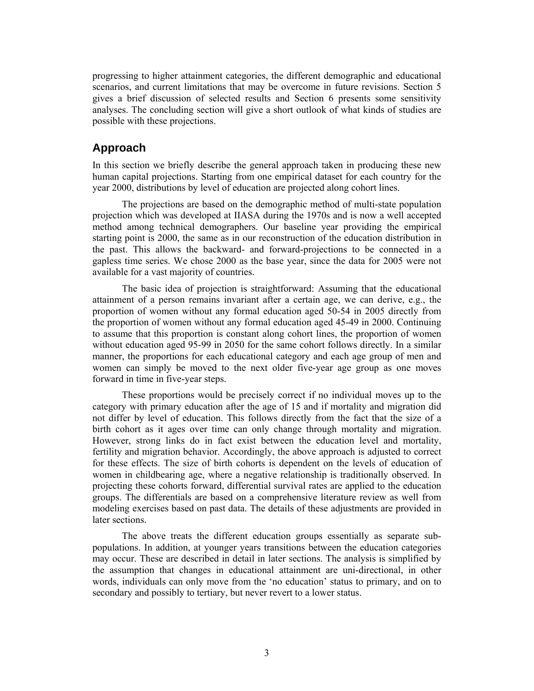progressing to higher attainment categories, the different demographic and educational scenarios, and current limitations that may be overcome in future revisions. Section 5 gives a brief discussion of selected results and Section 6 presents some sensitivity analyses. The concluding section will give a short outlook of what kinds of studies are possible with these projections.

### **Approach**

In this section we briefly describe the general approach taken in producing these new human capital projections. Starting from one empirical dataset for each country for the year 2000, distributions by level of education are projected along cohort lines.

The projections are based on the demographic method of multi-state population projection which was developed at IIASA during the 1970s and is now a well accepted method among technical demographers. Our baseline year providing the empirical starting point is 2000, the same as in our reconstruction of the education distribution in the past. This allows the backward- and forward-projections to be connected in a gapless time series. We chose 2000 as the base year, since the data for 2005 were not available for a vast majority of countries.

The basic idea of projection is straightforward: Assuming that the educational attainment of a person remains invariant after a certain age, we can derive, e.g., the proportion of women without any formal education aged 50-54 in 2005 directly from the proportion of women without any formal education aged 45-49 in 2000. Continuing to assume that this proportion is constant along cohort lines, the proportion of women without education aged 95-99 in 2050 for the same cohort follows directly. In a similar manner, the proportions for each educational category and each age group of men and women can simply be moved to the next older five-year age group as one moves forward in time in five-year steps.

These proportions would be precisely correct if no individual moves up to the category with primary education after the age of 15 and if mortality and migration did not differ by level of education. This follows directly from the fact that the size of a birth cohort as it ages over time can only change through mortality and migration. However, strong links do in fact exist between the education level and mortality, fertility and migration behavior. Accordingly, the above approach is adjusted to correct for these effects. The size of birth cohorts is dependent on the levels of education of women in childbearing age, where a negative relationship is traditionally observed. In projecting these cohorts forward, differential survival rates are applied to the education groups. The differentials are based on a comprehensive literature review as well from modeling exercises based on past data. The details of these adjustments are provided in later sections.

The above treats the different education groups essentially as separate subpopulations. In addition, at younger years transitions between the education categories may occur. These are described in detail in later sections. The analysis is simplified by the assumption that changes in educational attainment are uni-directional, in other words, individuals can only move from the 'no education' status to primary, and on to secondary and possibly to tertiary, but never revert to a lower status.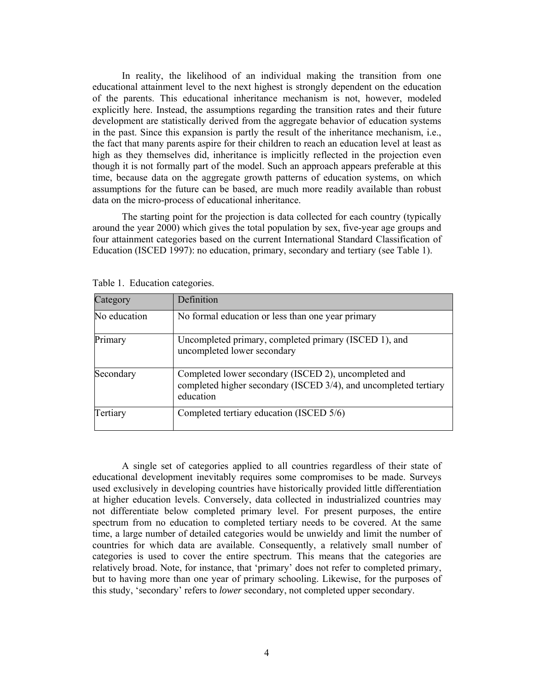In reality, the likelihood of an individual making the transition from one educational attainment level to the next highest is strongly dependent on the education of the parents. This educational inheritance mechanism is not, however, modeled explicitly here. Instead, the assumptions regarding the transition rates and their future development are statistically derived from the aggregate behavior of education systems in the past. Since this expansion is partly the result of the inheritance mechanism, i.e., the fact that many parents aspire for their children to reach an education level at least as high as they themselves did, inheritance is implicitly reflected in the projection even though it is not formally part of the model. Such an approach appears preferable at this time, because data on the aggregate growth patterns of education systems, on which assumptions for the future can be based, are much more readily available than robust data on the micro-process of educational inheritance.

The starting point for the projection is data collected for each country (typically around the year 2000) which gives the total population by sex, five-year age groups and four attainment categories based on the current International Standard Classification of Education (ISCED 1997): no education, primary, secondary and tertiary (see Table 1).

| Category     | Definition                                                                                                                            |
|--------------|---------------------------------------------------------------------------------------------------------------------------------------|
| No education | No formal education or less than one year primary                                                                                     |
| Primary      | Uncompleted primary, completed primary (ISCED 1), and<br>uncompleted lower secondary                                                  |
| Secondary    | Completed lower secondary (ISCED 2), uncompleted and<br>completed higher secondary (ISCED 3/4), and uncompleted tertiary<br>education |
| Tertiary     | Completed tertiary education (ISCED 5/6)                                                                                              |

Table 1. Education categories.

A single set of categories applied to all countries regardless of their state of educational development inevitably requires some compromises to be made. Surveys used exclusively in developing countries have historically provided little differentiation at higher education levels. Conversely, data collected in industrialized countries may not differentiate below completed primary level. For present purposes, the entire spectrum from no education to completed tertiary needs to be covered. At the same time, a large number of detailed categories would be unwieldy and limit the number of countries for which data are available. Consequently, a relatively small number of categories is used to cover the entire spectrum. This means that the categories are relatively broad. Note, for instance, that 'primary' does not refer to completed primary, but to having more than one year of primary schooling. Likewise, for the purposes of this study, 'secondary' refers to *lower* secondary, not completed upper secondary.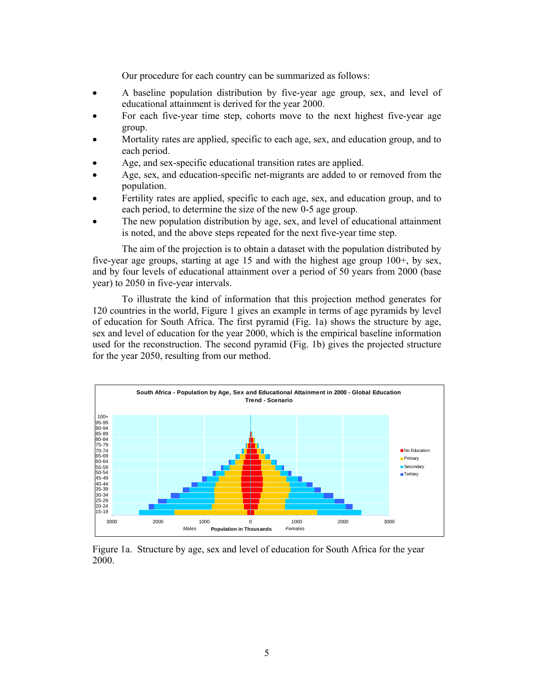Our procedure for each country can be summarized as follows:

- A baseline population distribution by five-year age group, sex, and level of educational attainment is derived for the year 2000.
- For each five-year time step, cohorts move to the next highest five-year age group.
- Mortality rates are applied, specific to each age, sex, and education group, and to each period.
- Age, and sex-specific educational transition rates are applied.
- Age, sex, and education-specific net-migrants are added to or removed from the population.
- Fertility rates are applied, specific to each age, sex, and education group, and to each period, to determine the size of the new 0-5 age group.
- The new population distribution by age, sex, and level of educational attainment is noted, and the above steps repeated for the next five-year time step.

The aim of the projection is to obtain a dataset with the population distributed by five-year age groups, starting at age 15 and with the highest age group 100+, by sex, and by four levels of educational attainment over a period of 50 years from 2000 (base year) to 2050 in five-year intervals.

To illustrate the kind of information that this projection method generates for 120 countries in the world, Figure 1 gives an example in terms of age pyramids by level of education for South Africa. The first pyramid (Fig. 1a) shows the structure by age, sex and level of education for the year 2000, which is the empirical baseline information used for the reconstruction. The second pyramid (Fig. 1b) gives the projected structure for the year 2050, resulting from our method.



Figure 1a. Structure by age, sex and level of education for South Africa for the year 2000.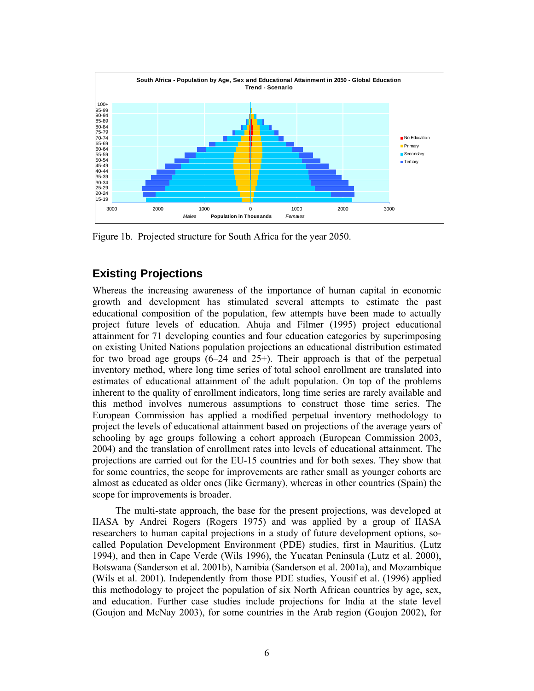

Figure 1b. Projected structure for South Africa for the year 2050.

# **Existing Projections**

Whereas the increasing awareness of the importance of human capital in economic growth and development has stimulated several attempts to estimate the past educational composition of the population, few attempts have been made to actually project future levels of education. Ahuja and Filmer (1995) project educational attainment for 71 developing counties and four education categories by superimposing on existing United Nations population projections an educational distribution estimated for two broad age groups  $(6-24$  and  $25+)$ . Their approach is that of the perpetual inventory method, where long time series of total school enrollment are translated into estimates of educational attainment of the adult population. On top of the problems inherent to the quality of enrollment indicators, long time series are rarely available and this method involves numerous assumptions to construct those time series. The European Commission has applied a modified perpetual inventory methodology to project the levels of educational attainment based on projections of the average years of schooling by age groups following a cohort approach (European Commission 2003, 2004) and the translation of enrollment rates into levels of educational attainment. The projections are carried out for the EU-15 countries and for both sexes. They show that for some countries, the scope for improvements are rather small as younger cohorts are almost as educated as older ones (like Germany), whereas in other countries (Spain) the scope for improvements is broader.

The multi-state approach, the base for the present projections, was developed at IIASA by Andrei Rogers (Rogers 1975) and was applied by a group of IIASA researchers to human capital projections in a study of future development options, socalled Population Development Environment (PDE) studies, first in Mauritius. (Lutz 1994), and then in Cape Verde (Wils 1996), the Yucatan Peninsula (Lutz et al. 2000), Botswana (Sanderson et al. 2001b), Namibia (Sanderson et al. 2001a), and Mozambique (Wils et al. 2001). Independently from those PDE studies, Yousif et al. (1996) applied this methodology to project the population of six North African countries by age, sex, and education. Further case studies include projections for India at the state level (Goujon and McNay 2003), for some countries in the Arab region (Goujon 2002), for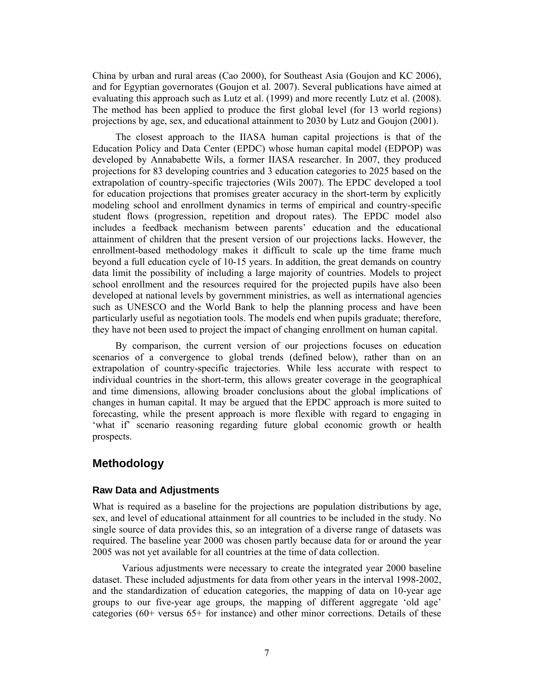China by urban and rural areas (Cao 2000), for Southeast Asia (Goujon and KC 2006), and for Egyptian governorates (Goujon et al. 2007). Several publications have aimed at evaluating this approach such as Lutz et al. (1999) and more recently Lutz et al. (2008). The method has been applied to produce the first global level (for 13 world regions) projections by age, sex, and educational attainment to 2030 by Lutz and Goujon (2001).

The closest approach to the IIASA human capital projections is that of the Education Policy and Data Center (EPDC) whose human capital model (EDPOP) was developed by Annababette Wils, a former IIASA researcher. In 2007, they produced projections for 83 developing countries and 3 education categories to 2025 based on the extrapolation of country-specific trajectories (Wils 2007). The EPDC developed a tool for education projections that promises greater accuracy in the short-term by explicitly modeling school and enrollment dynamics in terms of empirical and country-specific student flows (progression, repetition and dropout rates). The EPDC model also includes a feedback mechanism between parents' education and the educational attainment of children that the present version of our projections lacks. However, the enrollment-based methodology makes it difficult to scale up the time frame much beyond a full education cycle of 10-15 years. In addition, the great demands on country data limit the possibility of including a large majority of countries. Models to project school enrollment and the resources required for the projected pupils have also been developed at national levels by government ministries, as well as international agencies such as UNESCO and the World Bank to help the planning process and have been particularly useful as negotiation tools. The models end when pupils graduate; therefore, they have not been used to project the impact of changing enrollment on human capital.

By comparison, the current version of our projections focuses on education scenarios of a convergence to global trends (defined below), rather than on an extrapolation of country-specific trajectories. While less accurate with respect to individual countries in the short-term, this allows greater coverage in the geographical and time dimensions, allowing broader conclusions about the global implications of changes in human capital. It may be argued that the EPDC approach is more suited to forecasting, while the present approach is more flexible with regard to engaging in 'what if' scenario reasoning regarding future global economic growth or health prospects.

# **Methodology**

#### **Raw Data and Adjustments**

What is required as a baseline for the projections are population distributions by age, sex, and level of educational attainment for all countries to be included in the study. No single source of data provides this, so an integration of a diverse range of datasets was required. The baseline year 2000 was chosen partly because data for or around the year 2005 was not yet available for all countries at the time of data collection.

Various adjustments were necessary to create the integrated year 2000 baseline dataset. These included adjustments for data from other years in the interval 1998-2002, and the standardization of education categories, the mapping of data on 10-year age groups to our five-year age groups, the mapping of different aggregate 'old age' categories (60+ versus 65+ for instance) and other minor corrections. Details of these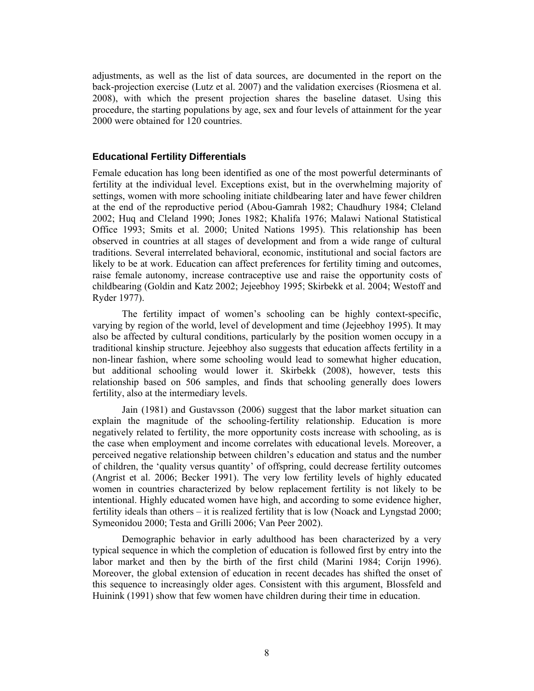adjustments, as well as the list of data sources, are documented in the report on the back-projection exercise (Lutz et al. 2007) and the validation exercises (Riosmena et al. 2008), with which the present projection shares the baseline dataset. Using this procedure, the starting populations by age, sex and four levels of attainment for the year 2000 were obtained for 120 countries.

#### **Educational Fertility Differentials**

Female education has long been identified as one of the most powerful determinants of fertility at the individual level. Exceptions exist, but in the overwhelming majority of settings, women with more schooling initiate childbearing later and have fewer children at the end of the reproductive period (Abou-Gamrah 1982; Chaudhury 1984; Cleland 2002; Huq and Cleland 1990; Jones 1982; Khalifa 1976; Malawi National Statistical Office 1993; Smits et al. 2000; United Nations 1995). This relationship has been observed in countries at all stages of development and from a wide range of cultural traditions. Several interrelated behavioral, economic, institutional and social factors are likely to be at work. Education can affect preferences for fertility timing and outcomes, raise female autonomy, increase contraceptive use and raise the opportunity costs of childbearing (Goldin and Katz 2002; Jejeebhoy 1995; Skirbekk et al. 2004; Westoff and Ryder 1977).

The fertility impact of women's schooling can be highly context-specific, varying by region of the world, level of development and time (Jejeebhoy 1995). It may also be affected by cultural conditions, particularly by the position women occupy in a traditional kinship structure. Jejeebhoy also suggests that education affects fertility in a non-linear fashion, where some schooling would lead to somewhat higher education, but additional schooling would lower it. Skirbekk (2008), however, tests this relationship based on 506 samples, and finds that schooling generally does lowers fertility, also at the intermediary levels.

Jain (1981) and Gustavsson (2006) suggest that the labor market situation can explain the magnitude of the schooling-fertility relationship. Education is more negatively related to fertility, the more opportunity costs increase with schooling, as is the case when employment and income correlates with educational levels. Moreover, a perceived negative relationship between children's education and status and the number of children, the 'quality versus quantity' of offspring, could decrease fertility outcomes (Angrist et al. 2006; Becker 1991). The very low fertility levels of highly educated women in countries characterized by below replacement fertility is not likely to be intentional. Highly educated women have high, and according to some evidence higher, fertility ideals than others – it is realized fertility that is low (Noack and Lyngstad 2000; Symeonidou 2000; Testa and Grilli 2006; Van Peer 2002).

Demographic behavior in early adulthood has been characterized by a very typical sequence in which the completion of education is followed first by entry into the labor market and then by the birth of the first child (Marini 1984; Corijn 1996). Moreover, the global extension of education in recent decades has shifted the onset of this sequence to increasingly older ages. Consistent with this argument, Blossfeld and Huinink (1991) show that few women have children during their time in education.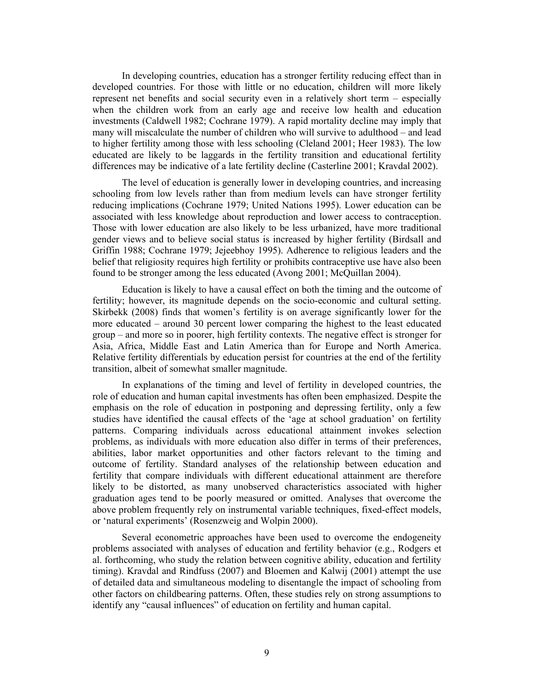In developing countries, education has a stronger fertility reducing effect than in developed countries. For those with little or no education, children will more likely represent net benefits and social security even in a relatively short term – especially when the children work from an early age and receive low health and education investments (Caldwell 1982; Cochrane 1979). A rapid mortality decline may imply that many will miscalculate the number of children who will survive to adulthood – and lead to higher fertility among those with less schooling (Cleland 2001; Heer 1983). The low educated are likely to be laggards in the fertility transition and educational fertility differences may be indicative of a late fertility decline (Casterline 2001; Kravdal 2002).

The level of education is generally lower in developing countries, and increasing schooling from low levels rather than from medium levels can have stronger fertility reducing implications (Cochrane 1979; United Nations 1995). Lower education can be associated with less knowledge about reproduction and lower access to contraception. Those with lower education are also likely to be less urbanized, have more traditional gender views and to believe social status is increased by higher fertility (Birdsall and Griffin 1988; Cochrane 1979; Jejeebhoy 1995). Adherence to religious leaders and the belief that religiosity requires high fertility or prohibits contraceptive use have also been found to be stronger among the less educated (Avong 2001; McQuillan 2004).

Education is likely to have a causal effect on both the timing and the outcome of fertility; however, its magnitude depends on the socio-economic and cultural setting. Skirbekk (2008) finds that women's fertility is on average significantly lower for the more educated – around 30 percent lower comparing the highest to the least educated group – and more so in poorer, high fertility contexts. The negative effect is stronger for Asia, Africa, Middle East and Latin America than for Europe and North America. Relative fertility differentials by education persist for countries at the end of the fertility transition, albeit of somewhat smaller magnitude.

In explanations of the timing and level of fertility in developed countries, the role of education and human capital investments has often been emphasized. Despite the emphasis on the role of education in postponing and depressing fertility, only a few studies have identified the causal effects of the 'age at school graduation' on fertility patterns. Comparing individuals across educational attainment invokes selection problems, as individuals with more education also differ in terms of their preferences, abilities, labor market opportunities and other factors relevant to the timing and outcome of fertility. Standard analyses of the relationship between education and fertility that compare individuals with different educational attainment are therefore likely to be distorted, as many unobserved characteristics associated with higher graduation ages tend to be poorly measured or omitted. Analyses that overcome the above problem frequently rely on instrumental variable techniques, fixed-effect models, or 'natural experiments' (Rosenzweig and Wolpin 2000).

Several econometric approaches have been used to overcome the endogeneity problems associated with analyses of education and fertility behavior (e.g., Rodgers et al. forthcoming, who study the relation between cognitive ability, education and fertility timing). Kravdal and Rindfuss (2007) and Bloemen and Kalwij (2001) attempt the use of detailed data and simultaneous modeling to disentangle the impact of schooling from other factors on childbearing patterns. Often, these studies rely on strong assumptions to identify any "causal influences" of education on fertility and human capital.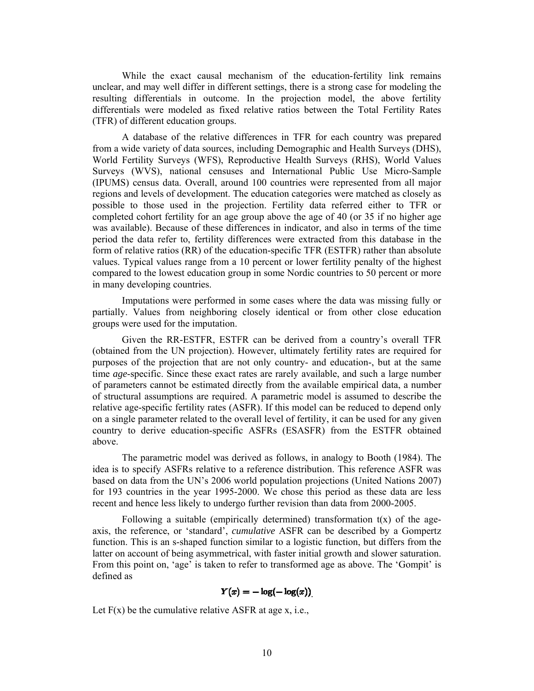While the exact causal mechanism of the education-fertility link remains unclear, and may well differ in different settings, there is a strong case for modeling the resulting differentials in outcome. In the projection model, the above fertility differentials were modeled as fixed relative ratios between the Total Fertility Rates (TFR) of different education groups.

A database of the relative differences in TFR for each country was prepared from a wide variety of data sources, including Demographic and Health Surveys (DHS), World Fertility Surveys (WFS), Reproductive Health Surveys (RHS), World Values Surveys (WVS), national censuses and International Public Use Micro-Sample (IPUMS) census data. Overall, around 100 countries were represented from all major regions and levels of development. The education categories were matched as closely as possible to those used in the projection. Fertility data referred either to TFR or completed cohort fertility for an age group above the age of 40 (or 35 if no higher age was available). Because of these differences in indicator, and also in terms of the time period the data refer to, fertility differences were extracted from this database in the form of relative ratios (RR) of the education-specific TFR (ESTFR) rather than absolute values. Typical values range from a 10 percent or lower fertility penalty of the highest compared to the lowest education group in some Nordic countries to 50 percent or more in many developing countries.

Imputations were performed in some cases where the data was missing fully or partially. Values from neighboring closely identical or from other close education groups were used for the imputation.

Given the RR-ESTFR, ESTFR can be derived from a country's overall TFR (obtained from the UN projection). However, ultimately fertility rates are required for purposes of the projection that are not only country- and education-, but at the same time *age*-specific. Since these exact rates are rarely available, and such a large number of parameters cannot be estimated directly from the available empirical data, a number of structural assumptions are required. A parametric model is assumed to describe the relative age-specific fertility rates (ASFR). If this model can be reduced to depend only on a single parameter related to the overall level of fertility, it can be used for any given country to derive education-specific ASFRs (ESASFR) from the ESTFR obtained above.

The parametric model was derived as follows, in analogy to Booth (1984). The idea is to specify ASFRs relative to a reference distribution. This reference ASFR was based on data from the UN's 2006 world population projections (United Nations 2007) for 193 countries in the year 1995-2000. We chose this period as these data are less recent and hence less likely to undergo further revision than data from 2000-2005.

Following a suitable (empirically determined) transformation  $t(x)$  of the ageaxis, the reference, or 'standard', *cumulative* ASFR can be described by a Gompertz function. This is an s-shaped function similar to a logistic function, but differs from the latter on account of being asymmetrical, with faster initial growth and slower saturation. From this point on, 'age' is taken to refer to transformed age as above. The 'Gompit' is defined as

$$
Y(x) = -\log(-\log(x))
$$

Let  $F(x)$  be the cumulative relative ASFR at age x, i.e.,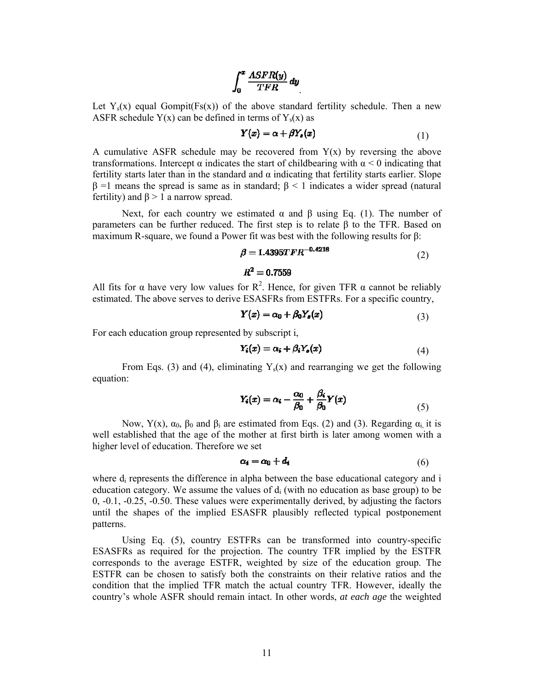$$
\int_0^x \frac{ASFR(y)}{TFR} \, dy
$$

.

Let  $Y_s(x)$  equal Gompit(Fs(x)) of the above standard fertility schedule. Then a new ASFR schedule  $Y(x)$  can be defined in terms of  $Y_s(x)$  as

$$
Y(x) = \alpha + \beta Y_s(x) \tag{1}
$$

A cumulative ASFR schedule may be recovered from  $Y(x)$  by reversing the above transformations. Intercept  $\alpha$  indicates the start of childbearing with  $\alpha$  < 0 indicating that fertility starts later than in the standard and  $\alpha$  indicating that fertility starts earlier. Slope  $β =1$  means the spread is same as in standard;  $β < 1$  indicates a wider spread (natural fertility) and  $\beta$  > 1 a narrow spread.

Next, for each country we estimated  $\alpha$  and  $\beta$  using Eq. (1). The number of parameters can be further reduced. The first step is to relate β to the TFR. Based on maximum R-square, we found a Power fit was best with the following results for β:

$$
\beta = 1.4395 TFR^{-0.4218} \tag{2}
$$

$$
R^2=0.7559
$$

All fits for  $\alpha$  have very low values for R<sup>2</sup>. Hence, for given TFR  $\alpha$  cannot be reliably estimated. The above serves to derive ESASFRs from ESTFRs. For a specific country,

$$
Y(x) = \alpha_0 + \beta_0 Y_s(x) \tag{3}
$$

For each education group represented by subscript i,

$$
Y_i(x) = \alpha_i + \beta_i Y_o(x) \tag{4}
$$

From Eqs. (3) and (4), eliminating  $Y_s(x)$  and rearranging we get the following equation:

$$
Y_i(x) = \alpha_i - \frac{\alpha_0}{\beta_0} + \frac{\beta_i}{\beta_0} Y(x) \tag{5}
$$

Now,  $Y(x)$ ,  $\alpha_0$ ,  $\beta_0$  and  $\beta_i$  are estimated from Eqs. (2) and (3). Regarding  $\alpha_i$  it is well established that the age of the mother at first birth is later among women with a higher level of education. Therefore we set

$$
\alpha_i = \alpha_0 + d_i \tag{6}
$$

where  $d_i$  represents the difference in alpha between the base educational category and i education category. We assume the values of  $d_i$  (with no education as base group) to be 0, -0.1, -0.25, -0.50. These values were experimentally derived, by adjusting the factors until the shapes of the implied ESASFR plausibly reflected typical postponement patterns.

Using Eq. (5), country ESTFRs can be transformed into country-specific ESASFRs as required for the projection. The country TFR implied by the ESTFR corresponds to the average ESTFR, weighted by size of the education group. The ESTFR can be chosen to satisfy both the constraints on their relative ratios and the condition that the implied TFR match the actual country TFR. However, ideally the country's whole ASFR should remain intact. In other words, *at each age* the weighted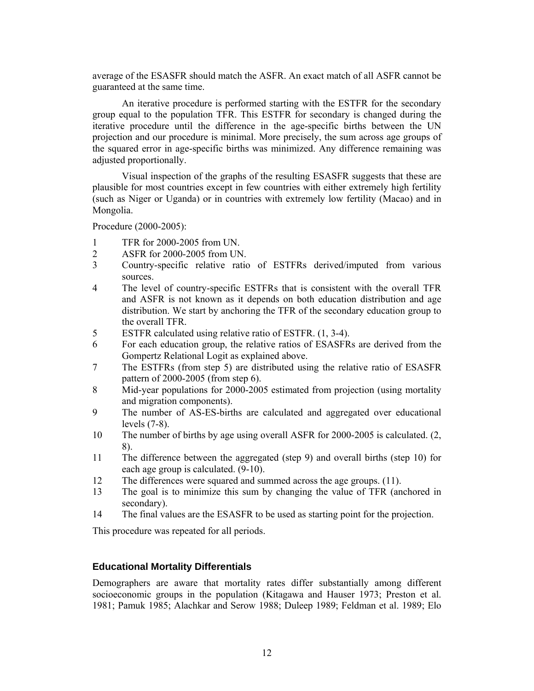average of the ESASFR should match the ASFR. An exact match of all ASFR cannot be guaranteed at the same time.

An iterative procedure is performed starting with the ESTFR for the secondary group equal to the population TFR. This ESTFR for secondary is changed during the iterative procedure until the difference in the age-specific births between the UN projection and our procedure is minimal. More precisely, the sum across age groups of the squared error in age-specific births was minimized. Any difference remaining was adjusted proportionally.

Visual inspection of the graphs of the resulting ESASFR suggests that these are plausible for most countries except in few countries with either extremely high fertility (such as Niger or Uganda) or in countries with extremely low fertility (Macao) and in Mongolia.

Procedure (2000-2005):

- 1 TFR for 2000-2005 from UN.
- 2 ASFR for 2000-2005 from UN.
- 3 Country-specific relative ratio of ESTFRs derived/imputed from various sources.
- 4 The level of country-specific ESTFRs that is consistent with the overall TFR and ASFR is not known as it depends on both education distribution and age distribution. We start by anchoring the TFR of the secondary education group to the overall TFR.
- 5 ESTFR calculated using relative ratio of ESTFR. (1, 3-4).
- 6 For each education group, the relative ratios of ESASFRs are derived from the Gompertz Relational Logit as explained above.
- 7 The ESTFRs (from step 5) are distributed using the relative ratio of ESASFR pattern of 2000-2005 (from step 6).
- 8 Mid-year populations for 2000-2005 estimated from projection (using mortality and migration components).
- 9 The number of AS-ES-births are calculated and aggregated over educational levels (7-8).
- 10 The number of births by age using overall ASFR for 2000-2005 is calculated. (2, 8).
- 11 The difference between the aggregated (step 9) and overall births (step 10) for each age group is calculated. (9-10).
- 12 The differences were squared and summed across the age groups. (11).
- 13 The goal is to minimize this sum by changing the value of TFR (anchored in secondary).
- 14 The final values are the ESASFR to be used as starting point for the projection.

This procedure was repeated for all periods.

### **Educational Mortality Differentials**

Demographers are aware that mortality rates differ substantially among different socioeconomic groups in the population (Kitagawa and Hauser 1973; Preston et al. 1981; Pamuk 1985; Alachkar and Serow 1988; Duleep 1989; Feldman et al. 1989; Elo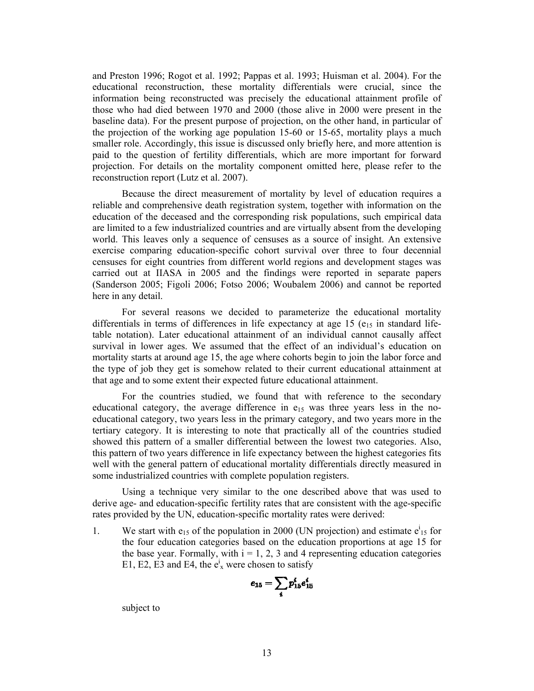and Preston 1996; Rogot et al. 1992; Pappas et al. 1993; Huisman et al. 2004). For the educational reconstruction, these mortality differentials were crucial, since the information being reconstructed was precisely the educational attainment profile of those who had died between 1970 and 2000 (those alive in 2000 were present in the baseline data). For the present purpose of projection, on the other hand, in particular of the projection of the working age population 15-60 or 15-65, mortality plays a much smaller role. Accordingly, this issue is discussed only briefly here, and more attention is paid to the question of fertility differentials, which are more important for forward projection. For details on the mortality component omitted here, please refer to the reconstruction report (Lutz et al. 2007).

Because the direct measurement of mortality by level of education requires a reliable and comprehensive death registration system, together with information on the education of the deceased and the corresponding risk populations, such empirical data are limited to a few industrialized countries and are virtually absent from the developing world. This leaves only a sequence of censuses as a source of insight. An extensive exercise comparing education-specific cohort survival over three to four decennial censuses for eight countries from different world regions and development stages was carried out at IIASA in 2005 and the findings were reported in separate papers (Sanderson 2005; Figoli 2006; Fotso 2006; Woubalem 2006) and cannot be reported here in any detail.

For several reasons we decided to parameterize the educational mortality differentials in terms of differences in life expectancy at age 15 ( $e_{15}$  in standard lifetable notation). Later educational attainment of an individual cannot causally affect survival in lower ages. We assumed that the effect of an individual's education on mortality starts at around age 15, the age where cohorts begin to join the labor force and the type of job they get is somehow related to their current educational attainment at that age and to some extent their expected future educational attainment.

For the countries studied, we found that with reference to the secondary educational category, the average difference in  $e_{15}$  was three years less in the noeducational category, two years less in the primary category, and two years more in the tertiary category. It is interesting to note that practically all of the countries studied showed this pattern of a smaller differential between the lowest two categories. Also, this pattern of two years difference in life expectancy between the highest categories fits well with the general pattern of educational mortality differentials directly measured in some industrialized countries with complete population registers.

Using a technique very similar to the one described above that was used to derive age- and education-specific fertility rates that are consistent with the age-specific rates provided by the UN, education-specific mortality rates were derived:

1. We start with  $e_{15}$  of the population in 2000 (UN projection) and estimate  $e_{15}^i$  for the four education categories based on the education proportions at age 15 for the base year. Formally, with  $i = 1, 2, 3$  and 4 representing education categories E1, E2, E3 and E4, the  $e_x^i$  were chosen to satisfy

$$
e_{15}=\sum_{i}p^i_{15}e^i_{15}
$$

subject to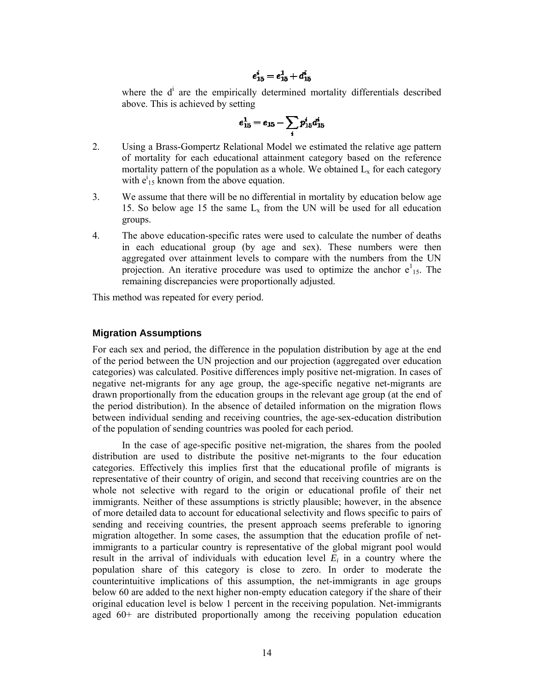$$
e_{15}^i = e_{15}^1 + d_{15}^i
$$

where the  $d^i$  are the empirically determined mortality differentials described above. This is achieved by setting

$$
e^1_{15}=e_{15}-\sum_i p^i_{15}d^i_{15}
$$

- 2. Using a Brass-Gompertz Relational Model we estimated the relative age pattern of mortality for each educational attainment category based on the reference mortality pattern of the population as a whole. We obtained  $L<sub>x</sub>$  for each category with  $e^{i}_{15}$  known from the above equation.
- 3. We assume that there will be no differential in mortality by education below age 15. So below age 15 the same  $L<sub>x</sub>$  from the UN will be used for all education groups.
- 4. The above education-specific rates were used to calculate the number of deaths in each educational group (by age and sex). These numbers were then aggregated over attainment levels to compare with the numbers from the UN projection. An iterative procedure was used to optimize the anchor  $e^{1}_{15}$ . The remaining discrepancies were proportionally adjusted.

This method was repeated for every period.

#### **Migration Assumptions**

For each sex and period, the difference in the population distribution by age at the end of the period between the UN projection and our projection (aggregated over education categories) was calculated. Positive differences imply positive net-migration. In cases of negative net-migrants for any age group, the age-specific negative net-migrants are drawn proportionally from the education groups in the relevant age group (at the end of the period distribution). In the absence of detailed information on the migration flows between individual sending and receiving countries, the age-sex-education distribution of the population of sending countries was pooled for each period.

In the case of age-specific positive net-migration, the shares from the pooled distribution are used to distribute the positive net-migrants to the four education categories. Effectively this implies first that the educational profile of migrants is representative of their country of origin, and second that receiving countries are on the whole not selective with regard to the origin or educational profile of their net immigrants. Neither of these assumptions is strictly plausible; however, in the absence of more detailed data to account for educational selectivity and flows specific to pairs of sending and receiving countries, the present approach seems preferable to ignoring migration altogether. In some cases, the assumption that the education profile of netimmigrants to a particular country is representative of the global migrant pool would result in the arrival of individuals with education level  $E_i$  in a country where the population share of this category is close to zero. In order to moderate the counterintuitive implications of this assumption, the net-immigrants in age groups below 60 are added to the next higher non-empty education category if the share of their original education level is below 1 percent in the receiving population. Net-immigrants aged 60+ are distributed proportionally among the receiving population education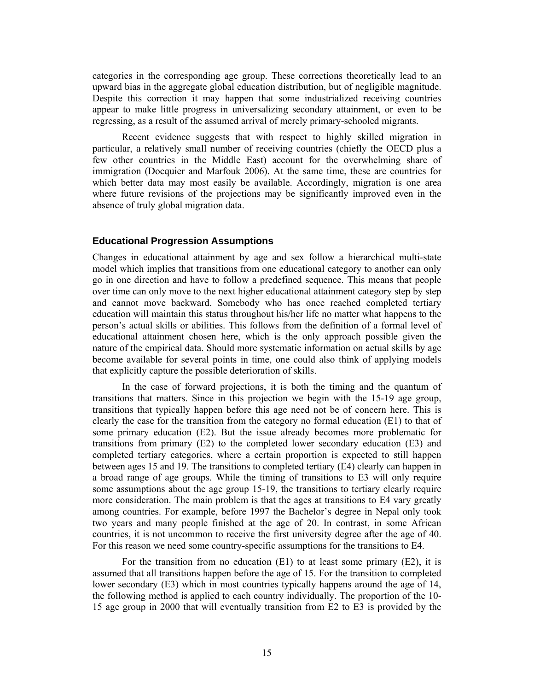categories in the corresponding age group. These corrections theoretically lead to an upward bias in the aggregate global education distribution, but of negligible magnitude. Despite this correction it may happen that some industrialized receiving countries appear to make little progress in universalizing secondary attainment, or even to be regressing, as a result of the assumed arrival of merely primary-schooled migrants.

Recent evidence suggests that with respect to highly skilled migration in particular, a relatively small number of receiving countries (chiefly the OECD plus a few other countries in the Middle East) account for the overwhelming share of immigration (Docquier and Marfouk 2006). At the same time, these are countries for which better data may most easily be available. Accordingly, migration is one area where future revisions of the projections may be significantly improved even in the absence of truly global migration data.

#### **Educational Progression Assumptions**

Changes in educational attainment by age and sex follow a hierarchical multi-state model which implies that transitions from one educational category to another can only go in one direction and have to follow a predefined sequence. This means that people over time can only move to the next higher educational attainment category step by step and cannot move backward. Somebody who has once reached completed tertiary education will maintain this status throughout his/her life no matter what happens to the person's actual skills or abilities. This follows from the definition of a formal level of educational attainment chosen here, which is the only approach possible given the nature of the empirical data. Should more systematic information on actual skills by age become available for several points in time, one could also think of applying models that explicitly capture the possible deterioration of skills.

In the case of forward projections, it is both the timing and the quantum of transitions that matters. Since in this projection we begin with the 15-19 age group, transitions that typically happen before this age need not be of concern here. This is clearly the case for the transition from the category no formal education  $(E1)$  to that of some primary education (E2). But the issue already becomes more problematic for transitions from primary  $(E2)$  to the completed lower secondary education  $(E3)$  and completed tertiary categories, where a certain proportion is expected to still happen between ages 15 and 19. The transitions to completed tertiary (E4) clearly can happen in a broad range of age groups. While the timing of transitions to E3 will only require some assumptions about the age group 15-19, the transitions to tertiary clearly require more consideration. The main problem is that the ages at transitions to E4 vary greatly among countries. For example, before 1997 the Bachelor's degree in Nepal only took two years and many people finished at the age of 20. In contrast, in some African countries, it is not uncommon to receive the first university degree after the age of 40. For this reason we need some country-specific assumptions for the transitions to E4.

For the transition from no education  $(E1)$  to at least some primary  $(E2)$ , it is assumed that all transitions happen before the age of 15. For the transition to completed lower secondary (E3) which in most countries typically happens around the age of 14, the following method is applied to each country individually. The proportion of the 10- 15 age group in 2000 that will eventually transition from E2 to E3 is provided by the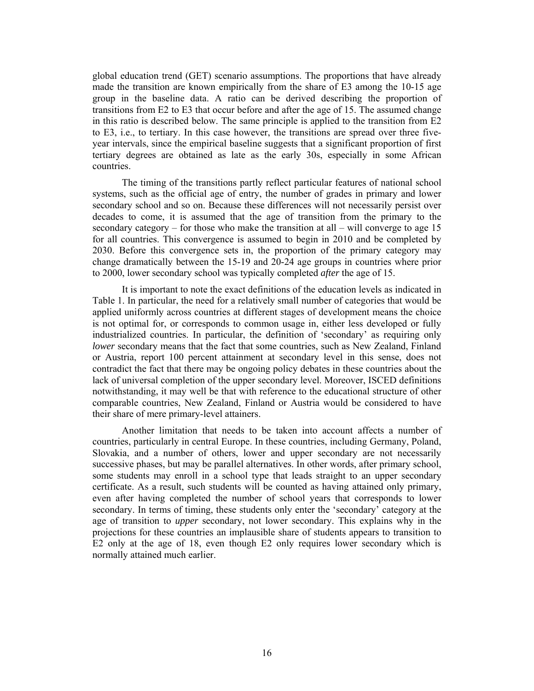global education trend (GET) scenario assumptions. The proportions that have already made the transition are known empirically from the share of E3 among the 10-15 age group in the baseline data. A ratio can be derived describing the proportion of transitions from E2 to E3 that occur before and after the age of 15. The assumed change in this ratio is described below. The same principle is applied to the transition from E2 to E3, i.e., to tertiary. In this case however, the transitions are spread over three fiveyear intervals, since the empirical baseline suggests that a significant proportion of first tertiary degrees are obtained as late as the early 30s, especially in some African countries.

The timing of the transitions partly reflect particular features of national school systems, such as the official age of entry, the number of grades in primary and lower secondary school and so on. Because these differences will not necessarily persist over decades to come, it is assumed that the age of transition from the primary to the secondary category – for those who make the transition at all – will converge to age 15 for all countries. This convergence is assumed to begin in 2010 and be completed by 2030. Before this convergence sets in, the proportion of the primary category may change dramatically between the 15-19 and 20-24 age groups in countries where prior to 2000, lower secondary school was typically completed *after* the age of 15.

It is important to note the exact definitions of the education levels as indicated in Table 1. In particular, the need for a relatively small number of categories that would be applied uniformly across countries at different stages of development means the choice is not optimal for, or corresponds to common usage in, either less developed or fully industrialized countries. In particular, the definition of 'secondary' as requiring only *lower* secondary means that the fact that some countries, such as New Zealand, Finland or Austria, report 100 percent attainment at secondary level in this sense, does not contradict the fact that there may be ongoing policy debates in these countries about the lack of universal completion of the upper secondary level. Moreover, ISCED definitions notwithstanding, it may well be that with reference to the educational structure of other comparable countries, New Zealand, Finland or Austria would be considered to have their share of mere primary-level attainers.

Another limitation that needs to be taken into account affects a number of countries, particularly in central Europe. In these countries, including Germany, Poland, Slovakia, and a number of others, lower and upper secondary are not necessarily successive phases, but may be parallel alternatives. In other words, after primary school, some students may enroll in a school type that leads straight to an upper secondary certificate. As a result, such students will be counted as having attained only primary, even after having completed the number of school years that corresponds to lower secondary. In terms of timing, these students only enter the 'secondary' category at the age of transition to *upper* secondary, not lower secondary. This explains why in the projections for these countries an implausible share of students appears to transition to E2 only at the age of 18, even though E2 only requires lower secondary which is normally attained much earlier.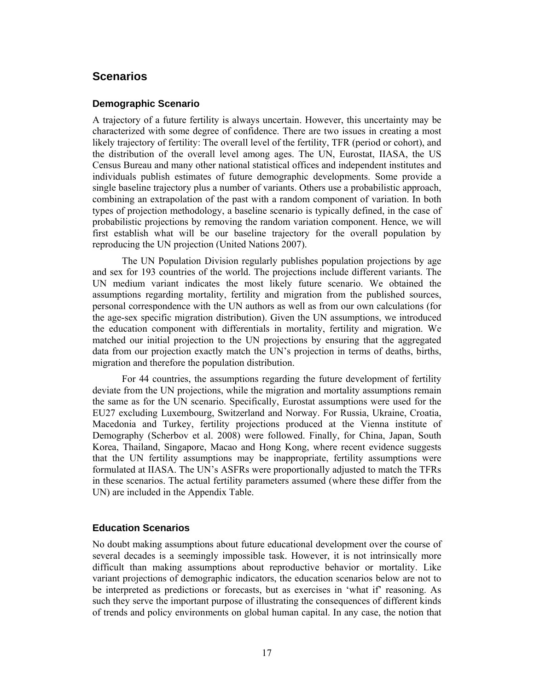### **Scenarios**

#### **Demographic Scenario**

A trajectory of a future fertility is always uncertain. However, this uncertainty may be characterized with some degree of confidence. There are two issues in creating a most likely trajectory of fertility: The overall level of the fertility, TFR (period or cohort), and the distribution of the overall level among ages. The UN, Eurostat, IIASA, the US Census Bureau and many other national statistical offices and independent institutes and individuals publish estimates of future demographic developments. Some provide a single baseline trajectory plus a number of variants. Others use a probabilistic approach, combining an extrapolation of the past with a random component of variation. In both types of projection methodology, a baseline scenario is typically defined, in the case of probabilistic projections by removing the random variation component. Hence, we will first establish what will be our baseline trajectory for the overall population by reproducing the UN projection (United Nations 2007).

The UN Population Division regularly publishes population projections by age and sex for 193 countries of the world. The projections include different variants. The UN medium variant indicates the most likely future scenario. We obtained the assumptions regarding mortality, fertility and migration from the published sources, personal correspondence with the UN authors as well as from our own calculations (for the age-sex specific migration distribution). Given the UN assumptions, we introduced the education component with differentials in mortality, fertility and migration. We matched our initial projection to the UN projections by ensuring that the aggregated data from our projection exactly match the UN's projection in terms of deaths, births, migration and therefore the population distribution.

For 44 countries, the assumptions regarding the future development of fertility deviate from the UN projections, while the migration and mortality assumptions remain the same as for the UN scenario. Specifically, Eurostat assumptions were used for the EU27 excluding Luxembourg, Switzerland and Norway. For Russia, Ukraine, Croatia, Macedonia and Turkey, fertility projections produced at the Vienna institute of Demography (Scherbov et al. 2008) were followed. Finally, for China, Japan, South Korea, Thailand, Singapore, Macao and Hong Kong, where recent evidence suggests that the UN fertility assumptions may be inappropriate, fertility assumptions were formulated at IIASA. The UN's ASFRs were proportionally adjusted to match the TFRs in these scenarios. The actual fertility parameters assumed (where these differ from the UN) are included in the Appendix Table.

#### **Education Scenarios**

No doubt making assumptions about future educational development over the course of several decades is a seemingly impossible task. However, it is not intrinsically more difficult than making assumptions about reproductive behavior or mortality. Like variant projections of demographic indicators, the education scenarios below are not to be interpreted as predictions or forecasts, but as exercises in 'what if' reasoning. As such they serve the important purpose of illustrating the consequences of different kinds of trends and policy environments on global human capital. In any case, the notion that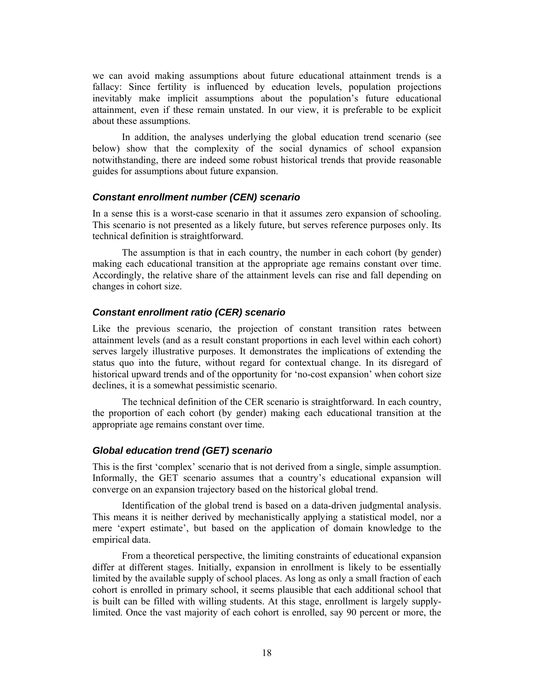we can avoid making assumptions about future educational attainment trends is a fallacy: Since fertility is influenced by education levels, population projections inevitably make implicit assumptions about the population's future educational attainment, even if these remain unstated. In our view, it is preferable to be explicit about these assumptions.

In addition, the analyses underlying the global education trend scenario (see below) show that the complexity of the social dynamics of school expansion notwithstanding, there are indeed some robust historical trends that provide reasonable guides for assumptions about future expansion.

#### *Constant enrollment number (CEN) scenario*

In a sense this is a worst-case scenario in that it assumes zero expansion of schooling. This scenario is not presented as a likely future, but serves reference purposes only. Its technical definition is straightforward.

The assumption is that in each country, the number in each cohort (by gender) making each educational transition at the appropriate age remains constant over time. Accordingly, the relative share of the attainment levels can rise and fall depending on changes in cohort size.

#### *Constant enrollment ratio (CER) scenario*

Like the previous scenario, the projection of constant transition rates between attainment levels (and as a result constant proportions in each level within each cohort) serves largely illustrative purposes. It demonstrates the implications of extending the status quo into the future, without regard for contextual change. In its disregard of historical upward trends and of the opportunity for 'no-cost expansion' when cohort size declines, it is a somewhat pessimistic scenario.

The technical definition of the CER scenario is straightforward. In each country, the proportion of each cohort (by gender) making each educational transition at the appropriate age remains constant over time.

#### *Global education trend (GET) scenario*

This is the first 'complex' scenario that is not derived from a single, simple assumption. Informally, the GET scenario assumes that a country's educational expansion will converge on an expansion trajectory based on the historical global trend.

Identification of the global trend is based on a data-driven judgmental analysis. This means it is neither derived by mechanistically applying a statistical model, nor a mere 'expert estimate', but based on the application of domain knowledge to the empirical data.

From a theoretical perspective, the limiting constraints of educational expansion differ at different stages. Initially, expansion in enrollment is likely to be essentially limited by the available supply of school places. As long as only a small fraction of each cohort is enrolled in primary school, it seems plausible that each additional school that is built can be filled with willing students. At this stage, enrollment is largely supplylimited. Once the vast majority of each cohort is enrolled, say 90 percent or more, the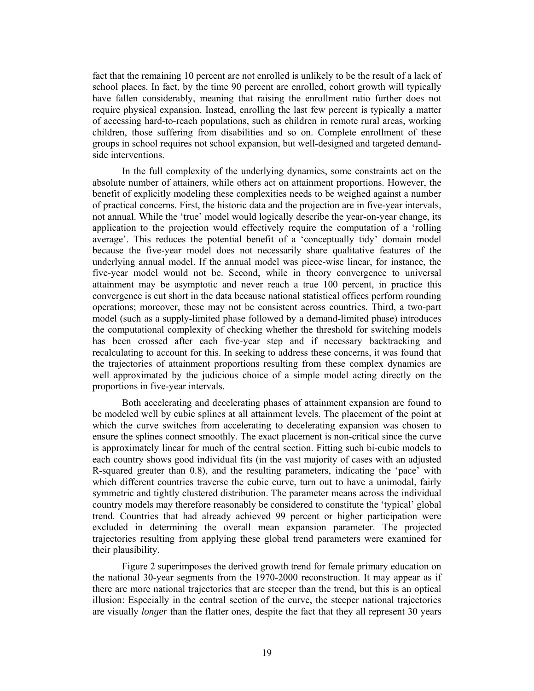fact that the remaining 10 percent are not enrolled is unlikely to be the result of a lack of school places. In fact, by the time 90 percent are enrolled, cohort growth will typically have fallen considerably, meaning that raising the enrollment ratio further does not require physical expansion. Instead, enrolling the last few percent is typically a matter of accessing hard-to-reach populations, such as children in remote rural areas, working children, those suffering from disabilities and so on. Complete enrollment of these groups in school requires not school expansion, but well-designed and targeted demandside interventions.

In the full complexity of the underlying dynamics, some constraints act on the absolute number of attainers, while others act on attainment proportions. However, the benefit of explicitly modeling these complexities needs to be weighed against a number of practical concerns. First, the historic data and the projection are in five-year intervals, not annual. While the 'true' model would logically describe the year-on-year change, its application to the projection would effectively require the computation of a 'rolling average'. This reduces the potential benefit of a 'conceptually tidy' domain model because the five-year model does not necessarily share qualitative features of the underlying annual model. If the annual model was piece-wise linear, for instance, the five-year model would not be. Second, while in theory convergence to universal attainment may be asymptotic and never reach a true 100 percent, in practice this convergence is cut short in the data because national statistical offices perform rounding operations; moreover, these may not be consistent across countries. Third, a two-part model (such as a supply-limited phase followed by a demand-limited phase) introduces the computational complexity of checking whether the threshold for switching models has been crossed after each five-year step and if necessary backtracking and recalculating to account for this. In seeking to address these concerns, it was found that the trajectories of attainment proportions resulting from these complex dynamics are well approximated by the judicious choice of a simple model acting directly on the proportions in five-year intervals.

Both accelerating and decelerating phases of attainment expansion are found to be modeled well by cubic splines at all attainment levels. The placement of the point at which the curve switches from accelerating to decelerating expansion was chosen to ensure the splines connect smoothly. The exact placement is non-critical since the curve is approximately linear for much of the central section. Fitting such bi-cubic models to each country shows good individual fits (in the vast majority of cases with an adjusted R-squared greater than 0.8), and the resulting parameters, indicating the 'pace' with which different countries traverse the cubic curve, turn out to have a unimodal, fairly symmetric and tightly clustered distribution. The parameter means across the individual country models may therefore reasonably be considered to constitute the 'typical' global trend. Countries that had already achieved 99 percent or higher participation were excluded in determining the overall mean expansion parameter. The projected trajectories resulting from applying these global trend parameters were examined for their plausibility.

Figure 2 superimposes the derived growth trend for female primary education on the national 30-year segments from the 1970-2000 reconstruction. It may appear as if there are more national trajectories that are steeper than the trend, but this is an optical illusion: Especially in the central section of the curve, the steeper national trajectories are visually *longer* than the flatter ones, despite the fact that they all represent 30 years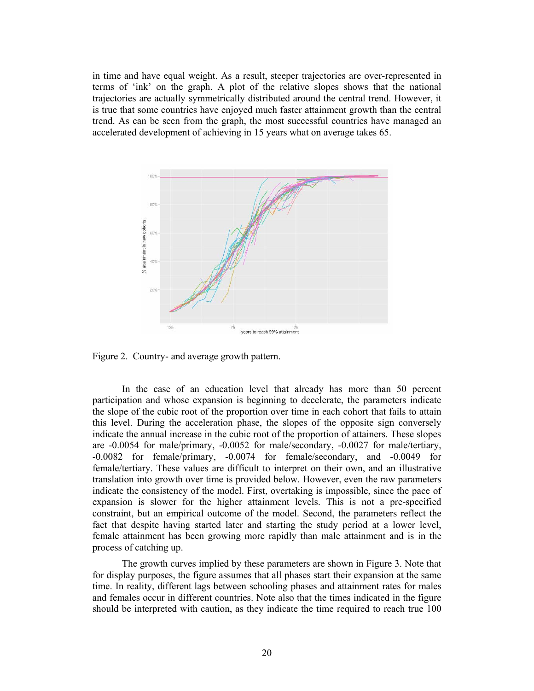in time and have equal weight. As a result, steeper trajectories are over-represented in terms of 'ink' on the graph. A plot of the relative slopes shows that the national trajectories are actually symmetrically distributed around the central trend. However, it is true that some countries have enjoyed much faster attainment growth than the central trend. As can be seen from the graph, the most successful countries have managed an accelerated development of achieving in 15 years what on average takes 65.



Figure 2. Country- and average growth pattern.

In the case of an education level that already has more than 50 percent participation and whose expansion is beginning to decelerate, the parameters indicate the slope of the cubic root of the proportion over time in each cohort that fails to attain this level. During the acceleration phase, the slopes of the opposite sign conversely indicate the annual increase in the cubic root of the proportion of attainers. These slopes are -0.0054 for male/primary, -0.0052 for male/secondary, -0.0027 for male/tertiary, -0.0082 for female/primary, -0.0074 for female/secondary, and -0.0049 for female/tertiary. These values are difficult to interpret on their own, and an illustrative translation into growth over time is provided below. However, even the raw parameters indicate the consistency of the model. First, overtaking is impossible, since the pace of expansion is slower for the higher attainment levels. This is not a pre-specified constraint, but an empirical outcome of the model. Second, the parameters reflect the fact that despite having started later and starting the study period at a lower level, female attainment has been growing more rapidly than male attainment and is in the process of catching up.

The growth curves implied by these parameters are shown in Figure 3. Note that for display purposes, the figure assumes that all phases start their expansion at the same time. In reality, different lags between schooling phases and attainment rates for males and females occur in different countries. Note also that the times indicated in the figure should be interpreted with caution, as they indicate the time required to reach true 100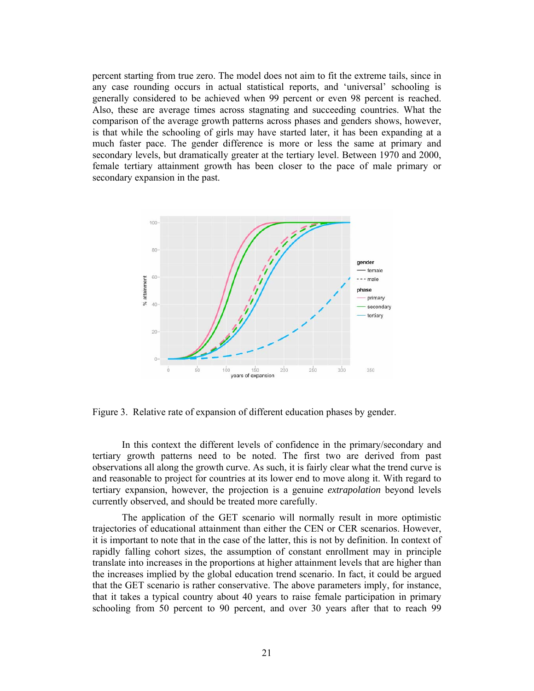percent starting from true zero. The model does not aim to fit the extreme tails, since in any case rounding occurs in actual statistical reports, and 'universal' schooling is generally considered to be achieved when 99 percent or even 98 percent is reached. Also, these are average times across stagnating and succeeding countries. What the comparison of the average growth patterns across phases and genders shows, however, is that while the schooling of girls may have started later, it has been expanding at a much faster pace. The gender difference is more or less the same at primary and secondary levels, but dramatically greater at the tertiary level. Between 1970 and 2000, female tertiary attainment growth has been closer to the pace of male primary or secondary expansion in the past.



Figure 3. Relative rate of expansion of different education phases by gender.

In this context the different levels of confidence in the primary/secondary and tertiary growth patterns need to be noted. The first two are derived from past observations all along the growth curve. As such, it is fairly clear what the trend curve is and reasonable to project for countries at its lower end to move along it. With regard to tertiary expansion, however, the projection is a genuine *extrapolation* beyond levels currently observed, and should be treated more carefully.

The application of the GET scenario will normally result in more optimistic trajectories of educational attainment than either the CEN or CER scenarios. However, it is important to note that in the case of the latter, this is not by definition. In context of rapidly falling cohort sizes, the assumption of constant enrollment may in principle translate into increases in the proportions at higher attainment levels that are higher than the increases implied by the global education trend scenario. In fact, it could be argued that the GET scenario is rather conservative. The above parameters imply, for instance, that it takes a typical country about 40 years to raise female participation in primary schooling from 50 percent to 90 percent, and over 30 years after that to reach 99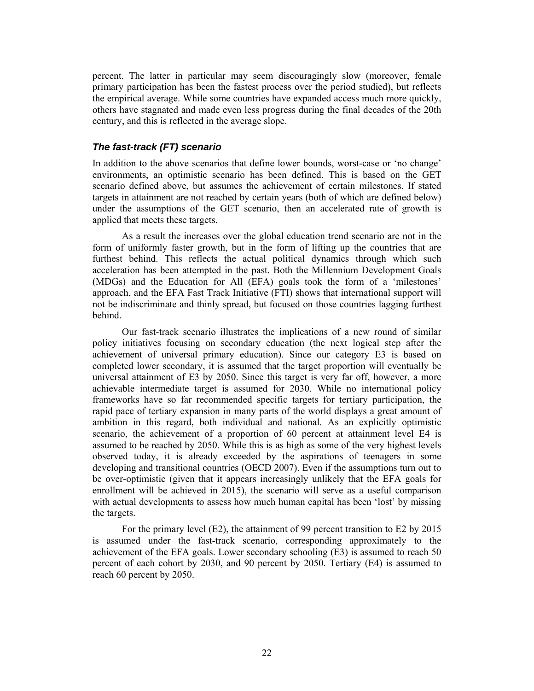percent. The latter in particular may seem discouragingly slow (moreover, female primary participation has been the fastest process over the period studied), but reflects the empirical average. While some countries have expanded access much more quickly, others have stagnated and made even less progress during the final decades of the 20th century, and this is reflected in the average slope.

#### *The fast-track (FT) scenario*

In addition to the above scenarios that define lower bounds, worst-case or 'no change' environments, an optimistic scenario has been defined. This is based on the GET scenario defined above, but assumes the achievement of certain milestones. If stated targets in attainment are not reached by certain years (both of which are defined below) under the assumptions of the GET scenario, then an accelerated rate of growth is applied that meets these targets.

As a result the increases over the global education trend scenario are not in the form of uniformly faster growth, but in the form of lifting up the countries that are furthest behind. This reflects the actual political dynamics through which such acceleration has been attempted in the past. Both the Millennium Development Goals (MDGs) and the Education for All (EFA) goals took the form of a 'milestones' approach, and the EFA Fast Track Initiative (FTI) shows that international support will not be indiscriminate and thinly spread, but focused on those countries lagging furthest behind.

Our fast-track scenario illustrates the implications of a new round of similar policy initiatives focusing on secondary education (the next logical step after the achievement of universal primary education). Since our category E3 is based on completed lower secondary, it is assumed that the target proportion will eventually be universal attainment of E3 by 2050. Since this target is very far off, however, a more achievable intermediate target is assumed for 2030. While no international policy frameworks have so far recommended specific targets for tertiary participation, the rapid pace of tertiary expansion in many parts of the world displays a great amount of ambition in this regard, both individual and national. As an explicitly optimistic scenario, the achievement of a proportion of 60 percent at attainment level E4 is assumed to be reached by 2050. While this is as high as some of the very highest levels observed today, it is already exceeded by the aspirations of teenagers in some developing and transitional countries (OECD 2007). Even if the assumptions turn out to be over-optimistic (given that it appears increasingly unlikely that the EFA goals for enrollment will be achieved in 2015), the scenario will serve as a useful comparison with actual developments to assess how much human capital has been 'lost' by missing the targets.

For the primary level (E2), the attainment of 99 percent transition to E2 by 2015 is assumed under the fast-track scenario, corresponding approximately to the achievement of the EFA goals. Lower secondary schooling (E3) is assumed to reach 50 percent of each cohort by 2030, and 90 percent by 2050. Tertiary (E4) is assumed to reach 60 percent by 2050.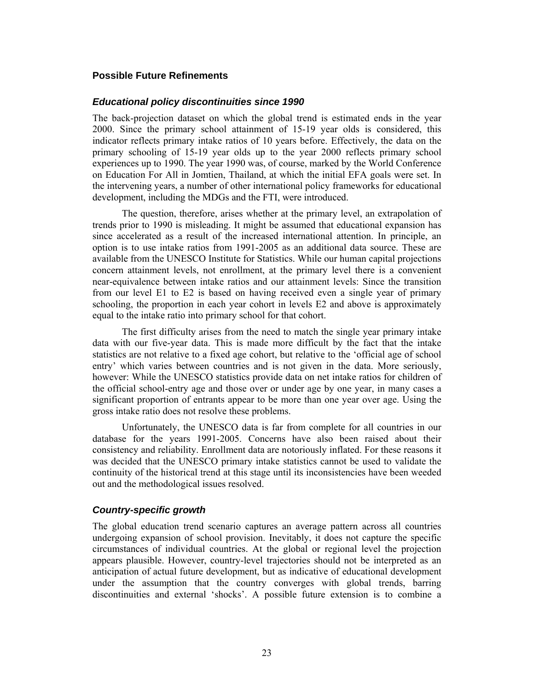#### **Possible Future Refinements**

#### *Educational policy discontinuities since 1990*

The back-projection dataset on which the global trend is estimated ends in the year 2000. Since the primary school attainment of 15-19 year olds is considered, this indicator reflects primary intake ratios of 10 years before. Effectively, the data on the primary schooling of 15-19 year olds up to the year 2000 reflects primary school experiences up to 1990. The year 1990 was, of course, marked by the World Conference on Education For All in Jomtien, Thailand, at which the initial EFA goals were set. In the intervening years, a number of other international policy frameworks for educational development, including the MDGs and the FTI, were introduced.

The question, therefore, arises whether at the primary level, an extrapolation of trends prior to 1990 is misleading. It might be assumed that educational expansion has since accelerated as a result of the increased international attention. In principle, an option is to use intake ratios from 1991-2005 as an additional data source. These are available from the UNESCO Institute for Statistics. While our human capital projections concern attainment levels, not enrollment, at the primary level there is a convenient near-equivalence between intake ratios and our attainment levels: Since the transition from our level E1 to E2 is based on having received even a single year of primary schooling, the proportion in each year cohort in levels E2 and above is approximately equal to the intake ratio into primary school for that cohort.

The first difficulty arises from the need to match the single year primary intake data with our five-year data. This is made more difficult by the fact that the intake statistics are not relative to a fixed age cohort, but relative to the 'official age of school entry' which varies between countries and is not given in the data. More seriously, however: While the UNESCO statistics provide data on net intake ratios for children of the official school-entry age and those over or under age by one year, in many cases a significant proportion of entrants appear to be more than one year over age. Using the gross intake ratio does not resolve these problems.

Unfortunately, the UNESCO data is far from complete for all countries in our database for the years 1991-2005. Concerns have also been raised about their consistency and reliability. Enrollment data are notoriously inflated. For these reasons it was decided that the UNESCO primary intake statistics cannot be used to validate the continuity of the historical trend at this stage until its inconsistencies have been weeded out and the methodological issues resolved.

#### *Country-specific growth*

The global education trend scenario captures an average pattern across all countries undergoing expansion of school provision. Inevitably, it does not capture the specific circumstances of individual countries. At the global or regional level the projection appears plausible. However, country-level trajectories should not be interpreted as an anticipation of actual future development, but as indicative of educational development under the assumption that the country converges with global trends, barring discontinuities and external 'shocks'. A possible future extension is to combine a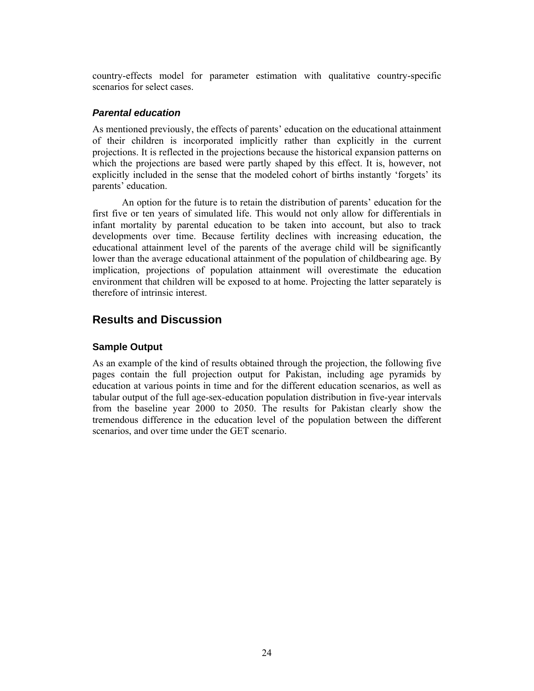country-effects model for parameter estimation with qualitative country-specific scenarios for select cases.

#### *Parental education*

As mentioned previously, the effects of parents' education on the educational attainment of their children is incorporated implicitly rather than explicitly in the current projections. It is reflected in the projections because the historical expansion patterns on which the projections are based were partly shaped by this effect. It is, however, not explicitly included in the sense that the modeled cohort of births instantly 'forgets' its parents' education.

An option for the future is to retain the distribution of parents' education for the first five or ten years of simulated life. This would not only allow for differentials in infant mortality by parental education to be taken into account, but also to track developments over time. Because fertility declines with increasing education, the educational attainment level of the parents of the average child will be significantly lower than the average educational attainment of the population of childbearing age. By implication, projections of population attainment will overestimate the education environment that children will be exposed to at home. Projecting the latter separately is therefore of intrinsic interest.

# **Results and Discussion**

#### **Sample Output**

As an example of the kind of results obtained through the projection, the following five pages contain the full projection output for Pakistan, including age pyramids by education at various points in time and for the different education scenarios, as well as tabular output of the full age-sex-education population distribution in five-year intervals from the baseline year 2000 to 2050. The results for Pakistan clearly show the tremendous difference in the education level of the population between the different scenarios, and over time under the GET scenario.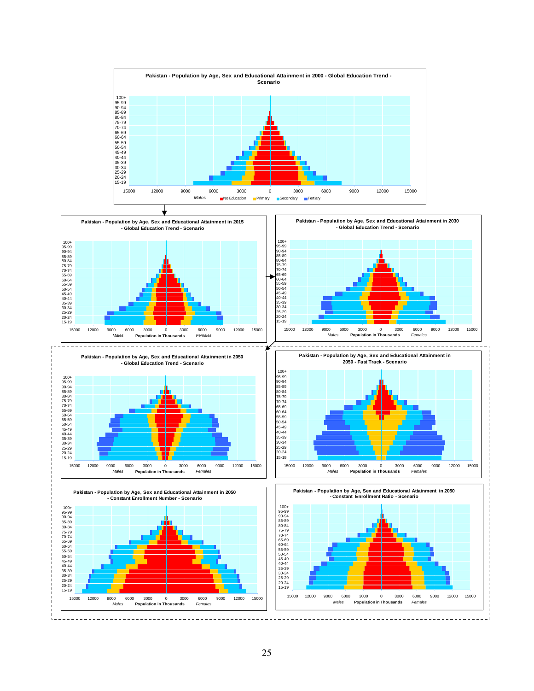

#### 25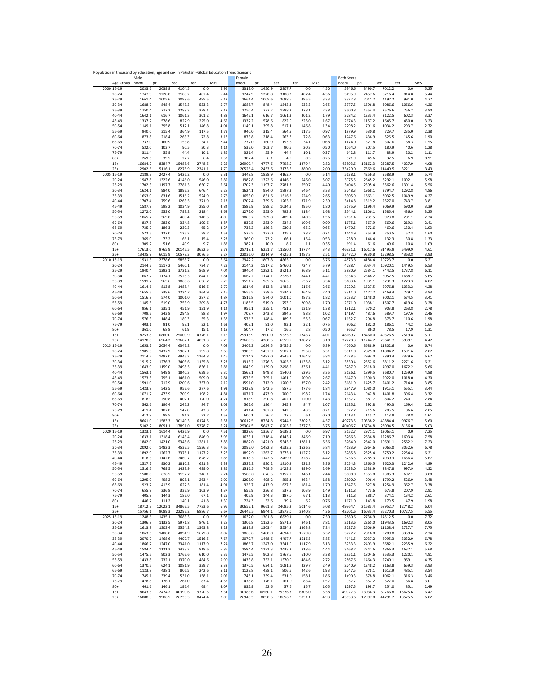| Population in thousand by education, age and sex in Pakistan - Global Education Trend Scenario |                  |                  |                  |                 |              |                  |                  |                  |                 |              |                            |                  |                    |                  |              |
|------------------------------------------------------------------------------------------------|------------------|------------------|------------------|-----------------|--------------|------------------|------------------|------------------|-----------------|--------------|----------------------------|------------------|--------------------|------------------|--------------|
| Age Group                                                                                      | Male<br>noedu    | pri              | sec<br>ter       |                 | MYS          | Female<br>noedu  | pri              | seo              | ter             | <b>MYS</b>   | <b>Both Sexes</b><br>noedu | pri              | seo                | ter              | MYS          |
| 2000 15-19                                                                                     | 2033.6           | 2039.8           | 4104.5           | 0.0             | 5.95         | 3313.0           | 1450.9           | 2907.7           | 0.0             | 4.50         | 5346.6                     | 3490.7           | 7012.2             | 0.0              | 5.25         |
| $20 - 24$                                                                                      | 1747.9           | 1228.8           | 3108.2           | 407.4           | 6.44         | 1747.9           | 1228.8           | 3108.2           | 407.4           | 4.36         | 3495.9                     | 2457.6           | 6216.4             | 814.8            | 5.44         |
| 25-29<br>30-34                                                                                 | 1661.4<br>1688.7 | 1005.6<br>848.4  | 2098.6<br>1543.3 | 495.5<br>533.3  | 6.12<br>5.77 | 1661.4<br>1688.7 | 1005.6<br>848.4  | 2098.6<br>1543.3 | 495.5<br>533.3  | 3.33<br>2.65 | 3322.8<br>3377.5           | 2011.2<br>1696.8 | 4197.2<br>3086.6   | 991.0<br>1066.6  | 4.77<br>4.26 |
| 35-39                                                                                          | 1750.4           | 777.2            | 1288.3           | 378.1           | 5.12         | 1750.4           | 777.2            | 1288.3           | 378.1           | 2.38         | 3500.8                     | 1554.4           | 2576.6             | 756.2            | 3.80         |
| $40 - 44$                                                                                      | 1642.1           | 616.7            | 1061.3           | 301.2           | 4.82         | 1642.1           | 616.7            | 1061.3           | 301.2           | 1.79         | 3284.2                     | 1233.4           | 2122.5             | 602.3            | 3.37         |
| 45-49<br>50-54                                                                                 | 1337.2           | 578.6<br>395.8   | 822.9<br>517.1   | 225.0<br>146.8  | 4.65<br>4.01 | 1337.2<br>1149.1 | 578.6<br>395.8   | 822.9<br>517.1   | 225.0<br>146.8  | 1.67<br>1.34 | 2674.3<br>2298.2           | 1157.2<br>791.6  | 1645.7<br>1034.2   | 450.0<br>293.7   | 3.23<br>2.72 |
| 55-59                                                                                          | 1149.1<br>940.0  | 315.4            | 364.9            | 117.5           | 3.79         | 940.0            | 315.4            | 364.9            | 117.5           | 0.97         | 1879.9                     | 630.8            | 729.7              | 235.0            | 2.38         |
| $60 - 64$                                                                                      | 873.8            | 218.4            | 263.3            | 72.8            | 3.18         | 873.8            | 218.4            | 263.3            | 72.8            | 0.63         | 1747.6                     | 436.9            | 526.5              | 145.6            | 1.90         |
| $65 - 69$                                                                                      | 737.0            | 160.9            | 153.8            | 34.1            | 2.44         | 737.0            | 160.9            | 153.8            | 34.1            | 0.68         | 1474.0                     | 321.8            | 307.6              | 68.3             | 1.55         |
| 70-74<br>75-79                                                                                 | 532.0<br>321.4   | 103.7<br>55.9    | 90.5<br>44.4     | 20.3<br>10.1    | 2.14<br>1.86 | 532.0<br>321.4   | 103.7<br>55.9    | 90.5<br>44.4     | 20.3<br>10.1    | 0.50<br>0.37 | 1064.0<br>642.8            | 207.5<br>111.7   | 180.9<br>88.9      | 40.6<br>20.2     | 1.28<br>1.11 |
| $80+$                                                                                          | 269.6            | 39.5             | 27.7             | 6.4             | 1.52         | 302.4            | 6.1              | 4.9              | 0.5             | 0.25         | 571.9                      | 45.6             | 32.5               | 6.9              | 0.91         |
| $15+$                                                                                          | 16684.2          | 8384.7           | 15488.6          | 2748.5          | 5.25         | 26909.4          | 4777.6           | 7798.9           | 1279.4          | 2.82         | 43593.6                    | 13162.3          | 23287.5            | 4027.9           | 4.08         |
| $25+$                                                                                          | 12902.6          | 5116.1           | 8275.9           | 2341.1          | 4.79         | 20526.4          | 2453.6           | 3173.6           | 880.0           | 2.00         | 33429.0                    | 7569.6           | 11449.5            | 3221.1           | 3.43         |
| 2005 15-19<br>$20 - 24$                                                                        | 2189.3<br>1987.8 | 2427.4<br>1322.6 | 5426.2<br>4146.0 | 0.0             | 6.31<br>6.82 | 3448.8<br>1987.8 | 1828.9<br>1322.6 | 4162.7<br>4146.0 | 0.0<br>546.0    | 5.14<br>5.07 | 5638.1<br>3975.5           | 4256.3<br>2645.2 | 9588.9<br>8292.1   | 0.0<br>1092.1    | 5.74<br>5.98 |
| 25-29                                                                                          | 1702.3           | 1197.7           | 2781.3           | 546.0<br>650.7  | 6.64         | 1702.3           | 1197.7           | 2781.3           | 650.7           | 4.40         | 3404.5                     | 2395.4           | 5562.6             | 1301.4           | 5.56         |
| 30-34                                                                                          | 1624.1           | 984.0            | 1897.3           | 646.4           | 6.28         | 1624.1           | 984.0            | 1897.3           | 646.4           | 3.33         | 3248.3                     | 1968.1           | 3794.7             | 1292.8           | 4.86         |
| 35-39                                                                                          | 1653.0           | 831.6            | 1516.2           | 524.9           | 5.78         | 1653.0           | 831.6            | 1516.2           | 524.9           | 2.65         | 3305.9                     | 1663.1           | 3032.5             | 1049.9           | 4.27         |
| 40-44<br>45-49                                                                                 | 1707.4<br>1587.9 | 759.6<br>598.2   | 1263.5<br>1034.9 | 371.9<br>295.0  | 5.13<br>4.84 | 1707.4<br>1587.9 | 759.6<br>598.2   | 1263.5<br>1034.9 | 371.9<br>295.0  | 2.39<br>1.80 | 3414.8<br>3175.9           | 1519.2<br>1196.4 | 2527.0<br>2069.9   | 743.7<br>590.0   | 3.81<br>3.39 |
| 50-54                                                                                          | 1272.0           | 553.0            | 793.2            | 218.4           | 4.68         | 1272.0           | 553.0            | 793.2            | 218.4           | 1.68         | 2544.1                     | 1106.1           | 1586.4             | 436.9            | 3.25         |
| 55-59                                                                                          | 1065.7           | 369.8            | 489.4            | 140.5           | 4.06         | 1065.7           | 369.8            | 489.4            | 140.5           | 1.36         | 2131.4                     | 739.5            | 978.8              | 281.1            | 2.74         |
| 60-64                                                                                          | 837.5            | 283.9            | 334.8            | 109.6           | 3.87         | 837.5            | 283.9            | 334.8            | 109.6           | 0.99         | 1675.1                     | 567.9            | 669.6              | 219.3            | 2.41         |
| 65-69                                                                                          | 735.2            | 186.3            | 230.3            | 65.2            | 3.27         | 735.2            | 186.3            | 230.3            | 65.2            | 0.65         | 1470.5                     | 372.6            | 460.6              | 130.4            | 1.93         |
| 70-74<br>75-79                                                                                 | 572.5<br>369.0   | 127.0<br>73.2    | 125.2<br>66.1    | 28.7<br>15.4    | 2.53<br>2.23 | 572.5<br>369.0   | 127.0<br>73.2    | 125.2<br>66.1    | 28.7<br>15.4    | 0.71<br>0.53 | 1144.9<br>738.0            | 253.9<br>146.4   | 250.5<br>132.3     | 57.3<br>30.8     | 1.60<br>1.33 |
| $80+$                                                                                          | 309.2            | 51.6             | 40.9             | 9.7             | 1.82         | 382.1            | 10.0             | 8.7              | 1.1             | 0.35         | 691.4                      | 61.6             | 49.6               | 10.8             | 1.09         |
| $15+$                                                                                          | 17613.0          | 9765.9           | 20145.5          | 3622.5          | 5.72         | 28718.1          | 6251.7           | 11350.4          | 1877.4          | 3.43         | 46331.1                    | 16017.6          | 31495.9            | 5499.9           | 4.61         |
| $25+$                                                                                          | 13435.9          | 6015.9           | 10573.3          | 3076.5          | 5.27         | 22036.0          | 3214.9           | 4725.3           | 1287.3          | 2.51         | 35472.0                    | 9230.8           | 15298.5            | 4363.8           | 3.93         |
| 2010 15-19                                                                                     | 1931.6           | 2378.6           | 5858.7           | 0.0             | 6.64         | 2942.2           | 1807.8           | 4865.0           | 0.0             | 5.76         | 4873.8                     | 4186.4           | 10723.7            | 0.0              | 6.21         |
| $20 - 24$<br>25-29                                                                             | 2144.2<br>1940.4 | 1517.2<br>1292.1 | 5460.1<br>3721.2 | 724.7<br>868.9  | 7.23<br>7.04 | 2144.2<br>1940.4 | 1517.2<br>1292.1 | 5460.1<br>3721.2 | 724.7<br>868.9  | 5.79<br>5.11 | 4288.4<br>3880.9           | 3034.4<br>2584.1 | 10920.1<br>7442.5  | 1449.5<br>1737.8 | 6.53<br>6.11 |
| 30-34                                                                                          | 1667.2           | 1174.1           | 2526.3           | 844.1           | 6.81         | 1667.2           | 1174.1           | 2526.3           | 844.1           | 4.41         | 3334.3                     | 2348.2           | 5052.5             | 1688.2           | 5.65         |
| 35-39                                                                                          | 1591.7           | 965.6            | 1865.6           | 636.7           | 6.29         | 1591.7           | 965.6            | 1865.6           | 636.7           | 3.34         | 3183.4                     | 1931.1           | 3731.3             | 1273.3           | 4.87         |
| 40-44                                                                                          | 1614.6           | 813.8            | 1488.4           | 516.6           | 5.79         | 1614.6           | 813.8            | 1488.4           | 516.6           | 2.66         | 3229.3                     | 1627.5           | 2976.8             | 1033.2           | 4.28         |
| 45-49                                                                                          | 1655.5           | 738.6<br>574.0   | 1234.7<br>1001.0 | 364.9<br>287.2  | 5.16<br>4.87 | 1655.5           | 738.6<br>574.0   | 1234.7<br>1001.0 | 364.9<br>287.2  | 2.40<br>1.82 | 3311.0<br>3033.7           | 1477.2<br>1148.0 | 2469.4<br>2002.1   | 729.7<br>574.5   | 3.83<br>3.41 |
| 50-54<br>55-59                                                                                 | 1516.8<br>1185.5 | 519.0            | 753.9            | 209.8           | 4.73         | 1516.8<br>1185.5 | 519.0            | 753.9            | 209.8           | 1.70         | 2371.0                     | 1038.1           | 1507.7             | 419.6            | 3.28         |
| 60-64                                                                                          | 956.1            | 335.1            | 451.9            | 131.9           | 4.14         | 956.1            | 335.1            | 451.9            | 131.9           | 1.38         | 1912.1                     | 670.2            | 903.8              | 263.8            | 2.78         |
| 65-69                                                                                          | 709.7            | 243.8            | 294.8            | 98.8            | 3.97         | 709.7            | 243.8            | 294.8            | 98.8            | 1.02         | 1419.4                     | 487.6            | 589.7              | 197.6            | 2.46         |
| 70-74                                                                                          | 576.3            | 148.4            | 189.3            | 55.3            | 3.38         | 576.3            | 148.4            | 189.3            | 55.3            | 0.67         | 1152.7                     | 296.8            | 378.7              | 110.6            | 1.98         |
| 75-79<br>$80+$                                                                                 | 403.1<br>361.0   | 91.0<br>68.8     | 93.1<br>61.9     | 22.1<br>15.1    | 2.63<br>2.18 | 403.1<br>504.7   | 91.0<br>17.2     | 93.1<br>16.6     | 22.1<br>2.8     | 0.75<br>0.50 | 806.2<br>865.7             | 182.0<br>86.0    | 186.1<br>78.5      | 44.2<br>17.9     | 1.65<br>1.31 |
| $15+$                                                                                          | 18253.8          | 10860.0          | 25000.9          | 4776.1          | 6.15         | 29915.9          | 7600.0           | 15325.6          | 2743.7          | 4.01         | 48169.7                    | 18460.0          | 40326.5            | 7519.8           | 5.11         |
| $25 -$                                                                                         | 14178.0          | 6964.2           | 13682.1          | 4051.3          | 5.75         | 23600.3          | 4280.5           | 6959.5           | 1887.7          | 3.10         | 37778.3                    | 11244.7          | 20641.7            | 5939.1           | 4.47         |
| 2015 15-19                                                                                     | 1653.2           | 2054.4           | 6347.2           | 0.0             | 7.08         | 2407.3           | 1634.5           | 5455.5           | 0.0             | 6.39         | 4060.6                     | 3688.9           | 11802.6            | 0.0              | 6.74         |
| $20 - 24$<br>25-29                                                                             | 1905.5<br>2114.2 | 1437.9<br>1497.0 | 5902.1<br>4945.2 | 795.8<br>1164.8 | 7.60<br>7.46 | 1905.5<br>2114.2 | 1437.9<br>1497.0 | 5902.1<br>4945.2 | 795.8<br>1164.8 | 6.51<br>5.84 | 3811.0<br>4228.5           | 2875.8<br>2994.0 | 11804.2<br>9890.4  | 1591.6<br>2329.6 | 7.07<br>6.67 |
| 30-34                                                                                          | 1915.2           | 1276.3           | 3405.6           | 1135.8          | 7.23         | 1915.2           | 1276.3           | 3405.6           | 1135.8          | 5.12         | 3830.4                     | 2552.6           | 6811.2             | 2271.6           | 6.21         |
| 35-39                                                                                          | 1643.9           | 1159.0           | 2498.5           | 836.1           | 6.82         | 1643.9           | 1159.0           | 2498.5           | 836.1           | 4.41         | 3287.9                     | 2318.0           | 4997.0             | 1672.2           | 5.66         |
| 40-44                                                                                          | 1563.1           | 949.8            | 1840.3           | 629.5           | 6.30         | 1563.1           | 949.8            | 1840.3           | 629.5           | 3.35         | 3126.1                     | 1899.5           | 3680.7             | 1259.0           | 4.88         |
| 45-49<br>50-54                                                                                 | 1573.5<br>1591.0 | 795.1<br>712.9   | 1461.0<br>1200.6 | 509.0<br>357.0  | 5.81<br>5.19 | 1573.5<br>1591.0 | 795.1<br>712.9   | 1461.0<br>1200.6 | 509.0<br>357.0  | 2.67<br>2.42 | 3147.0<br>3181.9           | 1590.3<br>1425.7 | 2922.0<br>2401.2   | 1018.0<br>714.0  | 4.30<br>3.85 |
| 55-59                                                                                          | 1423.9           | 542.5            | 957.6            | 277.6           | 4.93         | 1423.9           | 542.5            | 957.6            | 277.6           | 1.84         | 2847.9                     | 1085.0           | 1915.1             | 555.1            | 3.44         |
| 60-64                                                                                          | 1071.7           | 473.9            | 700.9            | 198.2           | 4.81         | 1071.7           | 473.9            | 700.9            | 198.2           | 1.74         | 2143.4                     | 947.8            | 1401.8             | 396.4            | 3.32         |
| $65 - 69$                                                                                      | 818.9            | 290.8            | 402.1            | 120.0           | 4.24         | 818.9            | 290.8            | 402.1            | 120.0           | 1.43         | 1637.7                     | 581.7            | 804.2              | 240.1            | 2.84         |
| 70-74                                                                                          | 562.6            | 196.4<br>107.8   | 245.2<br>142.8   | 84.7            | 4.09<br>3.52 | 562.6            | 196.4<br>107.8   | 245.2            | 84.7<br>43.3    | 1.07         | 1125.1                     | 392.8            | 490.3              | 169.4            | 2.52<br>2.05 |
| 75-79<br>$80+$                                                                                 | 411.4<br>412.9   | 89.5             | 91.2             | 43.3<br>22.7    | 2.58         | 411.4<br>600.1   | 26.2             | 142.8<br>27.5    | 6.1             | 0.71<br>0.70 | 822.7<br>1013.1            | 215.6<br>115.7   | 285.5<br>118.8     | 86.6<br>28.8     | 1.61         |
| $15+$                                                                                          | 18661.0          | 11583.3          | 30140.3          | 6174.5          | 6.57         | 30612.5          | 8754.8           | 19744.2          | 3802.3          | 4.57         | 49273.5                    | 20338.2          | 49884.4            | 9976.7           | 5.60         |
| $25 -$                                                                                         | 15102.2          | 8091.1           | 17891.0          | 5378.7          | 6.24         | 25304.5          | 5643.7           | 10203.5          | 2777.3          | 3.75         | 40406.7                    | 13734.8          | 28094.5            | 8156.0           | 5.03         |
| 2020 15-19                                                                                     | 1323.1           | 1614.4           | 6426.9           | 0.0             | 7.51         | 1829.6           | 1356.7           | 5638.1           | 0.0             | 6.97         | 3152.7                     | 2971.1           | 12065.1            | 0.0              | 7.25         |
| $20 - 24$<br>25-29                                                                             | 1633.1<br>1882.0 | 1318.4<br>1421.0 | 6143.4<br>5345.6 | 846.9<br>1281.1 | 7.95<br>7.86 | 1633.1<br>1882.0 | 1318.4<br>1421.0 | 6143.4<br>5345.6 | 846.9<br>1281.1 | 7.19<br>6.56 | 3266.3<br>3764.0           | 2636.8<br>2842.0 | 12286.7<br>10691.1 | 1693.8<br>2562.2 | 7.58<br>7.23 |
| 30-34                                                                                          | 2092.0           | 1482.3           | 4532.5           | 1526.3          | 7.66         | 2092.0           | 1482.3           | 4532.5           | 1526.3          | 5.84         | 4183.9                     | 2964.6           | 9065.0             | 3052.6           | 6.78         |
| 35-39                                                                                          | 1892.9           | 1262.7           | 3375.1           | 1127.2          | 7.23         | 1892.9           | 1262.7           | 3375.1           | 1127.2          | 5.12         | 3785.8                     | 2525.4           | 6750.2             | 2254.4           | 6.21         |
| $40 - 44$<br>45-49                                                                             | 1618.3           | 1142.6<br>930.2  | 2469.7           | 828.2           | 6.83<br>6.32 | 1618.3           | 1142.6<br>930.2  | 2469.7           | 828.2<br>621.3  | 4.42<br>3.36 | 3236.5                     | 2285.3<br>1860.5 | 4939.3             | 1656.4           | 5.67<br>4.89 |
| 50-54                                                                                          | 1527.2<br>1516.5 | 769.5            | 1810.2<br>1423.9 | 621.3<br>499.0  | 5.85         | 1527.2<br>1516.5 | 769.5            | 1810.2<br>1423.9 | 499.0           | 2.69         | 3054.3<br>3033.0           | 1538.9           | 3620.3<br>2847.8   | 1242.6<br>997.9  | 4.32         |
| 55-59                                                                                          | 1500.0           | 676.5            | 1152.7           | 346.1           | 5.24         | 1500.0           | 676.5            | 1152.7           | 346.1           | 2.44         | 3000.0                     | 1353.0           | 2305.3             | 692.1            | 3.88         |
| 60-64                                                                                          | 1295.0           | 498.2            | 895.1            | 263.4           | 5.00         | 1295.0           | 498.2            | 895.1            | 263.4           | 1.88         | 2590.0                     | 996.4            | 1790.2             | 526.9            | 3.48         |
| 65-69                                                                                          | 923.7            | 413.9            | 627.5            | 181.4           | 4.91         | 923.7            | 413.9            | 627.5            | 181.4           | 1.79         | 1847.5                     | 827.8            | 1254.9             | 362.7            | 3.38         |
| 70-74<br>75-79                                                                                 | 655.9<br>405.9   | 236.8<br>144.3   | 337.9<br>187.0   | 103.9<br>67.1   | 4.37<br>4.25 | 655.9<br>405.9   | 236.8<br>144.3   | 337.9<br>187.0   | 103.9<br>67.1   | 1.49<br>1.13 | 1311.8<br>811.8            | 473.6<br>288.7   | 675.8<br>374.1     | 207.9<br>134.2   | 2.91<br>2.61 |
| $80+$                                                                                          | 446.7            | 111.2            | 140.1            | 41.8            | 3.30         | 724.3            | 32.6             | 39.4             | 6.2             | 0.76         | 1171.0                     | 143.8            | 179.5              | 47.9             | 1.98         |
| $15+$                                                                                          | 18712.3          | 12022.1          | 34867.5          | 7733.6          | 6.95         | 30652.1          | 9661.3           | 24085.2          | 5014.6          | 5.08         | 49364.4                    | 21683.4          | 58952.7            | 12748.2          | 6.04         |
| $25+$                                                                                          | 15756.1          | 9089.3           | 22297.2          | 6886.7          | 6.67         | 26445.5          | 6944.1           | 13973.0          | 3840.8          | 4.36         | 42201.6                    | 16033.4          | 36270.3            | 10727.5          | 5.55         |
| 2025 15-19<br>$20 - 24$                                                                        | 1248.6<br>1306.8 | 1435.1<br>1132.5 | 7683.3<br>5971.8 | 0.0<br>846.1    | 7.93<br>8.28 | 1632.0<br>1306.8 | 1301.8<br>1132.5 | 6829.1<br>5971.8 | 0.0<br>846.1    | 7.50<br>7.81 | 2880.6<br>2613.6           | 2736.9<br>2265.0 | 14512.5<br>11943.5 | 0.0<br>1692.3    | 7.72<br>8.05 |
| 25-29                                                                                          | 1613.8           | 1303.4           | 5554.2           | 1363.8          | 8.22         | 1613.8           | 1303.4           | 5554.2           | 1363.8          | 7.24         | 3227.5                     | 2606.9           | 11108.4            | 2727.7           | 7.75         |
| 30-34                                                                                          | 1863.6           | 1408.0           | 4894.9           | 1679.8          | 8.07         | 1863.6           | 1408.0           | 4894.9           | 1679.8          | 6.57         | 3727.2                     | 2816.0           | 9789.8             | 3359.6           | 7.34         |
| 35-39                                                                                          | 2070.7           | 1468.6           | 4497.7           | 1516.5          | 7.67         | 2070.7           | 1468.6           | 4497.7           | 1516.5          | 5.85         | 4141.5                     | 2937.2           | 8995.3             | 3032.9           | 6.78         |
| 40-44                                                                                          | 1866.7           | 1247.0           | 3341.0           | 1117.9          | 7.24         | 1866.7           | 1247.0           | 3341.0           | 1117.9          | 5.13         | 3733.3                     | 2493.9           | 6682.1             | 2235.9           | 6.22         |
| 45-49<br>50-54                                                                                 | 1584.4<br>1475.5 | 1121.3<br>902.3  | 2433.2<br>1767.6 | 818.6<br>610.0  | 6.85<br>6.35 | 1584.4<br>1475.5 | 1121.3<br>902.3  | 2433.2<br>1767.6 | 818.6<br>610.0  | 4.44<br>3.38 | 3168.7<br>2951.1           | 2242.6<br>1804.6 | 4866.3<br>3535.3   | 1637.1<br>1220.1 | 5.68<br>4.91 |
| 55-59                                                                                          | 1433.8           | 732.1            | 1370.0           | 484.6           | 5.90         | 1433.8           | 732.1            | 1370.0           | 484.6           | 2.72         | 2867.6                     | 1464.3           | 2740.1             | 969.1            | 4.35         |
| 60-64                                                                                          | 1370.5           | 624.1            | 1081.9           | 329.7           | 5.32         | 1370.5           | 624.1            | 1081.9           | 329.7           | 2.49         | 2740.9                     | 1248.2           | 2163.8             | 659.3            | 3.93         |
| 65-69                                                                                          | 1123.8           | 438.1            | 806.5            | 242.6           | 5.11         | 1123.8           | 438.1            | 806.5            | 242.6           | 1.93         | 2247.5                     | 876.1            | 1612.9             | 485.1            | 3.54         |
| 70-74<br>75-79                                                                                 | 745.1<br>478.8   | 339.4<br>176.1   | 531.0<br>261.0   | 158.1<br>83.4   | 5.05<br>4.52 | 745.1<br>478.8   | 339.4<br>176.1   | 531.0<br>261.0   | 158.1<br>83.4   | 1.86<br>1.57 | 1490.3<br>957.7            | 678.8<br>352.2   | 1062.1<br>522.0    | 316.3<br>166.8   | 3.46<br>3.01 |
| $80+$                                                                                          | 461.6            | 146.1            | 196.4            | 69.4            | 4.07         | 835.9            | 52.6             | 57.6             | 15.7            | 1.05         | 1297.5                     | 198.7            | 254.0              | 85.1             | 2.49         |
| $15+$                                                                                          | 18643.6          | 12474.2          | 40390.6          | 9320.5          | 7.31         | 30383.6          | 10560.1          | 29376.3          | 6305.0          | 5.58         | 49027.3                    | 23034.3          | 69766.8            | 15625.6          | 6.47         |
| $25+$                                                                                          | 16088.3          | 9906.5           | 26735.5          | 8474.4          | 7.05         | 26945.3          | 8090.5           | 18056.2          | 5051.1          | 4.93         | 43033.6                    | 17997.0          | 44791.7            | 13525.5          | 6.02         |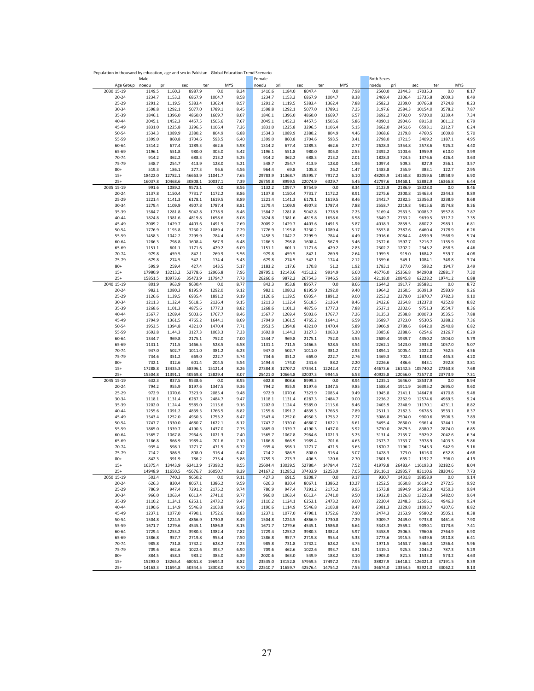| Population in thousand by education, age and sex in Pakistan - Global Education Trend Scenario | Male               |                  |                    |                  |              | Female             |                    |                    |                    |              | <b>Both Sexes</b>  |                  |                            |                    |              |
|------------------------------------------------------------------------------------------------|--------------------|------------------|--------------------|------------------|--------------|--------------------|--------------------|--------------------|--------------------|--------------|--------------------|------------------|----------------------------|--------------------|--------------|
| Age Group                                                                                      | noedu              | pri              | sec                | ter              | <b>MYS</b>   | noedu              | pri                | sec                | ter                | <b>MYS</b>   | noedu              | pri              | sec                        | ter                | <b>MYS</b>   |
| 2030 15-19                                                                                     | 1149.5             | 1160.3           | 8987.9             | 0.0              | 8.34         | 1410.6             | 1184.0             | 8047.4             | 0.0                | 7.98         | 2560.0             | 2344.3           | 17035.3                    | 0.0                | 8.17         |
| $20 - 24$                                                                                      | 1234.7             | 1153.2           | 6867.9             | 1004.7           | 8.58         | 1234.7             | 1153.2             | 6867.9             | 1004.7             | 8.38         | 2469.4             | 2306.4           | 13735.8                    | 2009.3             | 8.49         |
| 25-29                                                                                          | 1291.2             | 1119.5           | 5383.4             | 1362.4           | 8.57         | 1291.2             | 1119.5             | 5383.4             | 1362.4             | 7.88         | 2582.3             | 2239.0           | 10766.8                    | 2724.8             | 8.23         |
| 30-34                                                                                          | 1598.8             | 1292.1           | 5077.0             | 1789.1           | 8.45         | 1598.8             | 1292.1             | 5077.0             | 1789.1             | 7.25         | 3197.6             | 2584.3           | 10154.0                    | 3578.2             | 7.87         |
| 35-39                                                                                          | 1846.1             | 1396.0           | 4860.0             | 1669.7           | 8.07         | 1846.1             | 1396.0             | 4860.0             | 1669.7             | 6.57         | 3692.2             | 2792.0           | 9720.0                     | 3339.4             | 7.34         |
| 40-44                                                                                          | 2045.1             | 1452.3           | 4457.5             | 1505.6           | 7.67         | 2045.1             | 1452.3             | 4457.5             | 1505.6             | 5.86         | 4090.1             | 2904.6           | 8915.0                     | 3011.2             | 6.79         |
| 45-49                                                                                          | 1831.0             | 1225.8           | 3296.5             | 1106.4           | 7.26         | 1831.0             | 1225.8             | 3296.5             | 1106.4             | 5.15         | 3662.0             | 2451.6           | 6593.1                     | 2212.7             | 6.24         |
| 50-54                                                                                          | 1534.3             | 1089.9           | 2380.2             | 804.9            | 6.88         | 1534.3             | 1089.9             | 2380.2             | 804.9              | 4.46         | 3068.6             | 2179.8           | 4760.5                     | 1609.8             | 5.70         |
| 55-59                                                                                          | 1399.0             | 860.8            | 1704.6             | 593.5            | 6.40         | 1399.0             | 860.8              | 1704.6             | 593.5              | 3.41         | 2798.0             | 1721.5           | 3409.2                     | 1187.1             | 4.95         |
| 60-64                                                                                          | 1314.2             | 677.4            | 1289.3             | 462.6            | 5.98         | 1314.2             | 677.4              | 1289.3             | 462.6              | 2.77         | 2628.3             | 1354.8           | 2578.6                     | 925.2              | 4.40         |
| 65-69                                                                                          | 1196.1             | 551.8            | 980.0              | 305.0            | 5.42         | 1196.1             | 551.8              | 980.0              | 305.0              | 2.55         | 2392.2             | 1103.6           | 1959.9                     | 610.0              | 3.99         |
| 70-74                                                                                          | 914.2              | 362.2            | 688.3              | 213.2            | 5.25         | 914.2              | 362.2              | 688.3              | 213.2              | 2.01         | 1828.3             | 724.5            | 1376.6                     | 426.4              | 3.63         |
| 75-79                                                                                          | 548.7              | 254.7            | 413.9              | 128.0            | 5.21         | 548.7              | 254.7              | 413.9              | 128.0              | 1.96         | 1097.4             | 509.3            | 827.9                      | 256.1              | 3.57         |
| $80+$<br>$15+$                                                                                 | 519.3<br>18422.0   | 186.1<br>12782.1 | 277.3<br>46663.9   | 96.6<br>11041.7  | 4.56<br>7.65 | 964.4<br>29783.9   | 69.8<br>11368.7    | 105.8<br>35395.7   | 26.2<br>7917.2     | 1.47<br>6.10 | 1483.8<br>48205.9  | 255.9<br>24150.8 | 383.1<br>82059.6           | 122.7<br>18958.9   | 2.95<br>6.90 |
| $25+$                                                                                          | 16037.8            | 10468.6          | 30808.1            | 10037.1          | 7.39         | 26759.8            | 8999.5             | 22074.9            | 6329.7             | 5.45         | 42797.6            | 19468.1          | 52882.9                    | 16366.8            | 6.44         |
| 2035 15-19                                                                                     | 991.6              | 1089.2           | 9573.1             | 0.0              | 8.56         | 1132.2             | 1097.7             | 8754.9             | 0.0                | 8.34         | 2123.9             | 2186.9           | 18328.0                    | 0.0                | 8.46         |
| $20 - 24$                                                                                      | 1137.8             | 1150.4           | 7731.7             | 1172.2           | 8.86         | 1137.8             | 1150.4             | 7731.7             | 1172.2             | 8.91         | 2275.6             | 2300.8           | 15463.4                    | 2344.3             | 8.89         |
| 25-29                                                                                          | 1221.4             | 1141.3           | 6178.1             | 1619.5           | 8.89         | 1221.4             | 1141.3             | 6178.1             | 1619.5             | 8.46         | 2442.7             | 2282.5           | 12356.3                    | 3238.9             | 8.68         |
| 30-34                                                                                          | 1279.4             | 1109.9           | 4907.8             | 1787.4           | 8.81         | 1279.4             | 1109.9             | 4907.8             | 1787.4             | 7.88         | 2558.7             | 2219.8           | 9815.6                     | 3574.8             | 8.36         |
| 35-39                                                                                          | 1584.7             | 1281.8           | 5042.8             | 1778.9           | 8.46         | 1584.7             | 1281.8             | 5042.8             | 1778.9             | 7.25         | 3169.4             | 2563.5           | 10085.7                    | 3557.8             | 7.87         |
| 40-44                                                                                          | 1824.8             | 1381.6           | 4819.8             | 1658.6           | 8.08         | 1824.8             | 1381.6             | 4819.8             | 1658.6             | 6.58         | 3649.7             | 2763.2           | 9639.5                     | 3317.2             | 7.35         |
| 45-49                                                                                          | 2009.2             | 1429.7           | 4403.6             | 1491.5           | 7.69         | 2009.2             | 1429.7             | 4403.6             | 1491.5             | 5.87         | 4018.3             | 2859.5           | 8807.2                     | 2983.1             | 6.81         |
| 50-54                                                                                          | 1776.9             | 1193.8           | 3230.2             | 1089.4           | 7.29         | 1776.9             | 1193.8             | 3230.2             | 1089.4             | 5.17         | 3553.8             | 2387.6           | 6460.4                     | 2178.9             | 6.26         |
| 55-59                                                                                          | 1458.3             | 1042.2           | 2299.9             | 784.4            | 6.92         | 1458.3             | 1042.2             | 2299.9             | 784.4              | 4.49         | 2916.6             | 2084.4           | 4599.9                     | 1568.9             | 5.74         |
| 60-64                                                                                          | 1286.3             | 798.8            | 1608.4             | 567.9            | 6.48         | 1286.3             | 798.8              | 1608.4             | 567.9              | 3.46         | 2572.6             | 1597.7           | 3216.7                     | 1135.9             | 5.00         |
| 65-69                                                                                          | 1151.1             | 601.1            | 1171.6             | 429.2            | 6.09         | 1151.1             | 601.1              | 1171.6             | 429.2              | 2.83         | 2302.2             | 1202.2           | 2343.2                     | 858.5              | 4.46         |
| 70-74                                                                                          | 979.8              | 459.5            | 842.1              | 269.9            | 5.56         | 979.8              | 459.5              | 842.1              | 269.9              | 2.64         | 1959.5             | 919.0            | 1684.2                     | 539.7              | 4.08         |
| 75-79                                                                                          | 679.8              | 274.5            | 542.1              | 174.4            | 5.43         | 679.8              | 274.5              | 542.1              | 174.4              | 2.12         | 1359.6             | 549.1            | 1084.1                     | 348.8              | 3.74         |
| $80+$                                                                                          | 599.9              | 259.4            | 427.4              | 143.5            | 5.17         | 1183.2             | 117.6              | 170.8              | 51.2               | 1.92         | 1783.1             | 377.0            | 598.2                      | 194.7              | 3.49         |
| $15+$                                                                                          | 17980.9            | 13213.2          | 52778.6            | 12966.8          | 7.96         | 28795.1            | 12143.6            | 41512.2            | 9914.9             | 6.60         | 46776.0            | 25356.8          | 94290.8                    | 22881.7            | 7.30         |
| $25+$                                                                                          | 15851.5            | 10973.6          | 35473.9            | 11794.7          | 7.73         | 26266.6            | 9872.2             | 26754.3            | 7946.5             | 5.98         | 42118.0            | 20845.8          | 62228.2                    | 19741.2            | 6.88         |
| 2040 15-19                                                                                     | 801.9              | 963.9            | 9630.4             | 0.0              | 8.77         | 842.3              | 953.8              | 8957.7             | 0.0                | 8.66         | 1644.2             | 1917.7           | 18588.1                    | 0.0                | 8.72         |
| $20 - 24$                                                                                      | 982.1              | 1080.3           | 8195.9             | 1292.0           | 9.12         | 982.1              | 1080.3             | 8195.9             | 1292.0             | 9.40         | 1964.2             | 2160.5           | 16391.9                    | 2583.9             | 9.26         |
| 25-29                                                                                          | 1126.6             | 1139.5           | 6935.4             | 1891.2           | 9.19         | 1126.6             | 1139.5             | 6935.4             | 1891.2             | 9.00         | 2253.2             | 2279.0           | 13870.7                    | 3782.3             | 9.10         |
| 30-34                                                                                          | 1211.3             | 1132.4           | 5618.5             | 2126.4           | 9.15         | 1211.3             | 1132.4             | 5618.5             | 2126.4             | 8.46         | 2422.6             | 2264.8           | 11237.0                    | 4252.8             | 8.82         |
| 35-39                                                                                          | 1268.6             | 1101.3           | 4875.6             | 1777.3           | 8.82         | 1268.6             | 1101.3             | 4875.6             | 1777.3             | 7.88         | 2537.1             | 2202.6           | 9751.3                     | 3554.7             | 8.36         |
| 40-44                                                                                          | 1567.7             | 1269.4           | 5003.6             | 1767.7           | 8.46         | 1567.7             | 1269.4             | 5003.6             | 1767.7             | 7.26         | 3135.3             | 2538.8           | 10007.3                    | 3535.5             | 7.88         |
| 45-49                                                                                          | 1794.9             | 1361.5<br>1394.8 | 4765.2             | 1644.1           | 8.09<br>7.71 | 1794.9             | 1361.5             | 4765.2             | 1644.1             | 6.59         | 3589.7             | 2723.0           | 9530.5                     | 3288.2             | 7.36         |
| 50-54<br>55-59                                                                                 | 1953.5<br>1692.8   | 1144.3           | 4321.0<br>3127.3   | 1470.4<br>1063.3 | 7.33         | 1953.5<br>1692.8   | 1394.8<br>1144.3   | 4321.0<br>3127.3   | 1470.4<br>1063.3   | 5.89<br>5.20 | 3906.9<br>3385.6   | 2789.6<br>2288.6 | 8642.0<br>6254.6           | 2940.8<br>2126.7   | 6.82<br>6.29 |
| 60-64                                                                                          | 1344.7             | 969.8            | 2175.1             | 752.0            | 7.00         | 1344.7             | 969.8              | 2175.1             | 752.0              | 4.55         | 2689.4             | 1939.7           | 4350.2                     | 1504.0             | 5.79         |
| 65-69                                                                                          | 1131.1             | 711.5            | 1466.5             | 528.5            | 6.58         | 1131.1             | 711.5              | 1466.5             | 528.5              | 3.54         | 2262.1             | 1423.0           | 2933.0                     | 1057.0             | 5.07         |
| 70-74                                                                                          | 947.0              | 502.7            | 1011.0             | 381.2            | 6.23         | 947.0              | 502.7              | 1011.0             | 381.2              | 2.93         | 1894.1             | 1005.4           | 2022.0                     | 762.5              | 4.56         |
| 75-79                                                                                          | 734.6              | 351.2            | 669.0              | 222.7            | 5.74         | 734.6              | 351.2              | 669.0              | 222.7              | 2.76         | 1469.3             | 702.4            | 1338.0                     | 445.3              | 4.20         |
| $80+$                                                                                          | 732.1              | 312.6            | 601.4              | 204.5            | 5.54         | 1494.4             | 174.0              | 241.6              | 88.2               | 2.20         | 2226.6             | 486.6            | 843.1                      | 292.8              | 3.81         |
| $15+$                                                                                          | 17288.8            | 13435.3          | 58396.1            | 15121.4          | 8.26         | 27384.8            | 12707.2            | 47344.1            | 12242.4            | 7.07         | 44673.6            | 26142.5          | 105740.2                   | 27363.8            | 7.68         |
| $25+$                                                                                          | 15504.8            | 11391.1          | 40569.8            | 13829.4          | 8.07         | 25421.0            | 10664.8            | 32007.3            | 9944.5             | 6.53         | 40925.8            | 22056.0          | 72577.0                    | 23773.9            | 7.31         |
| 2045 15-19                                                                                     | 632.3              | 837.5            | 9538.6             | 0.0              | 8.95         | 602.8              | 808.6              | 8999.3             | 0.0                | 8.94         | 1235.1             | 1646.0           | 18537.9                    | 0.0                | 8.94         |
| $20 - 24$                                                                                      | 794.2              | 955.9            | 8197.6             | 1347.5           | 9.36         | 794.2              | 955.9              | 8197.6             | 1347.5             | 9.85         | 1588.4             | 1911.9           | 16395.2                    | 2695.0             | 9.60         |
| 25-29                                                                                          | 972.9              | 1070.6           | 7323.9             | 2085.4           | 9.48         | 972.9              | 1070.6             | 7323.9             | 2085.4             | 9.49         | 1945.8             | 2141.1           | 14647.8                    | 4170.8             | 9.48         |
| 30-34                                                                                          | 1118.1             | 1131.4           | 6287.3             | 2484.7           | 9.47         | 1118.1             | 1131.4             | 6287.3             | 2484.7             | 9.00         | 2236.2             | 2262.9           | 12574.6                    | 4969.5             | 9.24         |
| 35-39                                                                                          | 1202.0             | 1124.4           | 5585.0             | 2115.6           | 9.16         | 1202.0             | 1124.4             | 5585.0             | 2115.6             | 8.46         | 2403.9             | 2248.9           | 11170.1                    | 4231.1             | 8.82         |
| 40-44                                                                                          | 1255.6             | 1091.2           | 4839.3             | 1766.5           | 8.82         | 1255.6             | 1091.2             | 4839.3             | 1766.5             | 7.89         | 2511.1             | 2182.3           | 9678.5                     | 3533.1             | 8.37         |
| 45-49                                                                                          | 1543.4             | 1252.0           | 4950.3             | 1753.2           | 8.47         | 1543.4             | 1252.0             | 4950.3             | 1753.2             | 7.27         | 3086.8             | 2504.0           | 9900.6                     | 3506.3             | 7.89         |
| 50-54                                                                                          | 1747.7             | 1330.0           | 4680.7             | 1622.1           | 8.12         | 1747.7             | 1330.0             | 4680.7             | 1622.1             | 6.61         | 3495.4             | 2660.0           | 9361.4                     | 3244.1             | 7.38         |
| 55-59                                                                                          | 1865.0             | 1339.7           | 4190.3             | 1437.0           | 7.75         | 1865.0             | 1339.7             | 4190.3             | 1437.0             | 5.92         | 3730.0             | 2679.5           | 8380.7                     | 2874.0             | 6.85         |
| 60-64                                                                                          | 1565.7             | 1067.8           | 2964.6             | 1021.3           | 7.40         | 1565.7             | 1067.8             | 2964.6             | 1021.3             | 5.25         | 3131.4             | 2135.7           | 5929.2                     | 2042.6             | 6.34         |
| 65-69                                                                                          | 1186.8             | 866.9            | 1989.4             | 701.6            | 7.10         | 1186.8             | 866.9              | 1989.4             | 701.6              | 4.63         | 2373.7             | 1733.7           | 3978.9                     | 1403.3             | 5.86         |
| 70-74                                                                                          | 935.4              | 598.1            | 1271.7             | 471.5            | 6.72         | 935.4              | 598.1              | 1271.7             | 471.5              | 3.65         | 1870.7             | 1196.2           | 2543.3                     | 942.9              | 5.16         |
| 75-79                                                                                          | 714.2              | 386.5            | 808.0              | 316.4            | 6.42         | 714.2<br>1759.3    | 386.5              | 808.0              | 316.4              | 3.07         | 1428.3             | 773.0            | 1616.0                     | 632.8              | 4.68         |
| $80+$                                                                                          | 842.3              | 391.9<br>13443.9 | 786.2              | 275.4<br>17398.2 | 5.86         |                    | 273.3              | 406.5              | 120.6              | 2.70         | 2601.5             | 665.2            | 1192.7<br>26483.4 116193.3 | 396.0              | 4.19         |
| $15+$<br>$25+$                                                                                 | 16375.4<br>14948.9 | 11650.5          | 63412.9<br>45676.7 | 16050.7          | 8.55<br>8.39 | 25604.4<br>24167.2 | 13039.5<br>11285.2 | 52780.4<br>37433.9 | 14784.4<br>12253.9 | 7.52<br>7.05 | 41979.8<br>39116.1 | 22935.7          | 83110.6                    | 32182.6<br>28304.6 | 8.04<br>7.73 |
| 2050 15-19                                                                                     | 503.4              | 740.3            | 9650.2             | 0.0              | 9.11         | 427.3              | 691.5              | 9208.7             | 0.0                | 9.17         | 930.7              | 1431.8           | 18858.9                    | 0.0                | 9.14         |
| 20-24                                                                                          | 626.3              | 830.4            | 8067.1             | 1386.2           | 9.59         | 626.3              | 830.4              | 8067.1             | 1386.2             | 10.27        | 1252.5             | 1660.8           | 16134.2                    | 2772.5             | 9.92         |
| 25-29                                                                                          | 786.9              | 947.4            | 7291.2             | 2175.2           | 9.74         | 786.9              | 947.4              | 7291.2             | 2175.2             | 9.95         | 1573.8             | 1894.9           | 14582.3                    | 4350.3             | 9.84         |
| 30-34                                                                                          | 966.0              | 1063.4           | 6613.4             | 2741.0           | 9.77         | 966.0              | 1063.4             | 6613.4             | 2741.0             | 9.50         | 1932.0             | 2126.8           | 13226.8                    | 5482.0             | 9.64         |
| 35-39                                                                                          | 1110.2             | 1124.1           | 6253.1             | 2473.2           | 9.47         | 1110.2             | 1124.1             | 6253.1             | 2473.2             | 9.00         | 2220.4             | 2248.3           | 12506.1                    | 4946.3             | 9.24         |
| 40-44                                                                                          | 1190.6             | 1114.9           | 5546.8             | 2103.8           | 9.16         | 1190.6             | 1114.9             | 5546.8             | 2103.8             | 8.47         | 2381.3             | 2229.8           | 11093.7                    | 4207.6             | 8.82         |
| 45-49                                                                                          | 1237.1             | 1077.0           | 4790.1             | 1752.6           | 8.83         | 1237.1             | 1077.0             | 4790.1             | 1752.6             | 7.90         | 2474.3             | 2153.9           | 9580.2                     | 3505.1             | 8.38         |
| 50-54                                                                                          | 1504.8             | 1224.5           | 4866.9             | 1730.8           | 8.49         | 1504.8             | 1224.5             | 4866.9             | 1730.8             | 7.29         | 3009.7             | 2449.0           | 9733.8                     | 3461.6             | 7.90         |
| 55-59                                                                                          | 1671.7             | 1279.6           | 4545.1             | 1586.8           | 8.15         | 1671.7             | 1279.6             | 4545.1             | 1586.8             | 6.64         | 3343.3             | 2559.2           | 9090.1                     | 3173.6             | 7.41         |
| 60-64                                                                                          | 1729.4             | 1253.2           | 3980.3             | 1382.4           | 7.82         | 1729.4             | 1253.2             | 3980.3             | 1382.4             | 5.97         | 3458.9             | 2506.5           | 7960.6                     | 2764.9             | 6.90         |
| 65-69                                                                                          | 1386.8             | 957.7            | 2719.8             | 955.4            | 7.50         | 1386.8             | 957.7              | 2719.8             | 955.4              | 5.33         | 2773.6             | 1915.5           | 5439.6                     | 1910.8             | 6.41         |
| 70-74                                                                                          | 985.8              | 731.8            | 1732.2             | 628.2            | 7.23         | 985.8              | 731.8              | 1732.2             | 628.2              | 4.75         | 1971.5             | 1463.7           | 3464.3                     | 1256.4             | 5.96         |
| 75-79                                                                                          | 709.6              | 462.6            | 1022.6             | 393.7            | 6.90         | 709.6              | 462.6              | 1022.6             | 393.7              | 3.81         | 1419.1             | 925.3            | 2045.2                     | 787.3              | 5.29         |
| $80+$                                                                                          | 884.5              | 458.3            | 983.2              | 385.0            | 6.39         | 2020.6             | 363.0              | 549.9              | 188.2              | 3.10         | 2905.0             | 821.3            | 1533.0                     | 573.2              | 4.63         |
| $15+$                                                                                          | 15293.0            | 13265.4          | 68061.8            | 19694.3          | 8.82         | 23535.0            | 13152.8            | 57959.5            | 17497.2            | 7.95         | 38827.9            |                  | 26418.2 126021.3           | 37191.5            | 8.39         |
| $25+$                                                                                          | 14163.3            | 11694.8          | 50344.5            | 18308.0          | 8.70         | 22510.7            | 11659.7            | 42576.4            | 14754.2            | 7.55         | 36674.0            | 23354.5          | 92921.0                    | 33062.2            | 8.13         |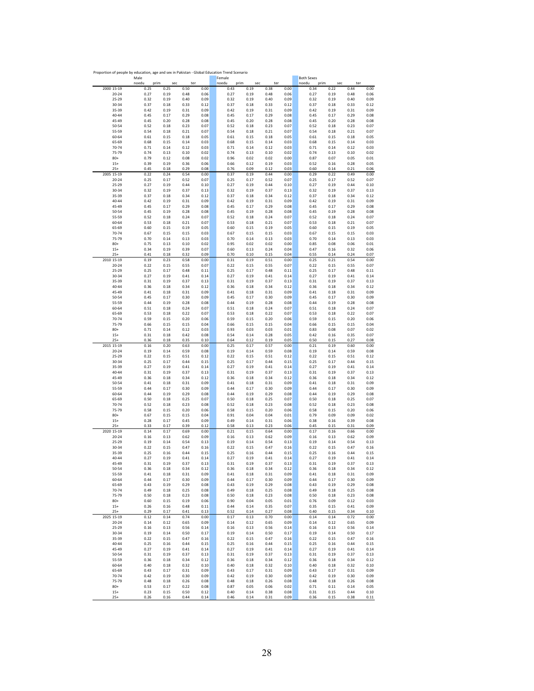| Proportion of people by education, age and sex in Pakistan - Global Education Trend Scenario | Male          |              |              |              | Female        |              |              |              | <b>Both Sexes</b> |              |              |              |
|----------------------------------------------------------------------------------------------|---------------|--------------|--------------|--------------|---------------|--------------|--------------|--------------|-------------------|--------------|--------------|--------------|
|                                                                                              | noedu<br>prim | sec          | ter          |              | noedu<br>prim | sec          | ter          |              | noedu<br>prim     | sec          | ter          |              |
| 2000 15-19                                                                                   | 0.25          | 0.25         | 0.50         | 0.00         | 0.43          | 0.19         | 0.38         | 0.00         | 0.34              | 0.22         | 0.44         | 0.00         |
| $20 - 24$                                                                                    | 0.27          | 0.19         | 0.48         | 0.06         | 0.27          | 0.19         | 0.48         | 0.06         | 0.27              | 0.19         | 0.48         | 0.06         |
| 25-29<br>30-34                                                                               | 0.32<br>0.37  | 0.19<br>0.18 | 0.40<br>0.33 | 0.09<br>0.12 | 0.32<br>0.37  | 0.19<br>0.18 | 0.40<br>0.33 | 0.09<br>0.12 | 0.32<br>0.37      | 0.19<br>0.18 | 0.40<br>0.33 | 0.09<br>0.12 |
| 35-39                                                                                        | 0.42          | 0.19         | 0.31         | 0.09         | 0.42          | 0.19         | 0.31         | 0.09         | 0.42              | 0.19         | 0.31         | 0.09         |
| $40 - 44$                                                                                    | 0.45          | 0.17         | 0.29         | 0.08         | 0.45          | 0.17         | 0.29         | 0.08         | 0.45              | 0.17         | 0.29         | 0.08         |
| 45-49                                                                                        | 0.45          | 0.20         | 0.28         | 0.08         | 0.45          | 0.20         | 0.28         | 0.08         | 0.45              | 0.20         | 0.28         | 0.08         |
| 50-54                                                                                        | 0.52          | 0.18         | 0.23         | 0.07         | 0.52          | 0.18         | 0.23         | 0.07         | 0.52              | 0.18         | 0.23         | 0.07         |
| 55-59                                                                                        | 0.54          | 0.18         | 0.21         | 0.07         | 0.54          | 0.18         | 0.21         | 0.07         | 0.54              | 0.18         | 0.21         | 0.07         |
| $60 - 64$                                                                                    | 0.61          | 0.15         | 0.18         | 0.05         | 0.61          | 0.15         | 0.18         | 0.05         | 0.61              | 0.15         | 0.18         | 0.05         |
| 65-69                                                                                        | 0.68          | 0.15         | 0.14         | 0.03         | 0.68          | 0.15         | 0.14         | 0.03         | 0.68              | 0.15         | 0.14         | 0.03         |
| 70-74                                                                                        | 0.71          | 0.14         | 0.12         | 0.03         | 0.71          | 0.14         | 0.12         | 0.03         | 0.71              | 0.14         | 0.12         | 0.03         |
| 75-79                                                                                        | 0.74          | 0.13         | 0.10         | 0.02         | 0.74          | 0.13         | 0.10         | 0.02         | 0.74              | 0.13         | 0.10         | 0.02         |
| $80+$<br>$15+$                                                                               | 0.79<br>0.39  | 0.12<br>0.19 | 0.08<br>0.36 | 0.02<br>0.06 | 0.96<br>0.66  | 0.02<br>0.12 | 0.02<br>0.19 | 0.00<br>0.03 | 0.87<br>0.52      | 0.07<br>0.16 | 0.05<br>0.28 | 0.01<br>0.05 |
| $25+$                                                                                        | 0.45          | 0.18         | 0.29         | 0.08         | 0.76          | 0.09         | 0.12         | 0.03         | 0.60              | 0.14         | 0.21         | 0.06         |
| 2005 15-19                                                                                   | 0.22          | 0.24         | 0.54         | 0.00         | 0.37          | 0.19         | 0.44         | 0.00         | 0.29              | 0.22         | 0.49         | 0.00         |
| $20 - 24$                                                                                    | 0.25          | 0.17         | 0.52         | 0.07         | 0.25          | 0.17         | 0.52         | 0.07         | 0.25              | 0.17         | 0.52         | 0.07         |
| 25-29                                                                                        | 0.27          | 0.19         | 0.44         | 0.10         | 0.27          | 0.19         | 0.44         | 0.10         | 0.27              | 0.19         | 0.44         | 0.10         |
| 30-34                                                                                        | 0.32          | 0.19         | 0.37         | 0.13         | 0.32          | 0.19         | 0.37         | 0.13         | 0.32              | 0.19         | 0.37         | 0.13         |
| 35-39                                                                                        | 0.37          | 0.18         | 0.34         | 0.12         | 0.37          | 0.18         | 0.34         | 0.12         | 0.37              | 0.18         | 0.34         | 0.12         |
| 40-44                                                                                        | 0.42          | 0.19         | 0.31         | 0.09         | 0.42          | 0.19         | 0.31         | 0.09         | 0.42              | 0.19         | 0.31         | 0.09         |
| 45-49                                                                                        | 0.45          | 0.17         | 0.29         | 0.08         | 0.45          | 0.17         | 0.29         | 0.08         | 0.45              | 0.17         | 0.29         | 0.08         |
| 50-54                                                                                        | 0.45          | 0.19         | 0.28         | 0.08         | 0.45          | 0.19         | 0.28         | 0.08         | 0.45              | 0.19         | 0.28         | 0.08         |
| 55-59<br>$60 - 64$                                                                           | 0.52<br>0.53  | 0.18<br>0.18 | 0.24<br>0.21 | 0.07<br>0.07 | 0.52<br>0.53  | 0.18<br>0.18 | 0.24<br>0.21 | 0.07<br>0.07 | 0.52<br>0.53      | 0.18<br>0.18 | 0.24<br>0.21 | 0.07<br>0.07 |
| 65-69                                                                                        | 0.60          | 0.15         | 0.19         | 0.05         | 0.60          | 0.15         | 0.19         | 0.05         | 0.60              | 0.15         | 0.19         | 0.05         |
| 70-74                                                                                        | 0.67          | 0.15         | 0.15         | 0.03         | 0.67          | 0.15         | 0.15         | 0.03         | 0.67              | 0.15         | 0.15         | 0.03         |
| 75-79                                                                                        | 0.70          | 0.14         | 0.13         | 0.03         | 0.70          | 0.14         | 0.13         | 0.03         | 0.70              | 0.14         | 0.13         | 0.03         |
| $80+$                                                                                        | 0.75          | 0.13         | 0.10         | 0.02         | 0.95          | 0.02         | 0.02         | 0.00         | 0.85              | 0.08         | 0.06         | 0.01         |
| $15+$                                                                                        | 0.34          | 0.19         | 0.39         | 0.07         | 0.60          | 0.13         | 0.24         | 0.04         | 0.47              | 0.16         | 0.32         | 0.06         |
| $25+$                                                                                        | 0.41          | 0.18         | 0.32         | 0.09         | 0.70          | 0.10         | 0.15         | 0.04         | 0.55              | 0.14         | 0.24         | 0.07         |
| 2010 15-19                                                                                   | 0.19          | 0.23         | 0.58         | 0.00         | 0.31          | 0.19         | 0.51         | 0.00         | 0.25              | 0.21         | 0.54         | 0.00         |
| $20 - 24$                                                                                    | 0.22          | 0.15         | 0.55         | 0.07         | 0.22          | 0.15         | 0.55         | 0.07         | 0.22              | 0.15         | 0.55         | 0.07         |
| 25-29                                                                                        | 0.25          | 0.17         | 0.48         | 0.11         | 0.25          | 0.17         | 0.48         | 0.11         | 0.25              | 0.17         | 0.48         | 0.11         |
| 30-34                                                                                        | 0.27          | 0.19         | 0.41         | 0.14         | 0.27          | 0.19         | 0.41         | 0.14         | 0.27              | 0.19         | 0.41         | 0.14         |
| 35-39<br>40-44                                                                               | 0.31<br>0.36  | 0.19<br>0.18 | 0.37<br>0.34 | 0.13<br>0.12 | 0.31<br>0.36  | 0.19<br>0.18 | 0.37<br>0.34 | 0.13<br>0.12 | 0.31<br>0.36      | 0.19<br>0.18 | 0.37<br>0.34 | 0.13<br>0.12 |
| 45-49                                                                                        | 0.41          | 0.18         | 0.31         | 0.09         | 0.41          | 0.18         | 0.31         | 0.09         | 0.41              | 0.18         | 0.31         | 0.09         |
| 50-54                                                                                        | 0.45          | 0.17         | 0.30         | 0.09         | 0.45          | 0.17         | 0.30         | 0.09         | 0.45              | 0.17         | 0.30         | 0.09         |
| 55-59                                                                                        | 0.44          | 0.19         | 0.28         | 0.08         | 0.44          | 0.19         | 0.28         | 0.08         | 0.44              | 0.19         | 0.28         | 0.08         |
| 60-64                                                                                        | 0.51          | 0.18         | 0.24         | 0.07         | 0.51          | 0.18         | 0.24         | 0.07         | 0.51              | 0.18         | 0.24         | 0.07         |
| 65-69                                                                                        | 0.53          | 0.18         | 0.22         | 0.07         | 0.53          | 0.18         | 0.22         | 0.07         | 0.53              | 0.18         | 0.22         | 0.07         |
| 70-74                                                                                        | 0.59          | 0.15         | 0.20         | 0.06         | 0.59          | 0.15         | 0.20         | 0.06         | 0.59              | 0.15         | 0.20         | 0.06         |
| 75-79                                                                                        | 0.66          | 0.15         | 0.15         | 0.04         | 0.66          | 0.15         | 0.15         | 0.04         | 0.66              | 0.15         | 0.15         | 0.04         |
| $80+$                                                                                        | 0.71          | 0.14         | 0.12         | 0.03         | 0.93          | 0.03         | 0.03         | 0.01         | 0.83              | 0.08         | 0.07         | 0.02         |
| $15+$                                                                                        | 0.31          | 0.18         | 0.42         | 0.08         | 0.54          | 0.14         | 0.28         | 0.05         | 0.42              | 0.16         | 0.35         | 0.07         |
| $25+$<br>2015 15-19                                                                          | 0.36<br>0.16  | 0.18<br>0.20 | 0.35<br>0.63 | 0.10<br>0.00 | 0.64<br>0.25  | 0.12<br>0.17 | 0.19<br>0.57 | 0.05<br>0.00 | 0.50<br>0.21      | 0.15<br>0.19 | 0.27<br>0.60 | 0.08<br>0.00 |
| $20 - 24$                                                                                    | 0.19          | 0.14         | 0.59         | 0.08         | 0.19          | 0.14         | 0.59         | 0.08         | 0.19              | 0.14         | 0.59         | 0.08         |
| $25 - 29$                                                                                    | 0.22          | 0.15         | 0.51         | 0.12         | 0.22          | 0.15         | 0.51         | 0.12         | 0.22              | 0.15         | 0.51         | 0.12         |
| 30-34                                                                                        | 0.25          | 0.17         | 0.44         | 0.15         | 0.25          | 0.17         | 0.44         | 0.15         | 0.25              | 0.17         | 0.44         | 0.15         |
| 35-39                                                                                        | 0.27          | 0.19         | 0.41         | 0.14         | 0.27          | 0.19         | 0.41         | 0.14         | 0.27              | 0.19         | 0.41         | 0.14         |
| 40-44                                                                                        | 0.31          | 0.19         | 0.37         | 0.13         | 0.31          | 0.19         | 0.37         | 0.13         | 0.31              | 0.19         | 0.37         | 0.13         |
| 45-49                                                                                        | 0.36          | 0.18         | 0.34         | 0.12         | 0.36          | 0.18         | 0.34         | 0.12         | 0.36              | 0.18         | 0.34         | 0.12         |
| 50-54                                                                                        | 0.41          | 0.18         | 0.31         | 0.09         | 0.41          | 0.18         | 0.31         | 0.09         | 0.41              | 0.18         | 0.31         | 0.09         |
| 55-59                                                                                        | 0.44          | 0.17         | 0.30         | 0.09         | 0.44          | 0.17         | 0.30         | 0.09         | 0.44              | 0.17         | 0.30         | 0.09         |
| $60 - 64$<br>65-69                                                                           | 0.44<br>0.50  | 0.19<br>0.18 | 0.29<br>0.25 | 0.08<br>0.07 | 0.44<br>0.50  | 0.19<br>0.18 | 0.29<br>0.25 | 0.08<br>0.07 | 0.44<br>0.50      | 0.19<br>0.18 | 0.29<br>0.25 | 0.08<br>0.07 |
| 70-74                                                                                        | 0.52          | 0.18         | 0.23         | 0.08         | 0.52          | 0.18         | 0.23         | 0.08         | 0.52              | 0.18         | 0.23         | 0.08         |
| 75-79                                                                                        | 0.58          | 0.15         | 0.20         | 0.06         | 0.58          | 0.15         | 0.20         | 0.06         | 0.58              | 0.15         | 0.20         | 0.06         |
| $80+$                                                                                        | 0.67          | 0.15         | 0.15         | 0.04         | 0.91          | 0.04         | 0.04         | 0.01         | 0.79              | 0.09         | 0.09         | 0.02         |
| $15+$                                                                                        | 0.28          | 0.17         | 0.45         | 0.09         | 0.49          | 0.14         | 0.31         | 0.06         | 0.38              | 0.16         | 0.39         | 0.08         |
| $25 +$                                                                                       | 0.33          | 0.17         | 0.39         | 0.12         | 0.58          | 0.13         | 0.23         | 0.06         | 0.45              | 0.15         | 0.31         | 0.09         |
| 2020 15-19                                                                                   | 0.14          | 0.17         | 0.69         | 0.00         | 0.21          | 0.15         | 0.64         | 0.00         | 0.17              | 0.16         | 0.66         | 0.00         |
| $20 - 24$                                                                                    | 0.16          | 0.13         | 0.62         | 0.09         | 0.16          | 0.13         | 0.62         | 0.09         | 0.16              | 0.13         | 0.62         | 0.09         |
| 25-29                                                                                        | 0.19          | 0.14         | 0.54         | 0.13         | 0.19          | 0.14         | 0.54         | 0.13         | 0.19              | 0.14         | 0.54         | 0.13         |
| 30-34<br>35-39                                                                               | 0.22<br>0.25  | 0.15<br>0.16 | 0.47<br>0.44 | 0.16<br>0.15 | 0.22<br>0.25  | 0.15<br>0.16 | 0.47<br>0.44 | 0.16<br>0.15 | 0.22<br>0.25      | 0.15<br>0.16 | 0.47<br>0.44 | 0.16<br>0.15 |
| 40-44                                                                                        | 0.27          | 0.19         | 0.41         | 0.14         | 0.27          | 0.19         | 0.41         | 0.14         | 0.27              | 0.19         | 0.41         | 0.14         |
| 45-49                                                                                        | 0.31          | 0.19         | 0.37         | 0.13         | 0.31          | 0.19         | 0.37         | 0.13         | 0.31              | 0.19         | 0.37         | 0.13         |
| 50-54                                                                                        | 0.36          | 0.18         | 0.34         | 0.12         | 0.36          | 0.18         | 0.34         | 0.12         | 0.36              | 0.18         | 0.34         | 0.12         |
| 55-59                                                                                        | 0.41          | 0.18         | 0.31         | 0.09         | 0.41          | 0.18         | 0.31         | 0.09         | 0.41              | 0.18         | 0.31         | 0.09         |
| 60-64                                                                                        | 0.44          | 0.17         | 0.30         | 0.09         | 0.44          | 0.17         | 0.30         | 0.09         | 0.44              | 0.17         | 0.30         | 0.09         |
| 65-69                                                                                        | 0.43          | 0.19         | 0.29         | 0.08         | 0.43          | 0.19         | 0.29         | 0.08         | 0.43              | 0.19         | 0.29         | 0.08         |
| 70-74                                                                                        | 0.49          | 0.18         | 0.25         | 0.08         | 0.49          | 0.18         | 0.25         | 0.08         | 0.49              | 0.18         | 0.25         | 0.08         |
| 75-79                                                                                        | 0.50          | 0.18         | 0.23         | 0.08         | 0.50          | 0.18         | 0.23         | 0.08         | 0.50              | 0.18         | 0.23         | 0.08         |
| $80+$                                                                                        | 0.60          | 0.15         | 0.19         | 0.06         | 0.90          | 0.04         | 0.05         | 0.01         | 0.76              | 0.09         | 0.12         | 0.03         |
| $15+$<br>$25+$                                                                               | 0.26<br>0.29  | 0.16<br>0.17 | 0.48<br>0.41 | 0.11<br>0.13 | 0.44<br>0.52  | 0.14<br>0.14 | 0.35<br>0.27 | 0.07<br>0.08 | 0.35<br>0.40      | 0.15<br>0.15 | 0.41<br>0.34 | 0.09<br>0.10 |
| 2025 15-19                                                                                   | 0.12          | 0.14         | 0.74         | 0.00         | 0.17          | 0.13         | 0.70         | 0.00         | 0.14              | 0.14         | 0.72         | 0.00         |
| $20 - 24$                                                                                    | 0.14          | 0.12         | 0.65         | 0.09         | 0.14          | 0.12         | 0.65         | 0.09         | 0.14              | 0.12         | 0.65         | 0.09         |
| 25-29                                                                                        | 0.16          | 0.13         | 0.56         | 0.14         | 0.16          | 0.13         | 0.56         | 0.14         | 0.16              | 0.13         | 0.56         | 0.14         |
| 30-34                                                                                        | 0.19          | 0.14         | 0.50         | 0.17         | 0.19          | 0.14         | 0.50         | 0.17         | 0.19              | 0.14         | 0.50         | 0.17         |
| 35-39                                                                                        | 0.22          | 0.15         | 0.47         | 0.16         | 0.22          | 0.15         | 0.47         | 0.16         | 0.22              | 0.15         | 0.47         | 0.16         |
| 40-44                                                                                        | 0.25          | 0.16         | 0.44         | 0.15         | 0.25          | 0.16         | 0.44         | 0.15         | 0.25              | 0.16         | 0.44         | 0.15         |
| 45-49                                                                                        | 0.27          | 0.19         | 0.41         | 0.14         | 0.27          | 0.19         | 0.41         | 0.14         | 0.27              | 0.19         | 0.41         | 0.14         |
| 50-54                                                                                        | 0.31          | 0.19         | 0.37         | 0.13         | 0.31          | 0.19         | 0.37         | 0.13         | 0.31              | 0.19         | 0.37         | 0.13         |
| 55-59                                                                                        | 0.36          | 0.18         | 0.34         | 0.12         | 0.36          | 0.18         | 0.34         | 0.12         | 0.36              | 0.18         | 0.34         | 0.12<br>0.10 |
| 60-64<br>65-69                                                                               | 0.40<br>0.43  | 0.18<br>0.17 | 0.32<br>0.31 | 0.10<br>0.09 | 0.40<br>0.43  | 0.18<br>0.17 | 0.32<br>0.31 | 0.10<br>0.09 | 0.40<br>0.43      | 0.18<br>0.17 | 0.32<br>0.31 | 0.09         |
| 70-74                                                                                        | 0.42          | 0.19         | 0.30         | 0.09         | 0.42          | 0.19         | 0.30         | 0.09         | 0.42              | 0.19         | 0.30         | 0.09         |
| $75 - 79$                                                                                    | 0.48          | 0.18         | 0.26         | 0.08         | 0.48          | 0.18         | 0.26         | 0.08         | 0.48              | 0.18         | 0.26         | 0.08         |
| $80+$                                                                                        | 0.53          | 0.17         | 0.22         | 0.08         | 0.87          | 0.05         | 0.06         | 0.02         | 0.71              | 0.11         | 0.14         | 0.05         |
| $15+$                                                                                        | 0.23          | 0.15         | 0.50         | 0.12         | 0.40          | 0.14         | 0.38         | 0.08         | 0.31              | 0.15         | 0.44         | 0.10         |
| $25+$                                                                                        | 0.26          | 0.16         | 0.44         | 0.14         | 0.46          | 0.14         | 0.31         | 0.09         | 0.36              | 0.15         | 0.38         | 0.11         |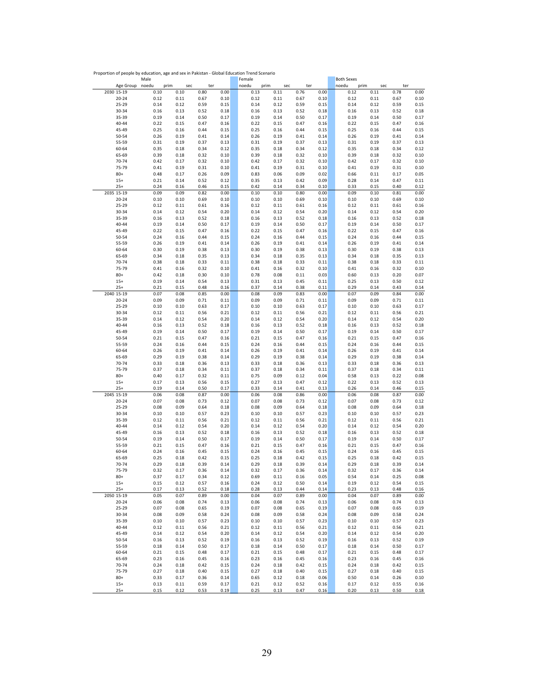| Proportion of people by education, age and sex in Pakistan - Global Education Trend Scenario |        |                   |  |  |  |  |  |  |  |  |
|----------------------------------------------------------------------------------------------|--------|-------------------|--|--|--|--|--|--|--|--|
| Male                                                                                         | Female | <b>Both Sexes</b> |  |  |  |  |  |  |  |  |

| Age Group noedu    | iviait       | prim<br>sec  | ter          |              | ι επισιο<br>noedu | prim         | sec          | ter          | DOLII JEVES<br>noedu | prim<br>sec  | ter          |              |
|--------------------|--------------|--------------|--------------|--------------|-------------------|--------------|--------------|--------------|----------------------|--------------|--------------|--------------|
| 2030 15-19         | 0.10         | 0.10         | 0.80         | 0.00         | 0.13              | 0.11         | 0.76         | 0.00         | 0.12                 | 0.11         | 0.78         | 0.00         |
| $20 - 24$          | 0.12         | 0.11         | 0.67         | 0.10         | 0.12              | 0.11         | 0.67         | 0.10         | 0.12                 | 0.11         | 0.67         | 0.10         |
| 25-29              | 0.14         | 0.12         | 0.59         | 0.15         | 0.14              | 0.12         | 0.59         | 0.15         | 0.14                 | 0.12         | 0.59         | 0.15         |
| 30-34              | 0.16         | 0.13         | 0.52         | 0.18         | 0.16              | 0.13         | 0.52         | 0.18         | 0.16                 | 0.13         | 0.52         | 0.18         |
| 35-39              | 0.19         | 0.14         | 0.50         | 0.17         | 0.19              | 0.14         | 0.50         | 0.17         | 0.19                 | 0.14         | 0.50         | 0.17         |
| 40-44              | 0.22         | 0.15         | 0.47         | 0.16         | 0.22              | 0.15         | 0.47         | 0.16         | 0.22                 | 0.15         | 0.47         | 0.16         |
| 45-49              | 0.25         | 0.16         | 0.44         | 0.15         | 0.25              | 0.16         | 0.44         | 0.15         | 0.25                 | 0.16         | 0.44         | 0.15         |
| 50-54              | 0.26         | 0.19         | 0.41         | 0.14         | 0.26              | 0.19         | 0.41         | 0.14         | 0.26                 | 0.19         | 0.41         | 0.14         |
| 55-59              | 0.31         | 0.19         | 0.37         | 0.13         | 0.31              | 0.19         | 0.37         | 0.13         | 0.31                 | 0.19         | 0.37         | 0.13         |
| 60-64<br>65-69     | 0.35<br>0.39 | 0.18<br>0.18 | 0.34<br>0.32 | 0.12<br>0.10 | 0.35<br>0.39      | 0.18<br>0.18 | 0.34<br>0.32 | 0.12<br>0.10 | 0.35<br>0.39         | 0.18<br>0.18 | 0.34<br>0.32 | 0.12<br>0.10 |
| 70-74              | 0.42         | 0.17         | 0.32         | 0.10         | 0.42              | 0.17         | 0.32         | 0.10         | 0.42                 | 0.17         | 0.32         | 0.10         |
| 75-79              | 0.41         | 0.19         | 0.31         | 0.10         | 0.41              | 0.19         | 0.31         | 0.10         | 0.41                 | 0.19         | 0.31         | 0.10         |
| $80+$              | 0.48         | 0.17         | 0.26         | 0.09         | 0.83              | 0.06         | 0.09         | 0.02         | 0.66                 | 0.11         | 0.17         | 0.05         |
| $15+$              | 0.21         | 0.14         | 0.52         | 0.12         | 0.35              | 0.13         | 0.42         | 0.09         | 0.28                 | 0.14         | 0.47         | 0.11         |
| $25+$              | 0.24         | 0.16         | 0.46         | 0.15         | 0.42              | 0.14         | 0.34         | 0.10         | 0.33                 | 0.15         | 0.40         | 0.12         |
| 2035 15-19         | 0.09         | 0.09         | 0.82         | 0.00         | 0.10              | 0.10         | 0.80         | 0.00         | 0.09                 | 0.10         | 0.81         | 0.00         |
| $20 - 24$          | 0.10         | 0.10         | 0.69         | 0.10         | 0.10              | 0.10         | 0.69         | 0.10         | 0.10                 | 0.10         | 0.69         | 0.10         |
| 25-29              | 0.12         | 0.11         | 0.61         | 0.16         | 0.12              | 0.11         | 0.61         | 0.16         | 0.12                 | 0.11         | 0.61         | 0.16         |
| 30-34              | 0.14         | 0.12         | 0.54         | 0.20         | 0.14              | 0.12         | 0.54         | 0.20         | 0.14                 | 0.12         | 0.54         | 0.20         |
| 35-39              | 0.16         | 0.13         | 0.52         | 0.18         | 0.16              | 0.13         | 0.52         | 0.18         | 0.16                 | 0.13         | 0.52         | 0.18         |
| 40-44              | 0.19         | 0.14         | 0.50         | 0.17         | 0.19              | 0.14         | 0.50         | 0.17         | 0.19                 | 0.14         | 0.50         | 0.17         |
| 45-49              | 0.22         | 0.15         | 0.47         | 0.16         | 0.22              | 0.15         | 0.47         | 0.16         | 0.22                 | 0.15         | 0.47         | 0.16         |
| 50-54              | 0.24         | 0.16         | 0.44         | 0.15         | 0.24              | 0.16         | 0.44         | 0.15         | 0.24                 | 0.16         | 0.44         | 0.15         |
| 55-59              | 0.26         | 0.19         | 0.41         | 0.14         | 0.26              | 0.19         | 0.41         | 0.14         | 0.26                 | 0.19         | 0.41         | 0.14         |
| 60-64              | 0.30         | 0.19         | 0.38         | 0.13         | 0.30              | 0.19         | 0.38         | 0.13         | 0.30                 | 0.19         | 0.38         | 0.13         |
| 65-69              | 0.34         | 0.18         | 0.35         | 0.13         | 0.34              | 0.18         | 0.35         | 0.13         | 0.34                 | 0.18         | 0.35         | 0.13         |
| 70-74              | 0.38         | 0.18         | 0.33         | 0.11         | 0.38              | 0.18         | 0.33         | 0.11         | 0.38                 | 0.18         | 0.33         | 0.11         |
| 75-79              | 0.41         | 0.16         | 0.32         | 0.10         | 0.41              | 0.16         | 0.32         | 0.10         | 0.41                 | 0.16         | 0.32         | 0.10         |
| $80+$              | 0.42         | 0.18         | 0.30         | 0.10         | 0.78              | 0.08         | 0.11         | 0.03         | 0.60                 | 0.13         | 0.20         | 0.07         |
| $15+$<br>$25+$     | 0.19<br>0.21 | 0.14<br>0.15 | 0.54<br>0.48 | 0.13<br>0.16 | 0.31<br>0.37      | 0.13<br>0.14 | 0.45<br>0.38 | 0.11<br>0.11 | 0.25<br>0.29         | 0.13<br>0.14 | 0.50<br>0.43 | 0.12<br>0.14 |
| 2040 15-19         | 0.07         | 0.08         | 0.85         | 0.00         | 0.08              | 0.09         | 0.83         | 0.00         | 0.07                 | 0.09         | 0.84         | 0.00         |
| $20 - 24$          | 0.09         | 0.09         | 0.71         | 0.11         | 0.09              | 0.09         | 0.71         | 0.11         | 0.09                 | 0.09         | 0.71         | 0.11         |
| 25-29              | 0.10         | 0.10         | 0.63         | 0.17         | 0.10              | 0.10         | 0.63         | 0.17         | 0.10                 | 0.10         | 0.63         | 0.17         |
| 30-34              | 0.12         | 0.11         | 0.56         | 0.21         | 0.12              | 0.11         | 0.56         | 0.21         | 0.12                 | 0.11         | 0.56         | 0.21         |
| 35-39              | 0.14         | 0.12         | 0.54         | 0.20         | 0.14              | 0.12         | 0.54         | 0.20         | 0.14                 | 0.12         | 0.54         | 0.20         |
| 40-44              | 0.16         | 0.13         | 0.52         | 0.18         | 0.16              | 0.13         | 0.52         | 0.18         | 0.16                 | 0.13         | 0.52         | 0.18         |
| 45-49              | 0.19         | 0.14         | 0.50         | 0.17         | 0.19              | 0.14         | 0.50         | 0.17         | 0.19                 | 0.14         | 0.50         | 0.17         |
| 50-54              | 0.21         | 0.15         | 0.47         | 0.16         | 0.21              | 0.15         | 0.47         | 0.16         | 0.21                 | 0.15         | 0.47         | 0.16         |
| 55-59              | 0.24         | 0.16         | 0.44         | 0.15         | 0.24              | 0.16         | 0.44         | 0.15         | 0.24                 | 0.16         | 0.44         | 0.15         |
| 60-64              | 0.26         | 0.19         | 0.41         | 0.14         | 0.26              | 0.19         | 0.41         | 0.14         | 0.26                 | 0.19         | 0.41         | 0.14         |
| 65-69              | 0.29         | 0.19         | 0.38         | 0.14         | 0.29              | 0.19         | 0.38         | 0.14         | 0.29                 | 0.19         | 0.38         | 0.14         |
| 70-74              | 0.33         | 0.18         | 0.36         | 0.13         | 0.33              | 0.18         | 0.36         | 0.13         | 0.33                 | 0.18         | 0.36         | 0.13         |
| 75-79              | 0.37         | 0.18         | 0.34         | 0.11         | 0.37              | 0.18         | 0.34         | 0.11         | 0.37                 | 0.18         | 0.34         | 0.11         |
| $80+$              | 0.40         | 0.17         | 0.32         | 0.11         | 0.75              | 0.09         | 0.12         | 0.04         | 0.58                 | 0.13         | 0.22         | 0.08         |
| $15+$              | 0.17         | 0.13         | 0.56         | 0.15         | 0.27              | 0.13         | 0.47         | 0.12         | 0.22                 | 0.13         | 0.52         | 0.13         |
| $25+$              | 0.19         | 0.14         | 0.50         | 0.17         | 0.33              | 0.14         | 0.41         | 0.13         | 0.26                 | 0.14         | 0.46         | 0.15         |
| 2045 15-19         | 0.06         | 0.08         | 0.87         | 0.00         | 0.06              | 0.08         | 0.86         | 0.00         | 0.06                 | 0.08         | 0.87         | 0.00         |
| $20 - 24$<br>25-29 | 0.07<br>0.08 | 0.08<br>0.09 | 0.73<br>0.64 | 0.12<br>0.18 | 0.07<br>0.08      | 0.08<br>0.09 | 0.73<br>0.64 | 0.12<br>0.18 | 0.07<br>0.08         | 0.08<br>0.09 | 0.73<br>0.64 | 0.12         |
| 30-34              | 0.10         | 0.10         | 0.57         | 0.23         | 0.10              | 0.10         | 0.57         | 0.23         | 0.10                 | 0.10         | 0.57         | 0.18<br>0.23 |
| 35-39              | 0.12         | 0.11         | 0.56         | 0.21         | 0.12              | 0.11         | 0.56         | 0.21         | 0.12                 | 0.11         | 0.56         | 0.21         |
| 40-44              | 0.14         | 0.12         | 0.54         | 0.20         | 0.14              | 0.12         | 0.54         | 0.20         | 0.14                 | 0.12         | 0.54         | 0.20         |
| 45-49              | 0.16         | 0.13         | 0.52         | 0.18         | 0.16              | 0.13         | 0.52         | 0.18         | 0.16                 | 0.13         | 0.52         | 0.18         |
| 50-54              | 0.19         | 0.14         | 0.50         | 0.17         | 0.19              | 0.14         | 0.50         | 0.17         | 0.19                 | 0.14         | 0.50         | 0.17         |
| 55-59              | 0.21         | 0.15         | 0.47         | 0.16         | 0.21              | 0.15         | 0.47         | 0.16         | 0.21                 | 0.15         | 0.47         | 0.16         |
| 60-64              | 0.24         | 0.16         | 0.45         | 0.15         | 0.24              | 0.16         | 0.45         | 0.15         | 0.24                 | 0.16         | 0.45         | 0.15         |
| 65-69              | 0.25         | 0.18         | 0.42         | 0.15         | 0.25              | 0.18         | 0.42         | 0.15         | 0.25                 | 0.18         | 0.42         | 0.15         |
| 70-74              | 0.29         | 0.18         | 0.39         | 0.14         | 0.29              | 0.18         | 0.39         | 0.14         | 0.29                 | 0.18         | 0.39         | 0.14         |
| 75-79              | 0.32         | 0.17         | 0.36         | 0.14         | 0.32              | 0.17         | 0.36         | 0.14         | 0.32                 | 0.17         | 0.36         | 0.14         |
| $80+$              | 0.37         | 0.17         | 0.34         | 0.12         | 0.69              | 0.11         | 0.16         | 0.05         | 0.54                 | 0.14         | 0.25         | 0.08         |
| $15+$              | 0.15         | 0.12         | 0.57         | 0.16         | 0.24              | 0.12         | 0.50         | 0.14         | 0.19                 | 0.12         | 0.54         | 0.15         |
| $25+$              | 0.17         | 0.13         | 0.52         | 0.18         | 0.28              | 0.13         | 0.44         | 0.14         | 0.23                 | 0.13         | 0.48         | 0.16         |
| 2050 15-19         | 0.05         | 0.07         | 0.89         | 0.00         | 0.04              | 0.07         | 0.89         | 0.00         | 0.04                 | 0.07         | 0.89         | 0.00         |
| $20 - 24$          | 0.06         | 0.08         | 0.74         | 0.13         | 0.06              | 0.08         | 0.74         | 0.13         | 0.06                 | 0.08         | 0.74         | 0.13         |
| 25-29              | 0.07         | 0.08         | 0.65         | 0.19         | 0.07              | 0.08         | 0.65         | 0.19         | 0.07                 | 0.08         | 0.65         | 0.19         |
| 30-34              | 0.08         | 0.09         | 0.58         | 0.24         | 0.08              | 0.09         | 0.58         | 0.24         | 0.08                 | 0.09         | 0.58         | 0.24         |
| 35-39<br>40-44     | 0.10<br>0.12 | 0.10<br>0.11 | 0.57<br>0.56 | 0.23<br>0.21 | 0.10<br>0.12      | 0.10<br>0.11 | 0.57<br>0.56 | 0.23<br>0.21 | 0.10<br>0.12         | 0.10<br>0.11 | 0.57<br>0.56 | 0.23<br>0.21 |
| 45-49              | 0.14         | 0.12         | 0.54         | 0.20         | 0.14              | 0.12         | 0.54         | 0.20         | 0.14                 | 0.12         | 0.54         | 0.20         |
| 50-54              | 0.16         | 0.13         | 0.52         | 0.19         | 0.16              | 0.13         | 0.52         | 0.19         | 0.16                 | 0.13         | 0.52         | 0.19         |
| 55-59              | 0.18         | 0.14         | 0.50         | 0.17         | 0.18              | 0.14         | 0.50         | 0.17         | 0.18                 | 0.14         | 0.50         | 0.17         |
| 60-64              | 0.21         | 0.15         | 0.48         | 0.17         | 0.21              | 0.15         | 0.48         | 0.17         | 0.21                 | 0.15         | 0.48         | 0.17         |
| 65-69              | 0.23         | 0.16         | 0.45         | 0.16         | 0.23              | 0.16         | 0.45         | 0.16         | 0.23                 | 0.16         | 0.45         | 0.16         |
| 70-74              | 0.24         | 0.18         | 0.42         | 0.15         | 0.24              | 0.18         | 0.42         | 0.15         | 0.24                 | 0.18         | 0.42         | 0.15         |
| 75-79              | 0.27         | 0.18         | 0.40         | 0.15         | 0.27              | 0.18         | 0.40         | 0.15         | 0.27                 | 0.18         | 0.40         | 0.15         |
| $80+$              | 0.33         | 0.17         | 0.36         | 0.14         | 0.65              | 0.12         | 0.18         | 0.06         | 0.50                 | 0.14         | 0.26         | 0.10         |
| $15+$              | 0.13         | 0.11         | 0.59         | 0.17         | 0.21              | 0.12         | 0.52         | 0.16         | 0.17                 | 0.12         | 0.55         | 0.16         |
| $25+$              | 0.15         | 0.12         | 0.53         | 0.19         | 0.25              | 0.13         | 0.47         | 0.16         | 0.20                 | 0.13         | 0.50         | 0.18         |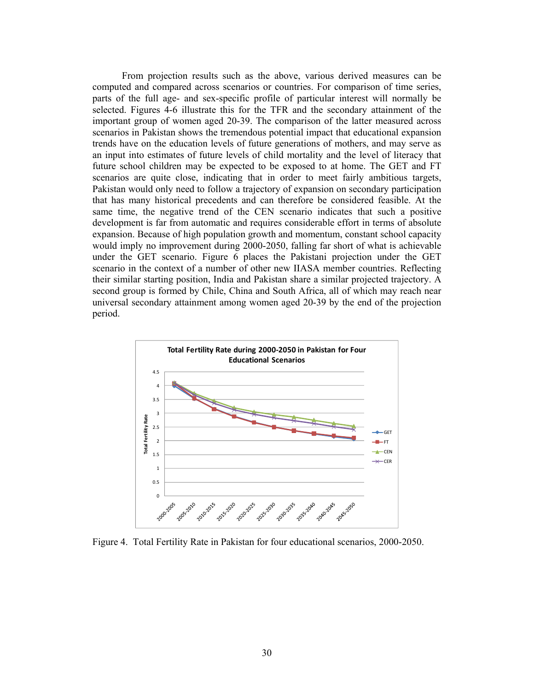From projection results such as the above, various derived measures can be computed and compared across scenarios or countries. For comparison of time series, parts of the full age- and sex-specific profile of particular interest will normally be selected. Figures 4-6 illustrate this for the TFR and the secondary attainment of the important group of women aged 20-39. The comparison of the latter measured across scenarios in Pakistan shows the tremendous potential impact that educational expansion trends have on the education levels of future generations of mothers, and may serve as an input into estimates of future levels of child mortality and the level of literacy that future school children may be expected to be exposed to at home. The GET and FT scenarios are quite close, indicating that in order to meet fairly ambitious targets, Pakistan would only need to follow a trajectory of expansion on secondary participation that has many historical precedents and can therefore be considered feasible. At the same time, the negative trend of the CEN scenario indicates that such a positive development is far from automatic and requires considerable effort in terms of absolute expansion. Because of high population growth and momentum, constant school capacity would imply no improvement during 2000-2050, falling far short of what is achievable under the GET scenario. Figure 6 places the Pakistani projection under the GET scenario in the context of a number of other new IIASA member countries. Reflecting their similar starting position, India and Pakistan share a similar projected trajectory. A second group is formed by Chile, China and South Africa, all of which may reach near universal secondary attainment among women aged 20-39 by the end of the projection period.



Figure 4. Total Fertility Rate in Pakistan for four educational scenarios, 2000-2050.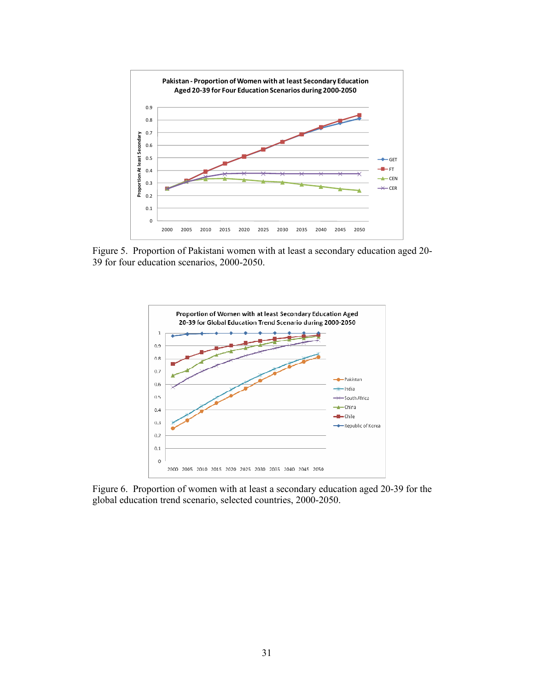

Figure 5. Proportion of Pakistani women with at least a secondary education aged 20- 39 for four education scenarios, 2000-2050.



Figure 6. Proportion of women with at least a secondary education aged 20-39 for the global education trend scenario, selected countries, 2000-2050.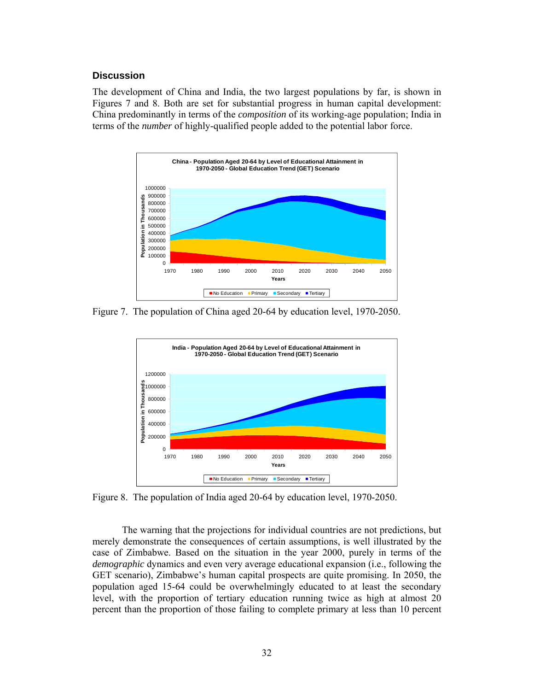#### **Discussion**

The development of China and India, the two largest populations by far, is shown in Figures 7 and 8. Both are set for substantial progress in human capital development: China predominantly in terms of the *composition* of its working-age population; India in terms of the *number* of highly-qualified people added to the potential labor force.



Figure 7. The population of China aged 20-64 by education level, 1970-2050.



Figure 8. The population of India aged 20-64 by education level, 1970-2050.

The warning that the projections for individual countries are not predictions, but merely demonstrate the consequences of certain assumptions, is well illustrated by the case of Zimbabwe. Based on the situation in the year 2000, purely in terms of the *demographic* dynamics and even very average educational expansion (i.e., following the GET scenario), Zimbabwe's human capital prospects are quite promising. In 2050, the population aged 15-64 could be overwhelmingly educated to at least the secondary level, with the proportion of tertiary education running twice as high at almost 20 percent than the proportion of those failing to complete primary at less than 10 percent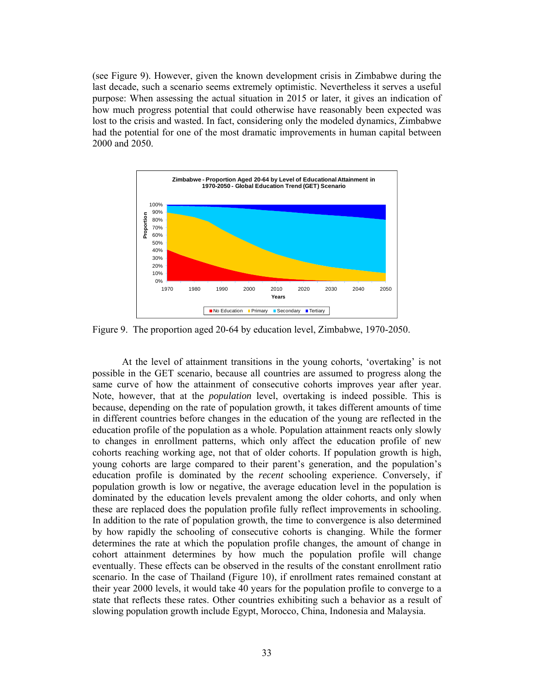(see Figure 9). However, given the known development crisis in Zimbabwe during the last decade, such a scenario seems extremely optimistic. Nevertheless it serves a useful purpose: When assessing the actual situation in 2015 or later, it gives an indication of how much progress potential that could otherwise have reasonably been expected was lost to the crisis and wasted. In fact, considering only the modeled dynamics, Zimbabwe had the potential for one of the most dramatic improvements in human capital between 2000 and 2050.



Figure 9. The proportion aged 20-64 by education level, Zimbabwe, 1970-2050.

At the level of attainment transitions in the young cohorts, 'overtaking' is not possible in the GET scenario, because all countries are assumed to progress along the same curve of how the attainment of consecutive cohorts improves year after year. Note, however, that at the *population* level, overtaking is indeed possible. This is because, depending on the rate of population growth, it takes different amounts of time in different countries before changes in the education of the young are reflected in the education profile of the population as a whole. Population attainment reacts only slowly to changes in enrollment patterns, which only affect the education profile of new cohorts reaching working age, not that of older cohorts. If population growth is high, young cohorts are large compared to their parent's generation, and the population's education profile is dominated by the *recent* schooling experience. Conversely, if population growth is low or negative, the average education level in the population is dominated by the education levels prevalent among the older cohorts, and only when these are replaced does the population profile fully reflect improvements in schooling. In addition to the rate of population growth, the time to convergence is also determined by how rapidly the schooling of consecutive cohorts is changing. While the former determines the rate at which the population profile changes, the amount of change in cohort attainment determines by how much the population profile will change eventually. These effects can be observed in the results of the constant enrollment ratio scenario. In the case of Thailand (Figure 10), if enrollment rates remained constant at their year 2000 levels, it would take 40 years for the population profile to converge to a state that reflects these rates. Other countries exhibiting such a behavior as a result of slowing population growth include Egypt, Morocco, China, Indonesia and Malaysia.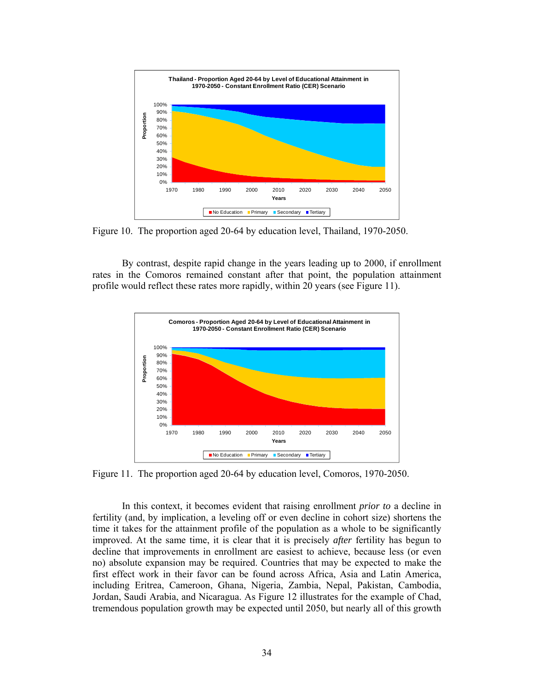

Figure 10. The proportion aged 20-64 by education level, Thailand, 1970-2050.

By contrast, despite rapid change in the years leading up to 2000, if enrollment rates in the Comoros remained constant after that point, the population attainment profile would reflect these rates more rapidly, within 20 years (see Figure 11).



Figure 11. The proportion aged 20-64 by education level, Comoros, 1970-2050.

In this context, it becomes evident that raising enrollment *prior to* a decline in fertility (and, by implication, a leveling off or even decline in cohort size) shortens the time it takes for the attainment profile of the population as a whole to be significantly improved. At the same time, it is clear that it is precisely *after* fertility has begun to decline that improvements in enrollment are easiest to achieve, because less (or even no) absolute expansion may be required. Countries that may be expected to make the first effect work in their favor can be found across Africa, Asia and Latin America, including Eritrea, Cameroon, Ghana, Nigeria, Zambia, Nepal, Pakistan, Cambodia, Jordan, Saudi Arabia, and Nicaragua. As Figure 12 illustrates for the example of Chad, tremendous population growth may be expected until 2050, but nearly all of this growth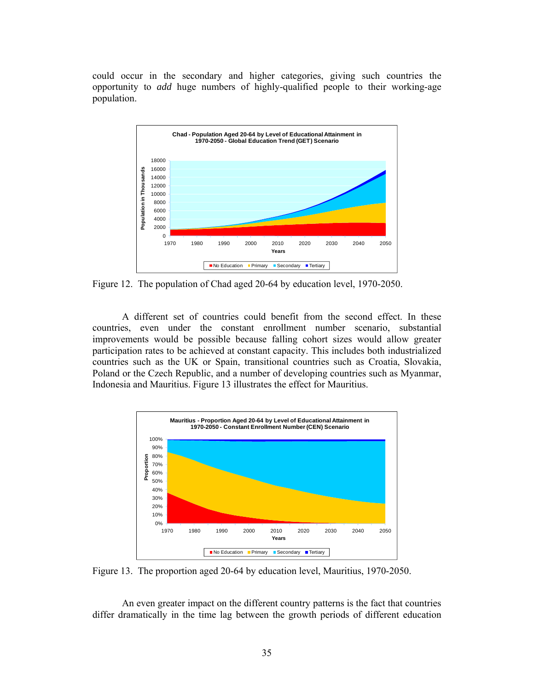could occur in the secondary and higher categories, giving such countries the opportunity to *add* huge numbers of highly-qualified people to their working-age population.



Figure 12. The population of Chad aged 20-64 by education level, 1970-2050.

A different set of countries could benefit from the second effect. In these countries, even under the constant enrollment number scenario, substantial improvements would be possible because falling cohort sizes would allow greater participation rates to be achieved at constant capacity. This includes both industrialized countries such as the UK or Spain, transitional countries such as Croatia, Slovakia, Poland or the Czech Republic, and a number of developing countries such as Myanmar, Indonesia and Mauritius. Figure 13 illustrates the effect for Mauritius.



Figure 13. The proportion aged 20-64 by education level, Mauritius, 1970-2050.

An even greater impact on the different country patterns is the fact that countries differ dramatically in the time lag between the growth periods of different education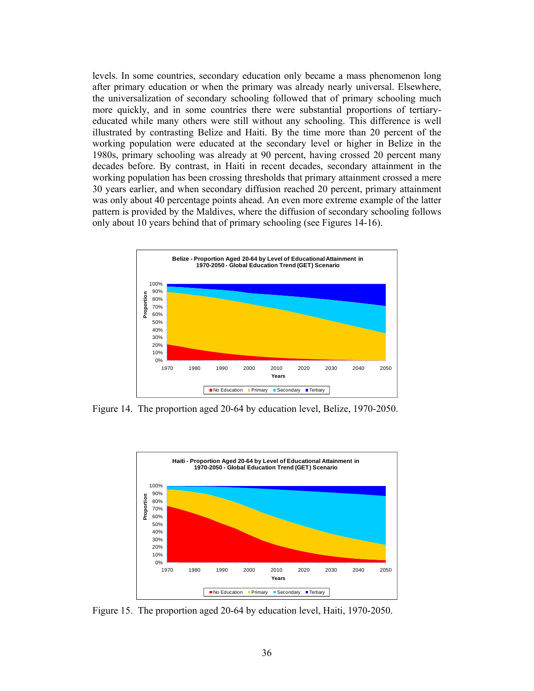levels. In some countries, secondary education only became a mass phenomenon long after primary education or when the primary was already nearly universal. Elsewhere, the universalization of secondary schooling followed that of primary schooling much more quickly, and in some countries there were substantial proportions of tertiaryeducated while many others were still without any schooling. This difference is well illustrated by contrasting Belize and Haiti. By the time more than 20 percent of the working population were educated at the secondary level or higher in Belize in the 1980s, primary schooling was already at 90 percent, having crossed 20 percent many decades before. By contrast, in Haiti in recent decades, secondary attainment in the working population has been crossing thresholds that primary attainment crossed a mere 30 years earlier, and when secondary diffusion reached 20 percent, primary attainment was only about 40 percentage points ahead. An even more extreme example of the latter pattern is provided by the Maldives, where the diffusion of secondary schooling follows only about 10 years behind that of primary schooling (see Figures 14-16).



Figure 14. The proportion aged 20-64 by education level, Belize, 1970-2050.



Figure 15. The proportion aged 20-64 by education level, Haiti, 1970-2050.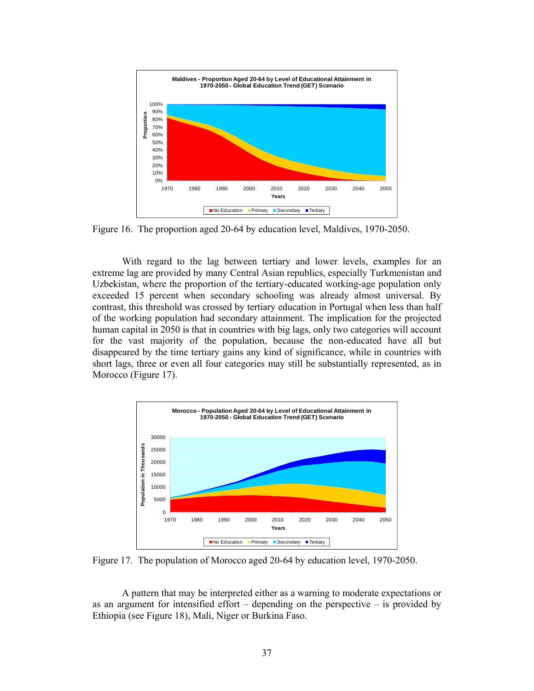

Figure 16. The proportion aged 20-64 by education level, Maldives, 1970-2050.

With regard to the lag between tertiary and lower levels, examples for an extreme lag are provided by many Central Asian republics, especially Turkmenistan and Uzbekistan, where the proportion of the tertiary-educated working-age population only exceeded 15 percent when secondary schooling was already almost universal. By contrast, this threshold was crossed by tertiary education in Portugal when less than half of the working population had secondary attainment. The implication for the projected human capital in 2050 is that in countries with big lags, only two categories will account for the vast majority of the population, because the non-educated have all but disappeared by the time tertiary gains any kind of significance, while in countries with short lags, three or even all four categories may still be substantially represented, as in Morocco (Figure 17).



Figure 17. The population of Morocco aged 20-64 by education level, 1970-2050.

A pattern that may be interpreted either as a warning to moderate expectations or as an argument for intensified effort – depending on the perspective – is provided by Ethiopia (see Figure 18), Mali, Niger or Burkina Faso.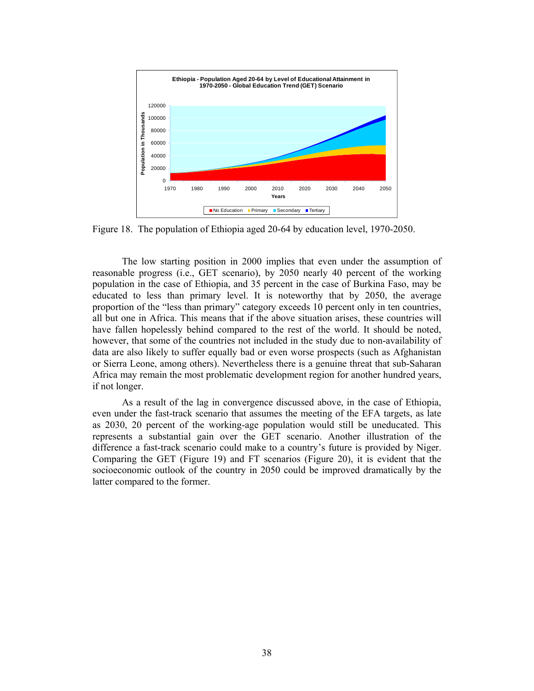

Figure 18. The population of Ethiopia aged 20-64 by education level, 1970-2050.

The low starting position in 2000 implies that even under the assumption of reasonable progress (i.e., GET scenario), by 2050 nearly 40 percent of the working population in the case of Ethiopia, and 35 percent in the case of Burkina Faso, may be educated to less than primary level. It is noteworthy that by 2050, the average proportion of the "less than primary" category exceeds 10 percent only in ten countries, all but one in Africa. This means that if the above situation arises, these countries will have fallen hopelessly behind compared to the rest of the world. It should be noted, however, that some of the countries not included in the study due to non-availability of data are also likely to suffer equally bad or even worse prospects (such as Afghanistan or Sierra Leone, among others). Nevertheless there is a genuine threat that sub-Saharan Africa may remain the most problematic development region for another hundred years, if not longer.

As a result of the lag in convergence discussed above, in the case of Ethiopia, even under the fast-track scenario that assumes the meeting of the EFA targets, as late as 2030, 20 percent of the working-age population would still be uneducated. This represents a substantial gain over the GET scenario. Another illustration of the difference a fast-track scenario could make to a country's future is provided by Niger. Comparing the GET (Figure 19) and FT scenarios (Figure 20), it is evident that the socioeconomic outlook of the country in 2050 could be improved dramatically by the latter compared to the former.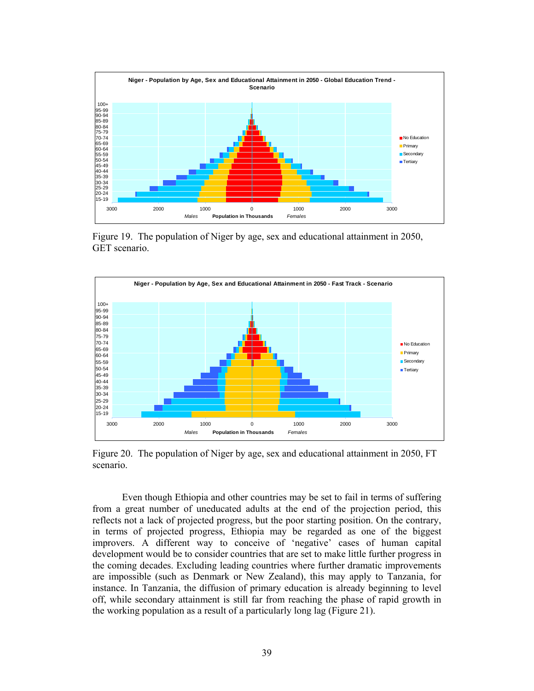

Figure 19. The population of Niger by age, sex and educational attainment in 2050, GET scenario.



Figure 20. The population of Niger by age, sex and educational attainment in 2050, FT scenario.

Even though Ethiopia and other countries may be set to fail in terms of suffering from a great number of uneducated adults at the end of the projection period, this reflects not a lack of projected progress, but the poor starting position. On the contrary, in terms of projected progress, Ethiopia may be regarded as one of the biggest improvers. A different way to conceive of 'negative' cases of human capital development would be to consider countries that are set to make little further progress in the coming decades. Excluding leading countries where further dramatic improvements are impossible (such as Denmark or New Zealand), this may apply to Tanzania, for instance. In Tanzania, the diffusion of primary education is already beginning to level off, while secondary attainment is still far from reaching the phase of rapid growth in the working population as a result of a particularly long lag (Figure 21).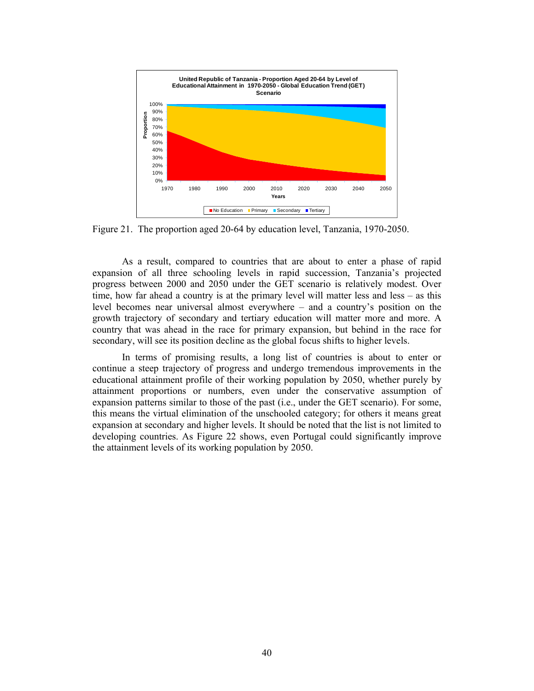

Figure 21. The proportion aged 20-64 by education level, Tanzania, 1970-2050.

As a result, compared to countries that are about to enter a phase of rapid expansion of all three schooling levels in rapid succession, Tanzania's projected progress between 2000 and 2050 under the GET scenario is relatively modest. Over time, how far ahead a country is at the primary level will matter less and less – as this level becomes near universal almost everywhere – and a country's position on the growth trajectory of secondary and tertiary education will matter more and more. A country that was ahead in the race for primary expansion, but behind in the race for secondary, will see its position decline as the global focus shifts to higher levels.

In terms of promising results, a long list of countries is about to enter or continue a steep trajectory of progress and undergo tremendous improvements in the educational attainment profile of their working population by 2050, whether purely by attainment proportions or numbers, even under the conservative assumption of expansion patterns similar to those of the past (i.e., under the GET scenario). For some, this means the virtual elimination of the unschooled category; for others it means great expansion at secondary and higher levels. It should be noted that the list is not limited to developing countries. As Figure 22 shows, even Portugal could significantly improve the attainment levels of its working population by 2050.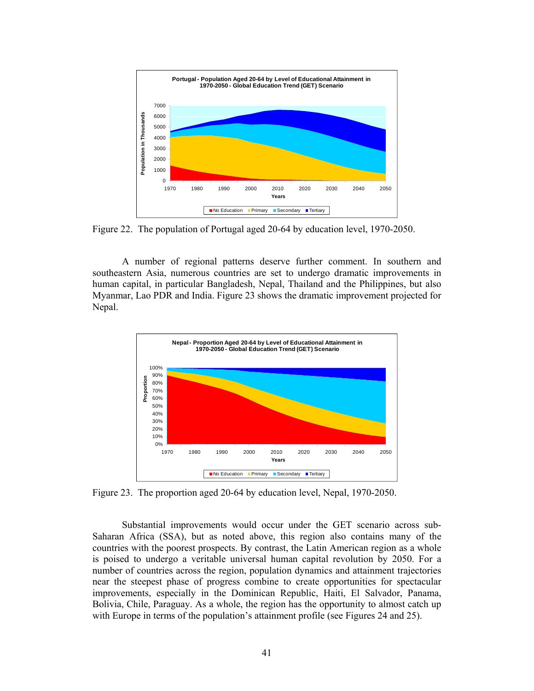

Figure 22. The population of Portugal aged 20-64 by education level, 1970-2050.

A number of regional patterns deserve further comment. In southern and southeastern Asia, numerous countries are set to undergo dramatic improvements in human capital, in particular Bangladesh, Nepal, Thailand and the Philippines, but also Myanmar, Lao PDR and India. Figure 23 shows the dramatic improvement projected for Nepal.



Figure 23. The proportion aged 20-64 by education level, Nepal, 1970-2050.

Substantial improvements would occur under the GET scenario across sub-Saharan Africa (SSA), but as noted above, this region also contains many of the countries with the poorest prospects. By contrast, the Latin American region as a whole is poised to undergo a veritable universal human capital revolution by 2050. For a number of countries across the region, population dynamics and attainment trajectories near the steepest phase of progress combine to create opportunities for spectacular improvements, especially in the Dominican Republic, Haiti, El Salvador, Panama, Bolivia, Chile, Paraguay. As a whole, the region has the opportunity to almost catch up with Europe in terms of the population's attainment profile (see Figures 24 and 25).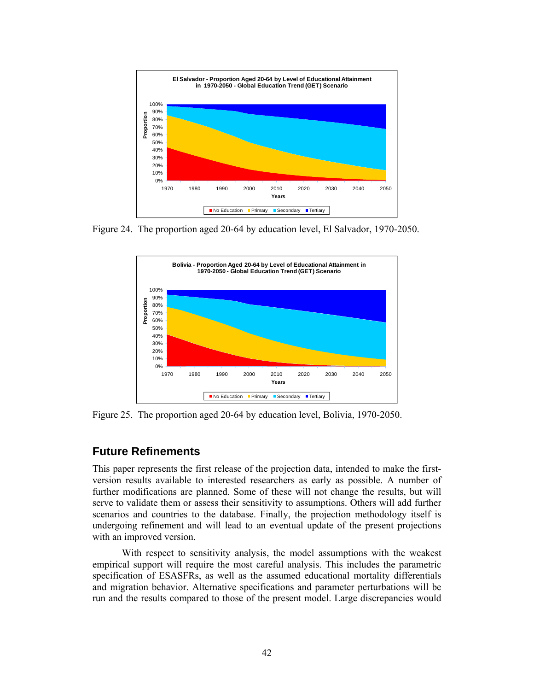

Figure 24. The proportion aged 20-64 by education level, El Salvador, 1970-2050.



Figure 25. The proportion aged 20-64 by education level, Bolivia, 1970-2050.

### **Future Refinements**

This paper represents the first release of the projection data, intended to make the firstversion results available to interested researchers as early as possible. A number of further modifications are planned. Some of these will not change the results, but will serve to validate them or assess their sensitivity to assumptions. Others will add further scenarios and countries to the database. Finally, the projection methodology itself is undergoing refinement and will lead to an eventual update of the present projections with an improved version.

With respect to sensitivity analysis, the model assumptions with the weakest empirical support will require the most careful analysis. This includes the parametric specification of ESASFRs, as well as the assumed educational mortality differentials and migration behavior. Alternative specifications and parameter perturbations will be run and the results compared to those of the present model. Large discrepancies would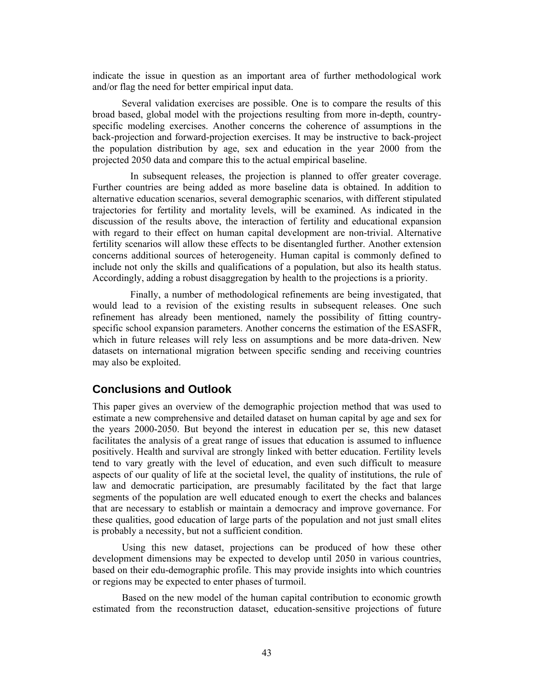indicate the issue in question as an important area of further methodological work and/or flag the need for better empirical input data.

Several validation exercises are possible. One is to compare the results of this broad based, global model with the projections resulting from more in-depth, countryspecific modeling exercises. Another concerns the coherence of assumptions in the back-projection and forward-projection exercises. It may be instructive to back-project the population distribution by age, sex and education in the year 2000 from the projected 2050 data and compare this to the actual empirical baseline.

In subsequent releases, the projection is planned to offer greater coverage. Further countries are being added as more baseline data is obtained. In addition to alternative education scenarios, several demographic scenarios, with different stipulated trajectories for fertility and mortality levels, will be examined. As indicated in the discussion of the results above, the interaction of fertility and educational expansion with regard to their effect on human capital development are non-trivial. Alternative fertility scenarios will allow these effects to be disentangled further. Another extension concerns additional sources of heterogeneity. Human capital is commonly defined to include not only the skills and qualifications of a population, but also its health status. Accordingly, adding a robust disaggregation by health to the projections is a priority.

Finally, a number of methodological refinements are being investigated, that would lead to a revision of the existing results in subsequent releases. One such refinement has already been mentioned, namely the possibility of fitting countryspecific school expansion parameters. Another concerns the estimation of the ESASFR, which in future releases will rely less on assumptions and be more data-driven. New datasets on international migration between specific sending and receiving countries may also be exploited.

### **Conclusions and Outlook**

This paper gives an overview of the demographic projection method that was used to estimate a new comprehensive and detailed dataset on human capital by age and sex for the years 2000-2050. But beyond the interest in education per se, this new dataset facilitates the analysis of a great range of issues that education is assumed to influence positively. Health and survival are strongly linked with better education. Fertility levels tend to vary greatly with the level of education, and even such difficult to measure aspects of our quality of life at the societal level, the quality of institutions, the rule of law and democratic participation, are presumably facilitated by the fact that large segments of the population are well educated enough to exert the checks and balances that are necessary to establish or maintain a democracy and improve governance. For these qualities, good education of large parts of the population and not just small elites is probably a necessity, but not a sufficient condition.

Using this new dataset, projections can be produced of how these other development dimensions may be expected to develop until 2050 in various countries, based on their edu-demographic profile. This may provide insights into which countries or regions may be expected to enter phases of turmoil.

Based on the new model of the human capital contribution to economic growth estimated from the reconstruction dataset, education-sensitive projections of future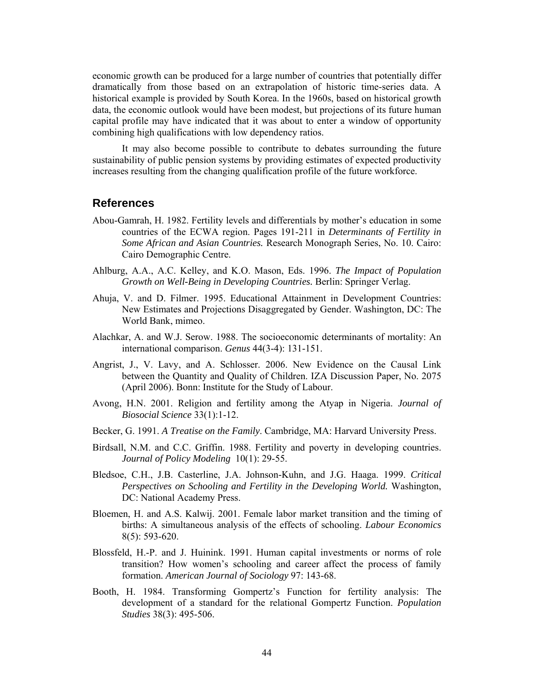economic growth can be produced for a large number of countries that potentially differ dramatically from those based on an extrapolation of historic time-series data. A historical example is provided by South Korea. In the 1960s, based on historical growth data, the economic outlook would have been modest, but projections of its future human capital profile may have indicated that it was about to enter a window of opportunity combining high qualifications with low dependency ratios.

It may also become possible to contribute to debates surrounding the future sustainability of public pension systems by providing estimates of expected productivity increases resulting from the changing qualification profile of the future workforce.

#### **References**

- Abou-Gamrah, H. 1982. Fertility levels and differentials by mother's education in some countries of the ECWA region. Pages 191-211 in *Determinants of Fertility in Some African and Asian Countries.* Research Monograph Series, No. 10. Cairo: Cairo Demographic Centre.
- Ahlburg, A.A., A.C. Kelley, and K.O. Mason, Eds. 1996. *The Impact of Population Growth on Well-Being in Developing Countries.* Berlin: Springer Verlag.
- Ahuja, V. and D. Filmer. 1995. Educational Attainment in Development Countries: New Estimates and Projections Disaggregated by Gender. Washington, DC: The World Bank, mimeo.
- Alachkar, A. and W.J. Serow. 1988. The socioeconomic determinants of mortality: An international comparison. *Genus* 44(3-4): 131-151.
- Angrist, J., V. Lavy, and A. Schlosser. 2006. New Evidence on the Causal Link between the Quantity and Quality of Children. IZA Discussion Paper, No. 2075 (April 2006). Bonn: Institute for the Study of Labour.
- Avong, H.N. 2001. Religion and fertility among the Atyap in Nigeria. *Journal of Biosocial Science* 33(1):1-12.
- Becker, G. 1991. *A Treatise on the Family*. Cambridge, MA: Harvard University Press.
- Birdsall, N.M. and C.C. Griffin. 1988. Fertility and poverty in developing countries. *Journal of Policy Modeling* 10(1): 29-55.
- Bledsoe, C.H., J.B. Casterline, J.A. Johnson-Kuhn, and J.G. Haaga. 1999. *Critical Perspectives on Schooling and Fertility in the Developing World.* Washington, DC: National Academy Press.
- Bloemen, H. and A.S. Kalwij. 2001. Female labor market transition and the timing of births: A simultaneous analysis of the effects of schooling. *Labour Economics* 8(5): 593-620.
- Blossfeld, H.-P. and J. Huinink. 1991. Human capital investments or norms of role transition? How women's schooling and career affect the process of family formation. *American Journal of Sociology* 97: 143-68.
- Booth, H. 1984. Transforming Gompertz's Function for fertility analysis: The development of a standard for the relational Gompertz Function. *Population Studies* 38(3): 495-506.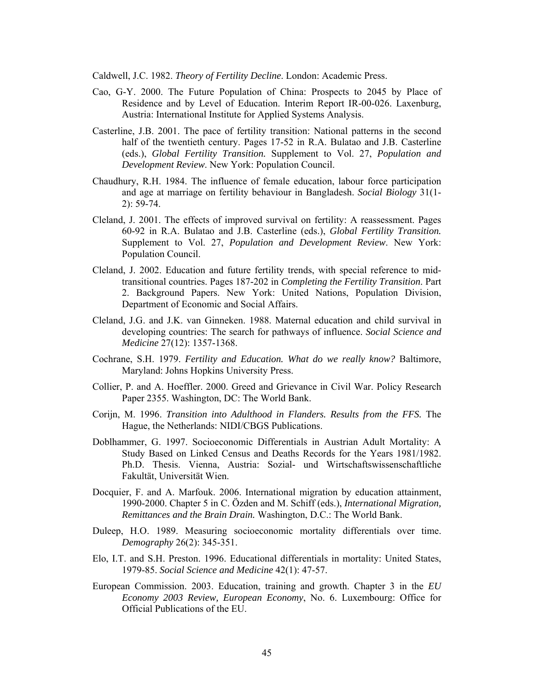Caldwell, J.C. 1982. *Theory of Fertility Decline*. London: Academic Press.

- Cao, G-Y. 2000. The Future Population of China: Prospects to 2045 by Place of Residence and by Level of Education. Interim Report IR-00-026. Laxenburg, Austria: International Institute for Applied Systems Analysis.
- Casterline, J.B. 2001. The pace of fertility transition: National patterns in the second half of the twentieth century. Pages 17-52 in R.A. Bulatao and J.B. Casterline (eds.), *Global Fertility Transition.* Supplement to Vol. 27, *Population and Development Review*. New York: Population Council.
- Chaudhury, R.H. 1984. The influence of female education, labour force participation and age at marriage on fertility behaviour in Bangladesh. *Social Biology* 31(1- 2): 59-74.
- Cleland, J. 2001. The effects of improved survival on fertility: A reassessment. Pages 60-92 in R.A. Bulatao and J.B. Casterline (eds.), *Global Fertility Transition.*  Supplement to Vol. 27, *Population and Development Review*. New York: Population Council.
- Cleland, J. 2002. Education and future fertility trends, with special reference to midtransitional countries. Pages 187-202 in *Completing the Fertility Transition*. Part 2. Background Papers. New York: United Nations, Population Division, Department of Economic and Social Affairs.
- Cleland, J.G. and J.K. van Ginneken. 1988. Maternal education and child survival in developing countries: The search for pathways of influence. *Social Science and Medicine* 27(12): 1357-1368.
- Cochrane, S.H. 1979. *Fertility and Education. What do we really know?* Baltimore, Maryland: Johns Hopkins University Press.
- Collier, P. and A. Hoeffler. 2000. Greed and Grievance in Civil War. Policy Research Paper 2355. Washington, DC: The World Bank.
- Corijn, M. 1996. *Transition into Adulthood in Flanders. Results from the FFS.* The Hague, the Netherlands: NIDI/CBGS Publications.
- Doblhammer, G. 1997. Socioeconomic Differentials in Austrian Adult Mortality: A Study Based on Linked Census and Deaths Records for the Years 1981/1982. Ph.D. Thesis. Vienna, Austria: Sozial- und Wirtschaftswissenschaftliche Fakultät, Universität Wien.
- Docquier, F. and A. Marfouk. 2006. International migration by education attainment, 1990-2000. Chapter 5 in C. Özden and M. Schiff (eds.), *International Migration, Remittances and the Brain Drain.* Washington, D.C.: The World Bank.
- Duleep, H.O. 1989. Measuring socioeconomic mortality differentials over time. *Demography* 26(2): 345-351.
- Elo, I.T. and S.H. Preston. 1996. Educational differentials in mortality: United States, 1979-85. *Social Science and Medicine* 42(1): 47-57.
- European Commission. 2003. Education, training and growth. Chapter 3 in the *EU Economy 2003 Review, European Economy*, No. 6. Luxembourg: Office for Official Publications of the EU.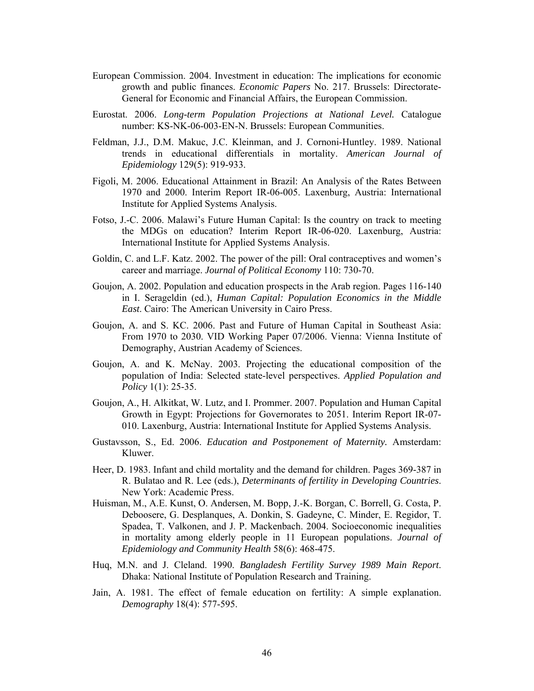- European Commission. 2004. Investment in education: The implications for economic growth and public finances. *Economic Papers* No. 217. Brussels: Directorate-General for Economic and Financial Affairs, the European Commission.
- Eurostat. 2006. *Long-term Population Projections at National Level.* Catalogue number: KS-NK-06-003-EN-N. Brussels: European Communities.
- Feldman, J.J., D.M. Makuc, J.C. Kleinman, and J. Cornoni-Huntley. 1989. National trends in educational differentials in mortality. *American Journal of Epidemiology* 129(5): 919-933.
- Figoli, M. 2006. Educational Attainment in Brazil: An Analysis of the Rates Between 1970 and 2000. Interim Report IR-06-005. Laxenburg, Austria: International Institute for Applied Systems Analysis.
- Fotso, J.-C. 2006. Malawi's Future Human Capital: Is the country on track to meeting the MDGs on education? Interim Report IR-06-020. Laxenburg, Austria: International Institute for Applied Systems Analysis.
- Goldin, C. and L.F. Katz. 2002. The power of the pill: Oral contraceptives and women's career and marriage. *Journal of Political Economy* 110: 730-70.
- Goujon, A. 2002. Population and education prospects in the Arab region. Pages 116-140 in I. Serageldin (ed.), *Human Capital: Population Economics in the Middle East*. Cairo: The American University in Cairo Press.
- Goujon, A. and S. KC. 2006. Past and Future of Human Capital in Southeast Asia: From 1970 to 2030. VID Working Paper 07/2006. Vienna: Vienna Institute of Demography, Austrian Academy of Sciences.
- Goujon, A. and K. McNay. 2003. Projecting the educational composition of the population of India: Selected state-level perspectives. *Applied Population and Policy* 1(1): 25-35.
- Goujon, A., H. Alkitkat, W. Lutz, and I. Prommer. 2007. Population and Human Capital Growth in Egypt: Projections for Governorates to 2051. Interim Report IR-07- 010. Laxenburg, Austria: International Institute for Applied Systems Analysis.
- Gustavsson, S., Ed. 2006. *Education and Postponement of Maternity.* Amsterdam: Kluwer.
- Heer, D. 1983. Infant and child mortality and the demand for children. Pages 369-387 in R. Bulatao and R. Lee (eds.), *Determinants of fertility in Developing Countries*. New York: Academic Press.
- Huisman, M., A.E. Kunst, O. Andersen, M. Bopp, J.-K. Borgan, C. Borrell, G. Costa, P. Deboosere, G. Desplanques, A. Donkin, S. Gadeyne, C. Minder, E. Regidor, T. Spadea, T. Valkonen, and J. P. Mackenbach. 2004. Socioeconomic inequalities in mortality among elderly people in 11 European populations. *Journal of Epidemiology and Community Health* 58(6): 468-475.
- Huq, M.N. and J. Cleland. 1990. *Bangladesh Fertility Survey 1989 Main Report*. Dhaka: National Institute of Population Research and Training.
- Jain, A. 1981. The effect of female education on fertility: A simple explanation. *Demography* 18(4): 577-595.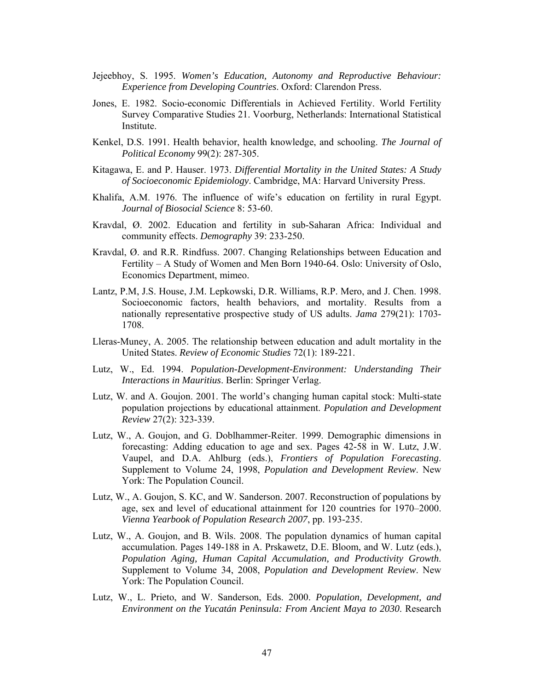- Jejeebhoy, S. 1995. *Women's Education, Autonomy and Reproductive Behaviour: Experience from Developing Countries*. Oxford: Clarendon Press.
- Jones, E. 1982. Socio-economic Differentials in Achieved Fertility. World Fertility Survey Comparative Studies 21. Voorburg, Netherlands: International Statistical Institute.
- Kenkel, D.S. 1991. Health behavior, health knowledge, and schooling. *The Journal of Political Economy* 99(2): 287-305.
- Kitagawa, E. and P. Hauser. 1973. *Differential Mortality in the United States: A Study of Socioeconomic Epidemiology*. Cambridge, MA: Harvard University Press.
- Khalifa, A.M. 1976. The influence of wife's education on fertility in rural Egypt. *Journal of Biosocial Science* 8: 53-60.
- Kravdal, Ø. 2002. Education and fertility in sub-Saharan Africa: Individual and community effects. *Demography* 39: 233-250.
- Kravdal, Ø. and R.R. Rindfuss. 2007. Changing Relationships between Education and Fertility – A Study of Women and Men Born 1940-64. Oslo: University of Oslo, Economics Department, mimeo.
- Lantz, P.M, J.S. House, J.M. Lepkowski, D.R. Williams, R.P. Mero, and J. Chen. 1998. Socioeconomic factors, health behaviors, and mortality. Results from a nationally representative prospective study of US adults. *Jama* 279(21): 1703- 1708.
- Lleras-Muney, A. 2005. The relationship between education and adult mortality in the United States. *Review of Economic Studies* 72(1): 189-221.
- Lutz, W., Ed. 1994. *Population-Development-Environment: Understanding Their Interactions in Mauritius*. Berlin: Springer Verlag.
- Lutz, W. and A. Goujon. 2001. The world's changing human capital stock: Multi-state population projections by educational attainment. *Population and Development Review* 27(2): 323-339.
- Lutz, W., A. Goujon, and G. Doblhammer-Reiter. 1999. Demographic dimensions in forecasting: Adding education to age and sex. Pages 42-58 in W. Lutz, J.W. Vaupel, and D.A. Ahlburg (eds.), *Frontiers of Population Forecasting*. Supplement to Volume 24, 1998, *Population and Development Review*. New York: The Population Council.
- Lutz, W., A. Goujon, S. KC, and W. Sanderson. 2007. Reconstruction of populations by age, sex and level of educational attainment for 120 countries for 1970–2000. *Vienna Yearbook of Population Research 2007*, pp. 193-235.
- Lutz, W., A. Goujon, and B. Wils. 2008. The population dynamics of human capital accumulation. Pages 149-188 in A. Prskawetz, D.E. Bloom, and W. Lutz (eds.), *Population Aging, Human Capital Accumulation, and Productivity Growth*. Supplement to Volume 34, 2008, *Population and Development Review*. New York: The Population Council.
- Lutz, W., L. Prieto, and W. Sanderson, Eds. 2000. *Population, Development, and Environment on the Yucatán Peninsula: From Ancient Maya to 2030*. Research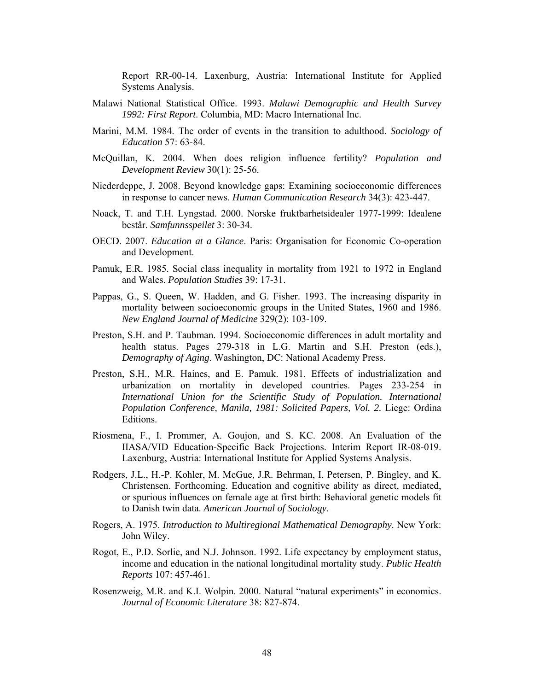Report RR-00-14. Laxenburg, Austria: International Institute for Applied Systems Analysis.

- Malawi National Statistical Office. 1993. *Malawi Demographic and Health Survey 1992: First Report*. Columbia, MD: Macro International Inc.
- Marini, M.M. 1984. The order of events in the transition to adulthood. *Sociology of Education* 57: 63-84.
- McQuillan, K. 2004. When does religion influence fertility? *Population and Development Review* 30(1): 25-56.
- Niederdeppe, J. 2008. Beyond knowledge gaps: Examining socioeconomic differences in response to cancer news. *Human Communication Research* 34(3): 423-447.
- Noack, T. and T.H. Lyngstad. 2000. Norske fruktbarhetsidealer 1977-1999: Idealene består. *Samfunnsspeilet* 3: 30-34.
- OECD. 2007. *Education at a Glance*. Paris: Organisation for Economic Co-operation and Development.
- Pamuk, E.R. 1985. Social class inequality in mortality from 1921 to 1972 in England and Wales. *Population Studies* 39: 17-31.
- Pappas, G., S. Queen, W. Hadden, and G. Fisher. 1993. The increasing disparity in mortality between socioeconomic groups in the United States, 1960 and 1986. *New England Journal of Medicine* 329(2): 103-109.
- Preston, S.H. and P. Taubman. 1994. Socioeconomic differences in adult mortality and health status. Pages 279-318 in L.G. Martin and S.H. Preston (eds.), *Demography of Aging*. Washington, DC: National Academy Press.
- Preston, S.H., M.R. Haines, and E. Pamuk. 1981. Effects of industrialization and urbanization on mortality in developed countries. Pages 233-254 in *International Union for the Scientific Study of Population. International Population Conference, Manila, 1981: Solicited Papers, Vol. 2.* Liege: Ordina Editions.
- Riosmena, F., I. Prommer, A. Goujon, and S. KC. 2008. An Evaluation of the IIASA/VID Education-Specific Back Projections. Interim Report IR-08-019. Laxenburg, Austria: International Institute for Applied Systems Analysis.
- Rodgers, J.L., H.-P. Kohler, M. McGue, J.R. Behrman, I. Petersen, P. Bingley, and K. Christensen. Forthcoming. Education and cognitive ability as direct, mediated, or spurious influences on female age at first birth: Behavioral genetic models fit to Danish twin data. *American Journal of Sociology*.
- Rogers, A. 1975. *Introduction to Multiregional Mathematical Demography*. New York: John Wiley.
- Rogot, E., P.D. Sorlie, and N.J. Johnson. 1992. Life expectancy by employment status, income and education in the national longitudinal mortality study. *Public Health Reports* 107: 457-461.
- Rosenzweig, M.R. and K.I. Wolpin. 2000. Natural "natural experiments" in economics. *Journal of Economic Literature* 38: 827-874.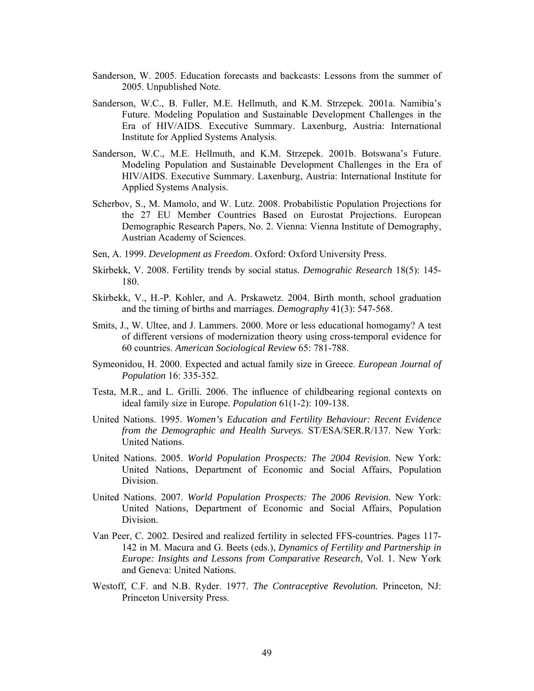- Sanderson, W. 2005. Education forecasts and backcasts: Lessons from the summer of 2005. Unpublished Note.
- Sanderson, W.C., B. Fuller, M.E. Hellmuth, and K.M. Strzepek. 2001a. Namibia's Future. Modeling Population and Sustainable Development Challenges in the Era of HIV/AIDS. Executive Summary. Laxenburg, Austria: International Institute for Applied Systems Analysis.
- Sanderson, W.C., M.E. Hellmuth, and K.M. Strzepek. 2001b. Botswana's Future. Modeling Population and Sustainable Development Challenges in the Era of HIV/AIDS. Executive Summary. Laxenburg, Austria: International Institute for Applied Systems Analysis.
- Scherbov, S., M. Mamolo, and W. Lutz. 2008. Probabilistic Population Projections for the 27 EU Member Countries Based on Eurostat Projections. European Demographic Research Papers, No. 2. Vienna: Vienna Institute of Demography, Austrian Academy of Sciences.
- Sen, A. 1999. *Development as Freedom*. Oxford: Oxford University Press.
- Skirbekk, V. 2008. Fertility trends by social status. *Demograhic Research* 18(5): 145- 180.
- Skirbekk, V., H.-P. Kohler, and A. Prskawetz. 2004. Birth month, school graduation and the timing of births and marriages. *Demography* 41(3): 547-568.
- Smits, J., W. Ultee, and J. Lammers. 2000. More or less educational homogamy? A test of different versions of modernization theory using cross-temporal evidence for 60 countries. *American Sociological Review* 65: 781-788.
- Symeonidou, H. 2000. Expected and actual family size in Greece. *European Journal of Population* 16: 335-352.
- Testa, M.R., and L. Grilli. 2006. The influence of childbearing regional contexts on ideal family size in Europe. *Population* 61(1-2): 109-138.
- United Nations. 1995. *Women's Education and Fertility Behaviour: Recent Evidence from the Demographic and Health Surveys*. ST/ESA/SER.R/137. New York: United Nations.
- United Nations. 2005. *World Population Prospects: The 2004 Revision.* New York: United Nations, Department of Economic and Social Affairs, Population Division.
- United Nations. 2007. *World Population Prospects: The 2006 Revision.* New York: United Nations, Department of Economic and Social Affairs, Population Division.
- Van Peer, C. 2002. Desired and realized fertility in selected FFS-countries. Pages 117- 142 in M. Macura and G. Beets (eds.), *Dynamics of Fertility and Partnership in Europe: Insights and Lessons from Comparative Research*, Vol. 1. New York and Geneva: United Nations.
- Westoff, C.F. and N.B. Ryder. 1977. *The Contraceptive Revolution.* Princeton, NJ: Princeton University Press.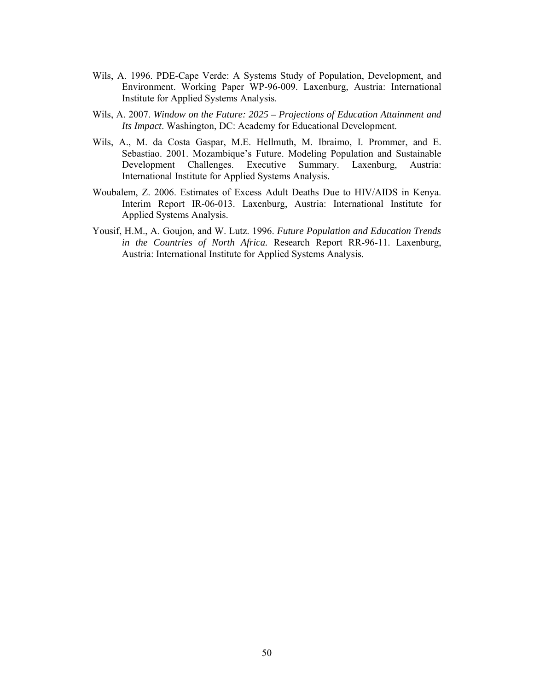- Wils, A. 1996. PDE-Cape Verde: A Systems Study of Population, Development, and Environment. Working Paper WP-96-009. Laxenburg, Austria: International Institute for Applied Systems Analysis.
- Wils, A. 2007. *Window on the Future: 2025 Projections of Education Attainment and Its Impact*. Washington, DC: Academy for Educational Development.
- Wils, A., M. da Costa Gaspar, M.E. Hellmuth, M. Ibraimo, I. Prommer, and E. Sebastiao. 2001. Mozambique's Future. Modeling Population and Sustainable Development Challenges. Executive Summary. Laxenburg, Austria: International Institute for Applied Systems Analysis.
- Woubalem, Z. 2006. Estimates of Excess Adult Deaths Due to HIV/AIDS in Kenya. Interim Report IR-06-013. Laxenburg, Austria: International Institute for Applied Systems Analysis.
- Yousif, H.M., A. Goujon, and W. Lutz. 1996. *Future Population and Education Trends in the Countries of North Africa.* Research Report RR-96-11. Laxenburg, Austria: International Institute for Applied Systems Analysis.